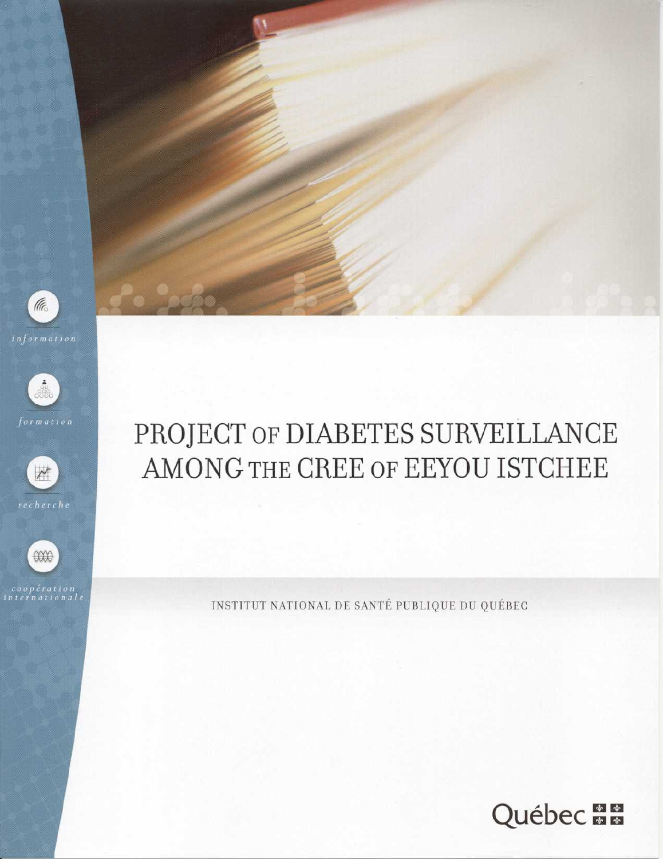

*information* 









# PROJECT OF DIABETES SURVEILLANCE AMONG THE CREE OF EEYOU ISTCHEE

INSTITUT NATIONAL DE SANTÉ PUBLIQUE DU QUÉBEC

Québec **BB**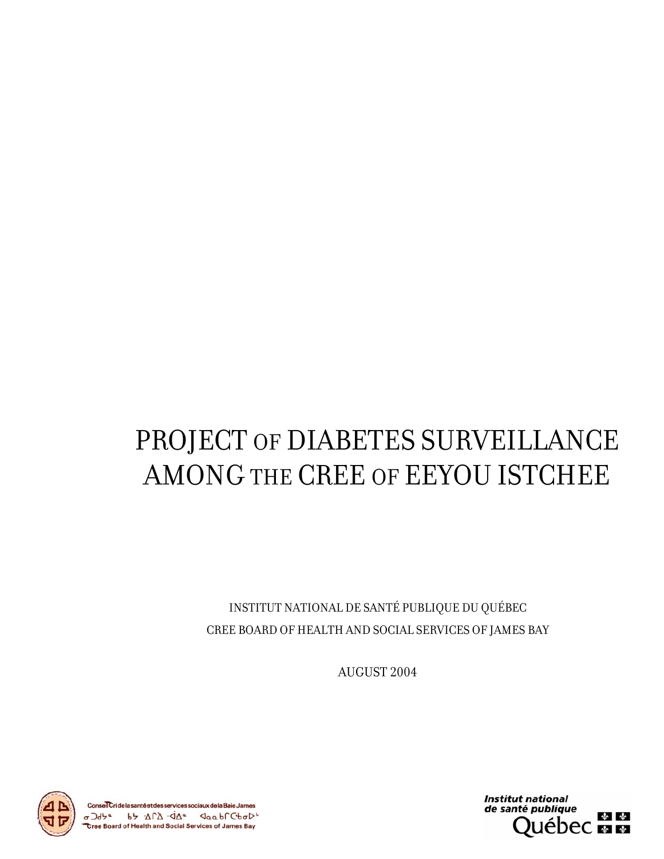# PROJECT OF DIABETES SURVEILLANCE AMONG THE CREE OF EEYOU ISTCHEE

INSTITUT NATIONAL DE SANTÉ PUBLIQUE DU QUÉBEC CREE BOARD OF HEALTH AND SOCIAL SERVICES OF JAMES BAY

AUGUST 2004





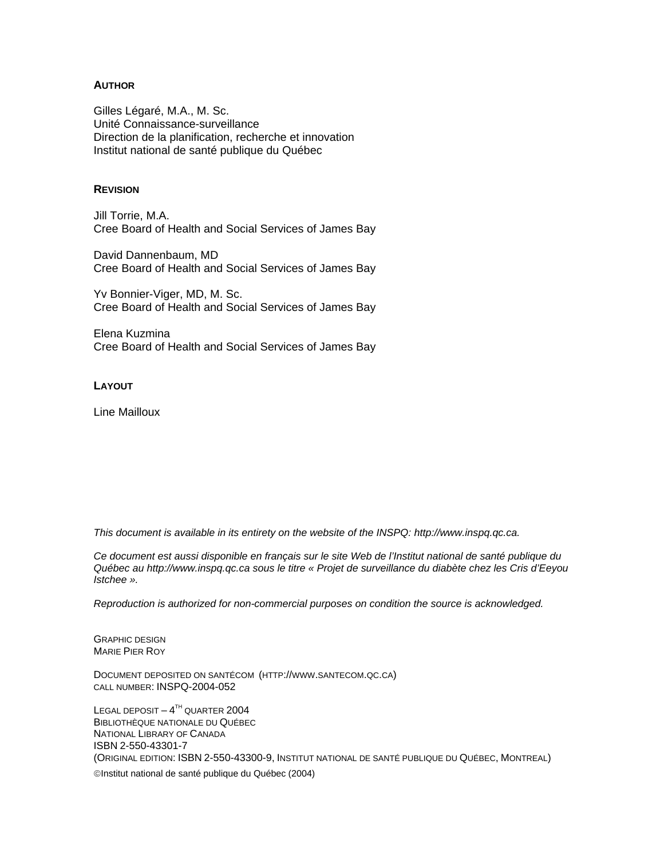#### **AUTHOR**

Gilles Légaré, M.A., M. Sc. Unité Connaissance-surveillance Direction de la planification, recherche et innovation Institut national de santé publique du Québec

#### **REVISION**

Jill Torrie, M.A. Cree Board of Health and Social Services of James Bay

David Dannenbaum, MD Cree Board of Health and Social Services of James Bay

Yv Bonnier-Viger, MD, M. Sc. Cree Board of Health and Social Services of James Bay

Elena Kuzmina Cree Board of Health and Social Services of James Bay

#### **LAYOUT**

Line Mailloux

*This document is available in its entirety on the website of the INSPQ: http://www.inspq.qc.ca.* 

*Ce document est aussi disponible en français sur le site Web de l'Institut national de santé publique du Québec au http://www.inspq.qc.ca sous le titre « Projet de surveillance du diabète chez les Cris d'Eeyou Istchee ».* 

*Reproduction is authorized for non-commercial purposes on condition the source is acknowledged.* 

GRAPHIC DESIGN MARIE PIER ROY

DOCUMENT DEPOSITED ON SANTÉCOM (HTTP://WWW.SANTECOM.QC.CA) CALL NUMBER: INSPQ-2004-052

LEGAL DEPOSIT  $-4^{TH}$  QUARTER 2004 BIBLIOTHÈQUE NATIONALE DU QUÉBEC NATIONAL LIBRARY OF CANADA ISBN 2-550-43301-7 (ORIGINAL EDITION: ISBN 2-550-43300-9, INSTITUT NATIONAL DE SANTÉ PUBLIQUE DU QUÉBEC, MONTREAL) ©Institut national de santé publique du Québec (2004)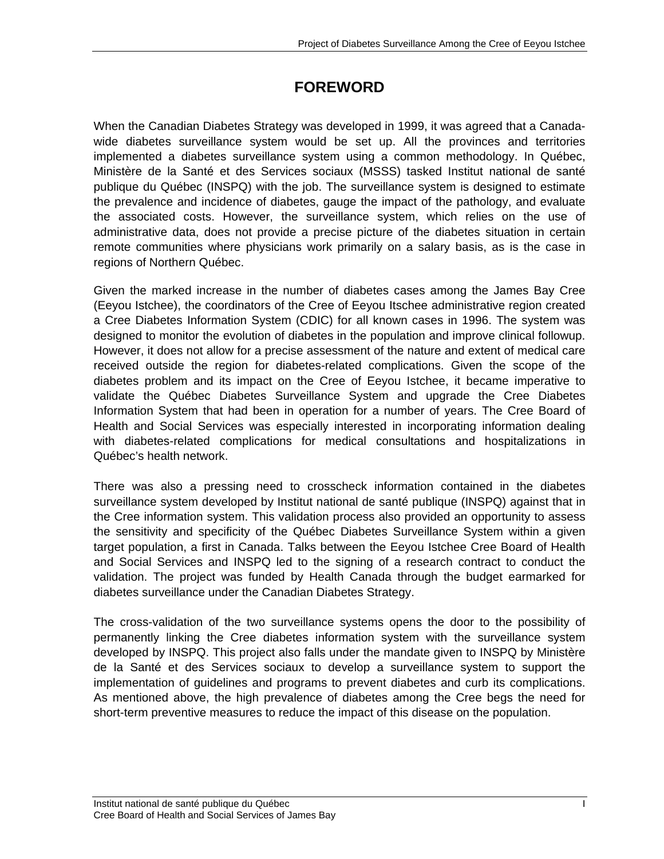# **FOREWORD**

When the Canadian Diabetes Strategy was developed in 1999, it was agreed that a Canadawide diabetes surveillance system would be set up. All the provinces and territories implemented a diabetes surveillance system using a common methodology. In Québec, Ministère de la Santé et des Services sociaux (MSSS) tasked Institut national de santé publique du Québec (INSPQ) with the job. The surveillance system is designed to estimate the prevalence and incidence of diabetes, gauge the impact of the pathology, and evaluate the associated costs. However, the surveillance system, which relies on the use of administrative data, does not provide a precise picture of the diabetes situation in certain remote communities where physicians work primarily on a salary basis, as is the case in regions of Northern Québec.

Given the marked increase in the number of diabetes cases among the James Bay Cree (Eeyou Istchee), the coordinators of the Cree of Eeyou Itschee administrative region created a Cree Diabetes Information System (CDIC) for all known cases in 1996. The system was designed to monitor the evolution of diabetes in the population and improve clinical followup. However, it does not allow for a precise assessment of the nature and extent of medical care received outside the region for diabetes-related complications. Given the scope of the diabetes problem and its impact on the Cree of Eeyou Istchee, it became imperative to validate the Québec Diabetes Surveillance System and upgrade the Cree Diabetes Information System that had been in operation for a number of years. The Cree Board of Health and Social Services was especially interested in incorporating information dealing with diabetes-related complications for medical consultations and hospitalizations in Québec's health network.

There was also a pressing need to crosscheck information contained in the diabetes surveillance system developed by Institut national de santé publique (INSPQ) against that in the Cree information system. This validation process also provided an opportunity to assess the sensitivity and specificity of the Québec Diabetes Surveillance System within a given target population, a first in Canada. Talks between the Eeyou Istchee Cree Board of Health and Social Services and INSPQ led to the signing of a research contract to conduct the validation. The project was funded by Health Canada through the budget earmarked for diabetes surveillance under the Canadian Diabetes Strategy.

The cross-validation of the two surveillance systems opens the door to the possibility of permanently linking the Cree diabetes information system with the surveillance system developed by INSPQ. This project also falls under the mandate given to INSPQ by Ministère de la Santé et des Services sociaux to develop a surveillance system to support the implementation of guidelines and programs to prevent diabetes and curb its complications. As mentioned above, the high prevalence of diabetes among the Cree begs the need for short-term preventive measures to reduce the impact of this disease on the population.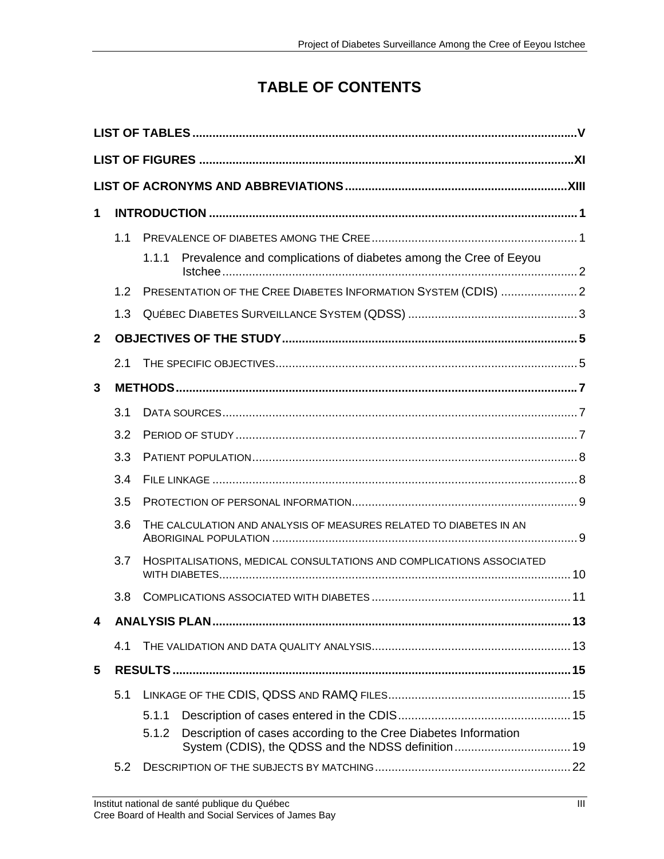# **TABLE OF CONTENTS**

| 1            |     |       |                                                                      |  |  |
|--------------|-----|-------|----------------------------------------------------------------------|--|--|
|              | 1.1 |       |                                                                      |  |  |
|              |     | 1.1.1 | Prevalence and complications of diabetes among the Cree of Eeyou     |  |  |
|              | 1.2 |       | PRESENTATION OF THE CREE DIABETES INFORMATION SYSTEM (CDIS) 2        |  |  |
|              | 1.3 |       |                                                                      |  |  |
| $\mathbf{2}$ |     |       |                                                                      |  |  |
|              | 2.1 |       |                                                                      |  |  |
| 3            |     |       |                                                                      |  |  |
|              | 3.1 |       |                                                                      |  |  |
|              | 3.2 |       |                                                                      |  |  |
|              | 3.3 |       |                                                                      |  |  |
|              | 3.4 |       |                                                                      |  |  |
|              | 3.5 |       |                                                                      |  |  |
|              | 3.6 |       | THE CALCULATION AND ANALYSIS OF MEASURES RELATED TO DIABETES IN AN   |  |  |
|              | 3.7 |       | HOSPITALISATIONS, MEDICAL CONSULTATIONS AND COMPLICATIONS ASSOCIATED |  |  |
|              | 3.8 |       |                                                                      |  |  |
| 4            |     |       |                                                                      |  |  |
|              | 4.1 |       |                                                                      |  |  |
| 5            |     |       |                                                                      |  |  |
|              | 5.1 |       |                                                                      |  |  |
|              |     | 5.1.1 |                                                                      |  |  |
|              |     | 5.1.2 | Description of cases according to the Cree Diabetes Information      |  |  |
|              | 5.2 |       |                                                                      |  |  |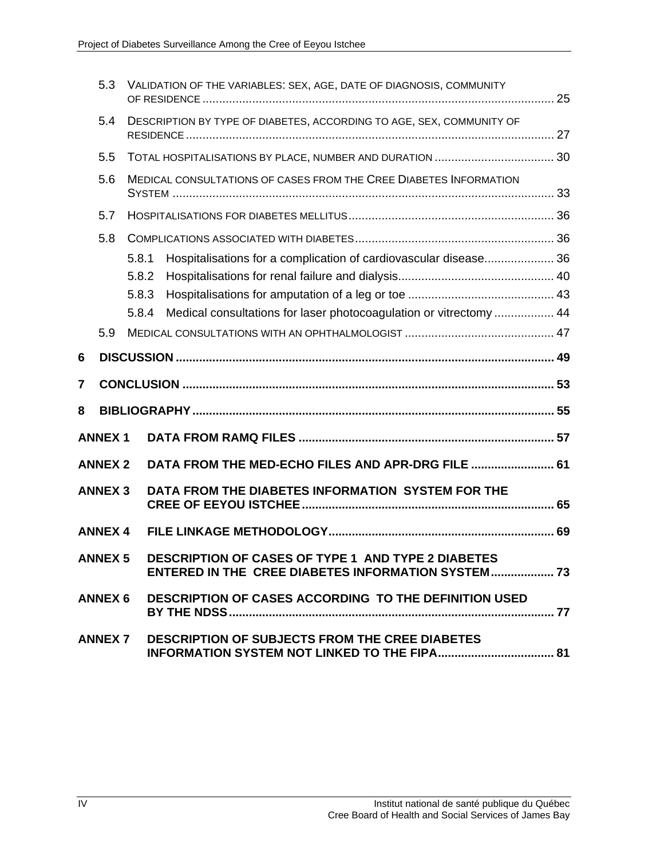|        | 5.3            |       | VALIDATION OF THE VARIABLES: SEX, AGE, DATE OF DIAGNOSIS, COMMUNITY                                             |  |
|--------|----------------|-------|-----------------------------------------------------------------------------------------------------------------|--|
|        | 5.4            |       | DESCRIPTION BY TYPE OF DIABETES, ACCORDING TO AGE, SEX, COMMUNITY OF                                            |  |
|        | 5.5            |       |                                                                                                                 |  |
|        | 5.6            |       | MEDICAL CONSULTATIONS OF CASES FROM THE CREE DIABETES INFORMATION                                               |  |
|        | 5.7            |       |                                                                                                                 |  |
|        | 5.8            |       |                                                                                                                 |  |
|        |                | 5.8.1 | Hospitalisations for a complication of cardiovascular disease 36                                                |  |
|        |                | 5.8.2 |                                                                                                                 |  |
|        |                | 5.8.3 |                                                                                                                 |  |
|        |                | 5.8.4 | Medical consultations for laser photocoagulation or vitrectomy  44                                              |  |
|        | 5.9            |       |                                                                                                                 |  |
|        |                |       |                                                                                                                 |  |
|        |                |       |                                                                                                                 |  |
| 6<br>7 |                |       |                                                                                                                 |  |
| 8      |                |       |                                                                                                                 |  |
|        | <b>ANNEX1</b>  |       |                                                                                                                 |  |
|        | <b>ANNEX 2</b> |       | DATA FROM THE MED-ECHO FILES AND APR-DRG FILE  61                                                               |  |
|        | <b>ANNEX 3</b> |       | DATA FROM THE DIABETES INFORMATION SYSTEM FOR THE                                                               |  |
|        | <b>ANNEX 4</b> |       |                                                                                                                 |  |
|        | <b>ANNEX 5</b> |       | <b>DESCRIPTION OF CASES OF TYPE 1 AND TYPE 2 DIABETES</b><br>ENTERED IN THE CREE DIABETES INFORMATION SYSTEM 73 |  |
|        | <b>ANNEX 6</b> |       | DESCRIPTION OF CASES ACCORDING TO THE DEFINITION USED                                                           |  |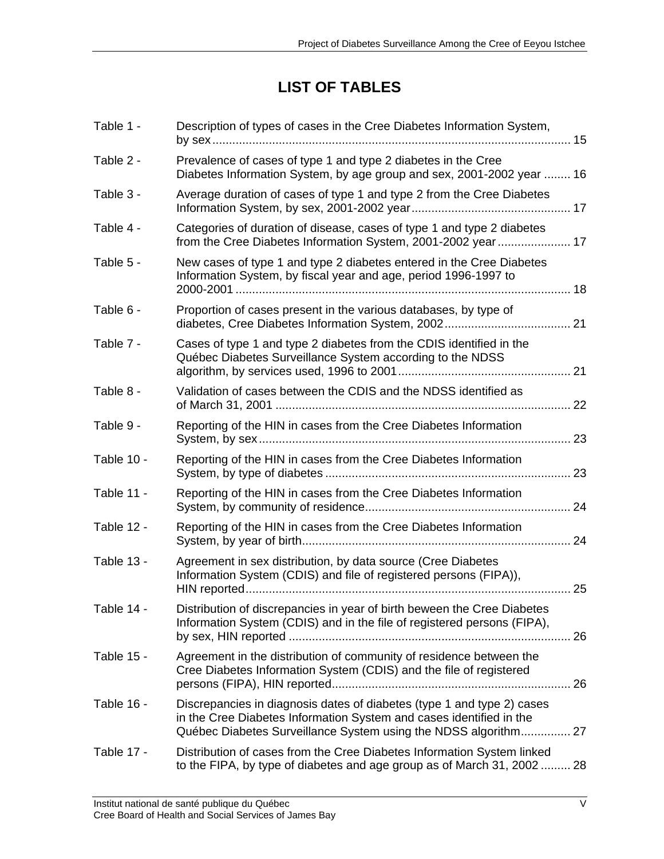### **LIST OF TABLES**

| Description of types of cases in the Cree Diabetes Information System,                                                                             |                                                                                                                                                                                                                                                                                     |
|----------------------------------------------------------------------------------------------------------------------------------------------------|-------------------------------------------------------------------------------------------------------------------------------------------------------------------------------------------------------------------------------------------------------------------------------------|
| Prevalence of cases of type 1 and type 2 diabetes in the Cree                                                                                      |                                                                                                                                                                                                                                                                                     |
| Average duration of cases of type 1 and type 2 from the Cree Diabetes                                                                              |                                                                                                                                                                                                                                                                                     |
| Categories of duration of disease, cases of type 1 and type 2 diabetes                                                                             |                                                                                                                                                                                                                                                                                     |
| New cases of type 1 and type 2 diabetes entered in the Cree Diabetes<br>Information System, by fiscal year and age, period 1996-1997 to            |                                                                                                                                                                                                                                                                                     |
| Proportion of cases present in the various databases, by type of                                                                                   |                                                                                                                                                                                                                                                                                     |
| Cases of type 1 and type 2 diabetes from the CDIS identified in the<br>Québec Diabetes Surveillance System according to the NDSS                   |                                                                                                                                                                                                                                                                                     |
| Validation of cases between the CDIS and the NDSS identified as                                                                                    |                                                                                                                                                                                                                                                                                     |
| Reporting of the HIN in cases from the Cree Diabetes Information                                                                                   | 23                                                                                                                                                                                                                                                                                  |
| Reporting of the HIN in cases from the Cree Diabetes Information                                                                                   | 23                                                                                                                                                                                                                                                                                  |
| Reporting of the HIN in cases from the Cree Diabetes Information                                                                                   |                                                                                                                                                                                                                                                                                     |
| Reporting of the HIN in cases from the Cree Diabetes Information                                                                                   |                                                                                                                                                                                                                                                                                     |
| Agreement in sex distribution, by data source (Cree Diabetes<br>Information System (CDIS) and file of registered persons (FIPA)),                  | 25                                                                                                                                                                                                                                                                                  |
| Distribution of discrepancies in year of birth beween the Cree Diabetes<br>Information System (CDIS) and in the file of registered persons (FIPA), | 26                                                                                                                                                                                                                                                                                  |
| Agreement in the distribution of community of residence between the<br>Cree Diabetes Information System (CDIS) and the file of registered          |                                                                                                                                                                                                                                                                                     |
| Discrepancies in diagnosis dates of diabetes (type 1 and type 2) cases<br>in the Cree Diabetes Information System and cases identified in the      |                                                                                                                                                                                                                                                                                     |
| Distribution of cases from the Cree Diabetes Information System linked                                                                             |                                                                                                                                                                                                                                                                                     |
|                                                                                                                                                    | Diabetes Information System, by age group and sex, 2001-2002 year  16<br>from the Cree Diabetes Information System, 2001-2002 year 17<br>Québec Diabetes Surveillance System using the NDSS algorithm 27<br>to the FIPA, by type of diabetes and age group as of March 31, 2002  28 |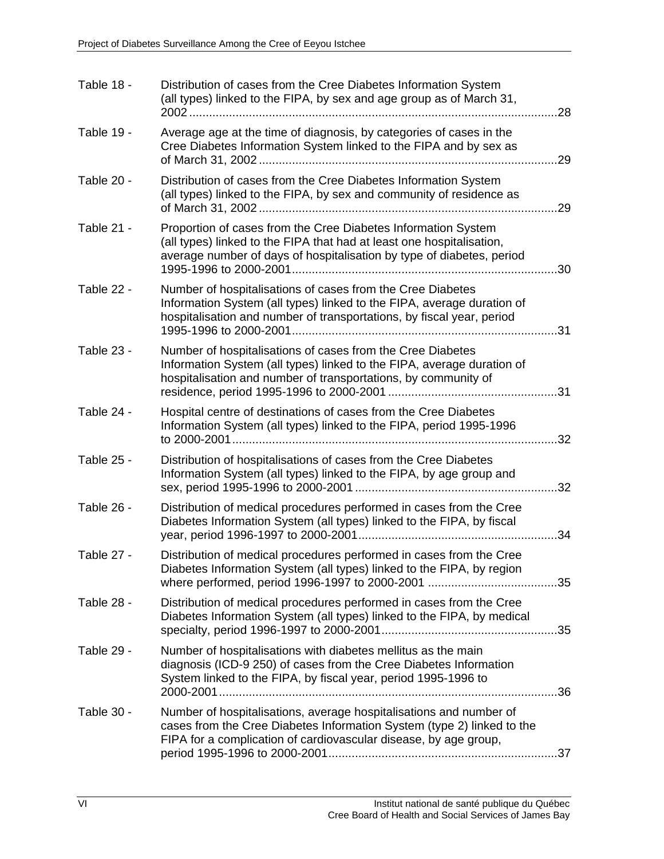| Table 18 - | Distribution of cases from the Cree Diabetes Information System<br>(all types) linked to the FIPA, by sex and age group as of March 31,<br>2002<br>28                                                                                            |
|------------|--------------------------------------------------------------------------------------------------------------------------------------------------------------------------------------------------------------------------------------------------|
| Table 19 - | Average age at the time of diagnosis, by categories of cases in the<br>Cree Diabetes Information System linked to the FIPA and by sex as<br>29                                                                                                   |
| Table 20 - | Distribution of cases from the Cree Diabetes Information System<br>(all types) linked to the FIPA, by sex and community of residence as<br>29                                                                                                    |
| Table 21 - | Proportion of cases from the Cree Diabetes Information System<br>(all types) linked to the FIPA that had at least one hospitalisation,<br>average number of days of hospitalisation by type of diabetes, period<br>1995-1996 to 2000-2001.<br>30 |
| Table 22 - | Number of hospitalisations of cases from the Cree Diabetes<br>Information System (all types) linked to the FIPA, average duration of<br>hospitalisation and number of transportations, by fiscal year, period<br>31                              |
| Table 23 - | Number of hospitalisations of cases from the Cree Diabetes<br>Information System (all types) linked to the FIPA, average duration of<br>hospitalisation and number of transportations, by community of                                           |
| Table 24 - | Hospital centre of destinations of cases from the Cree Diabetes<br>Information System (all types) linked to the FIPA, period 1995-1996<br>32                                                                                                     |
| Table 25 - | Distribution of hospitalisations of cases from the Cree Diabetes<br>Information System (all types) linked to the FIPA, by age group and<br>32                                                                                                    |
| Table 26 - | Distribution of medical procedures performed in cases from the Cree<br>Diabetes Information System (all types) linked to the FIPA, by fiscal<br>34                                                                                               |
| Table 27 - | Distribution of medical procedures performed in cases from the Cree<br>Diabetes Information System (all types) linked to the FIPA, by region<br>.35                                                                                              |
| Table 28 - | Distribution of medical procedures performed in cases from the Cree<br>Diabetes Information System (all types) linked to the FIPA, by medical<br>.35                                                                                             |
| Table 29 - | Number of hospitalisations with diabetes mellitus as the main<br>diagnosis (ICD-9 250) of cases from the Cree Diabetes Information<br>System linked to the FIPA, by fiscal year, period 1995-1996 to                                             |
| Table 30 - | Number of hospitalisations, average hospitalisations and number of<br>cases from the Cree Diabetes Information System (type 2) linked to the<br>FIPA for a complication of cardiovascular disease, by age group,                                 |
|            |                                                                                                                                                                                                                                                  |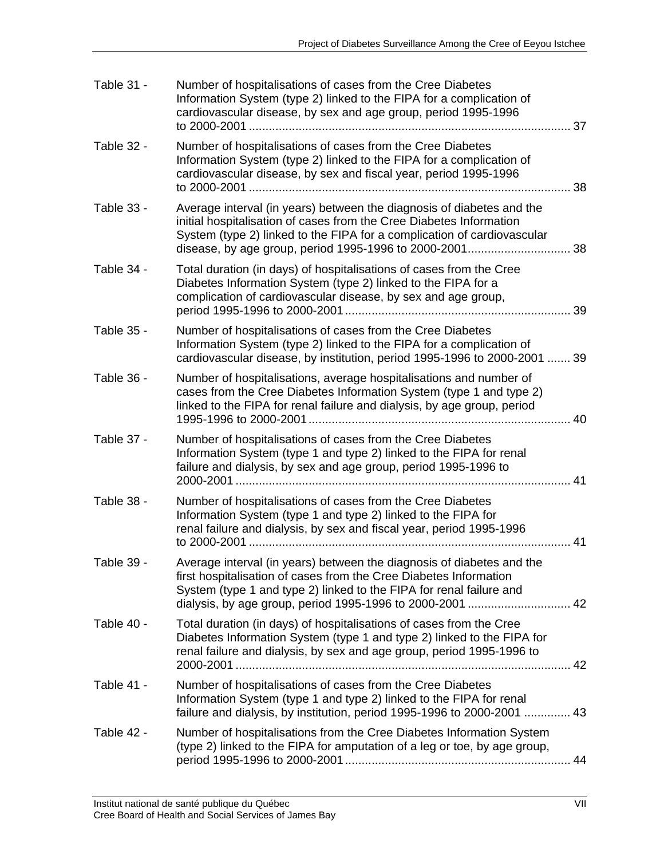| Table 31 - | Number of hospitalisations of cases from the Cree Diabetes<br>Information System (type 2) linked to the FIPA for a complication of<br>cardiovascular disease, by sex and age group, period 1995-1996                                           | 37 |
|------------|------------------------------------------------------------------------------------------------------------------------------------------------------------------------------------------------------------------------------------------------|----|
| Table 32 - | Number of hospitalisations of cases from the Cree Diabetes<br>Information System (type 2) linked to the FIPA for a complication of<br>cardiovascular disease, by sex and fiscal year, period 1995-1996                                         | 38 |
| Table 33 - | Average interval (in years) between the diagnosis of diabetes and the<br>initial hospitalisation of cases from the Cree Diabetes Information<br>System (type 2) linked to the FIPA for a complication of cardiovascular                        |    |
| Table 34 - | Total duration (in days) of hospitalisations of cases from the Cree<br>Diabetes Information System (type 2) linked to the FIPA for a<br>complication of cardiovascular disease, by sex and age group,                                          | 39 |
| Table 35 - | Number of hospitalisations of cases from the Cree Diabetes<br>Information System (type 2) linked to the FIPA for a complication of<br>cardiovascular disease, by institution, period 1995-1996 to 2000-2001  39                                |    |
| Table 36 - | Number of hospitalisations, average hospitalisations and number of<br>cases from the Cree Diabetes Information System (type 1 and type 2)<br>linked to the FIPA for renal failure and dialysis, by age group, period<br>1995-1996 to 2000-2001 | 40 |
| Table 37 - | Number of hospitalisations of cases from the Cree Diabetes<br>Information System (type 1 and type 2) linked to the FIPA for renal<br>failure and dialysis, by sex and age group, period 1995-1996 to<br>$\overline{41}$                        |    |
| Table 38 - | Number of hospitalisations of cases from the Cree Diabetes<br>Information System (type 1 and type 2) linked to the FIPA for<br>renal failure and dialysis, by sex and fiscal year, period 1995-1996                                            | 41 |
| Table 39 - | Average interval (in years) between the diagnosis of diabetes and the<br>first hospitalisation of cases from the Cree Diabetes Information<br>System (type 1 and type 2) linked to the FIPA for renal failure and                              |    |
| Table 40 - | Total duration (in days) of hospitalisations of cases from the Cree<br>Diabetes Information System (type 1 and type 2) linked to the FIPA for<br>renal failure and dialysis, by sex and age group, period 1995-1996 to                         |    |
| Table 41 - | Number of hospitalisations of cases from the Cree Diabetes<br>Information System (type 1 and type 2) linked to the FIPA for renal<br>failure and dialysis, by institution, period 1995-1996 to 2000-2001  43                                   |    |
| Table 42 - | Number of hospitalisations from the Cree Diabetes Information System<br>(type 2) linked to the FIPA for amputation of a leg or toe, by age group,                                                                                              |    |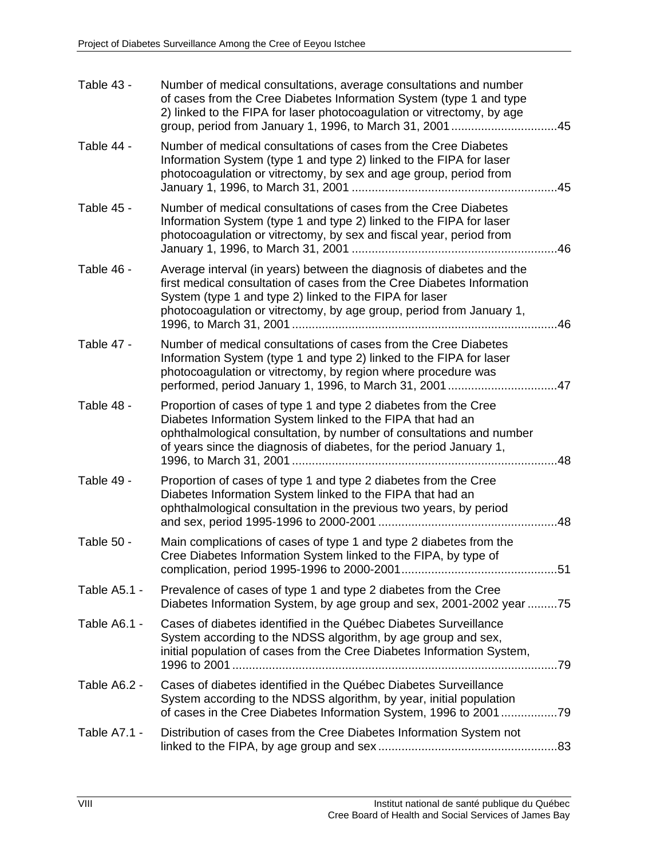| Table 43 -   | Number of medical consultations, average consultations and number<br>of cases from the Cree Diabetes Information System (type 1 and type<br>2) linked to the FIPA for laser photocoagulation or vitrectomy, by age<br>group, period from January 1, 1996, to March 31, 2001<br>.45        |
|--------------|-------------------------------------------------------------------------------------------------------------------------------------------------------------------------------------------------------------------------------------------------------------------------------------------|
| Table 44 -   | Number of medical consultations of cases from the Cree Diabetes<br>Information System (type 1 and type 2) linked to the FIPA for laser<br>photocoagulation or vitrectomy, by sex and age group, period from<br>45                                                                         |
| Table 45 -   | Number of medical consultations of cases from the Cree Diabetes<br>Information System (type 1 and type 2) linked to the FIPA for laser<br>photocoagulation or vitrectomy, by sex and fiscal year, period from<br>46                                                                       |
| Table 46 -   | Average interval (in years) between the diagnosis of diabetes and the<br>first medical consultation of cases from the Cree Diabetes Information<br>System (type 1 and type 2) linked to the FIPA for laser<br>photocoagulation or vitrectomy, by age group, period from January 1,<br>.46 |
| Table 47 -   | Number of medical consultations of cases from the Cree Diabetes<br>Information System (type 1 and type 2) linked to the FIPA for laser<br>photocoagulation or vitrectomy, by region where procedure was<br>performed, period January 1, 1996, to March 31, 2001<br>.47                    |
| Table 48 -   | Proportion of cases of type 1 and type 2 diabetes from the Cree<br>Diabetes Information System linked to the FIPA that had an<br>ophthalmological consultation, by number of consultations and number<br>of years since the diagnosis of diabetes, for the period January 1,<br>48        |
| Table 49 -   | Proportion of cases of type 1 and type 2 diabetes from the Cree<br>Diabetes Information System linked to the FIPA that had an<br>ophthalmological consultation in the previous two years, by period<br>48                                                                                 |
| Table 50 -   | Main complications of cases of type 1 and type 2 diabetes from the<br>Cree Diabetes Information System linked to the FIPA, by type of                                                                                                                                                     |
| Table A5.1 - | Prevalence of cases of type 1 and type 2 diabetes from the Cree<br>Diabetes Information System, by age group and sex, 2001-2002 year 75                                                                                                                                                   |
| Table A6.1 - | Cases of diabetes identified in the Québec Diabetes Surveillance<br>System according to the NDSS algorithm, by age group and sex,<br>initial population of cases from the Cree Diabetes Information System,                                                                               |
| Table A6.2 - | Cases of diabetes identified in the Québec Diabetes Surveillance<br>System according to the NDSS algorithm, by year, initial population<br>of cases in the Cree Diabetes Information System, 1996 to 200179                                                                               |
| Table A7.1 - | Distribution of cases from the Cree Diabetes Information System not                                                                                                                                                                                                                       |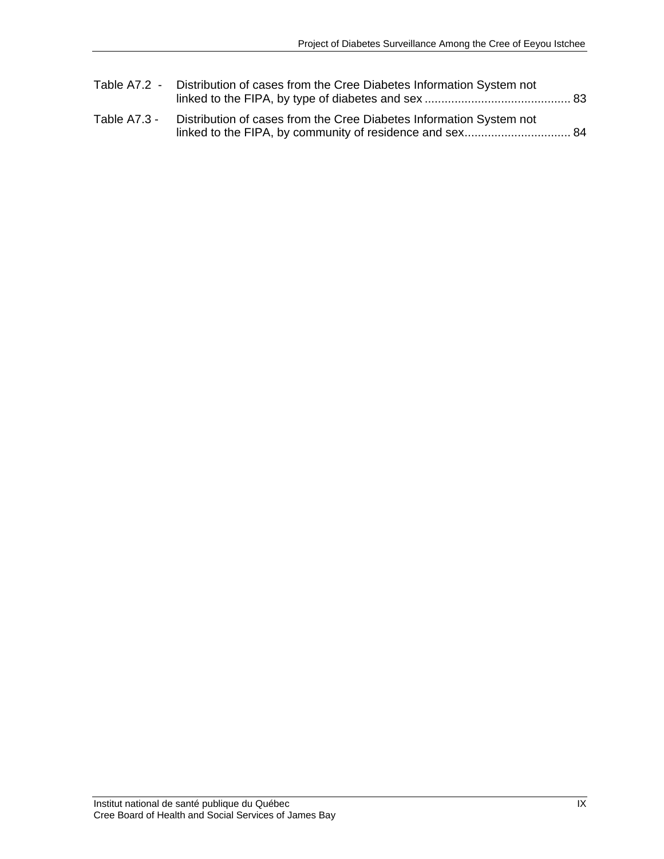|              | Table A7.2 - Distribution of cases from the Cree Diabetes Information System not |  |
|--------------|----------------------------------------------------------------------------------|--|
| Table A7.3 - | Distribution of cases from the Cree Diabetes Information System not              |  |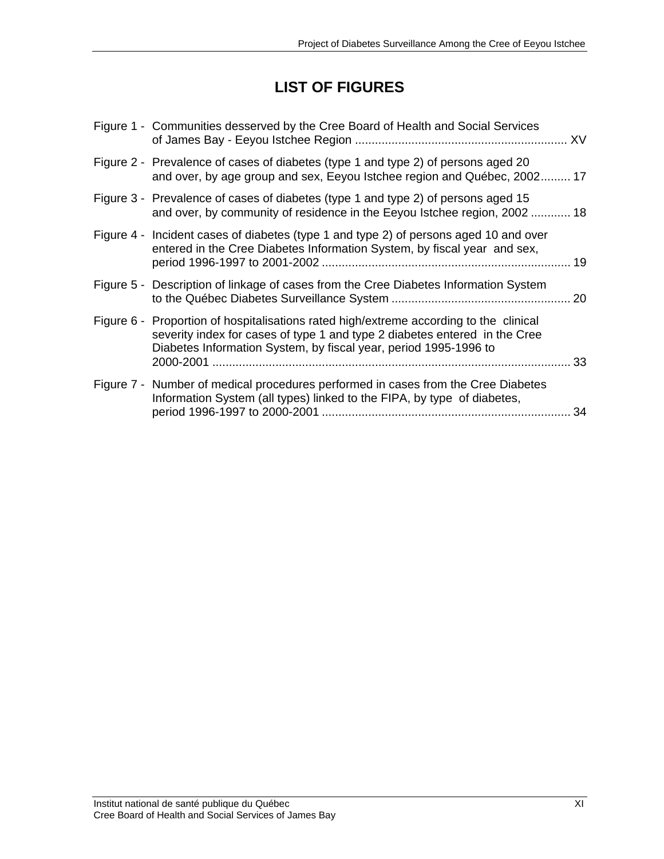## **LIST OF FIGURES**

| Figure 1 - Communities desserved by the Cree Board of Health and Social Services                                                                                                                                                         |
|------------------------------------------------------------------------------------------------------------------------------------------------------------------------------------------------------------------------------------------|
| Figure 2 - Prevalence of cases of diabetes (type 1 and type 2) of persons aged 20<br>and over, by age group and sex, Eeyou Istchee region and Québec, 2002 17                                                                            |
| Figure 3 - Prevalence of cases of diabetes (type 1 and type 2) of persons aged 15<br>and over, by community of residence in the Eeyou Istchee region, 2002 18                                                                            |
| Figure 4 - Incident cases of diabetes (type 1 and type 2) of persons aged 10 and over<br>entered in the Cree Diabetes Information System, by fiscal year and sex,                                                                        |
| Figure 5 - Description of linkage of cases from the Cree Diabetes Information System                                                                                                                                                     |
| Figure 6 - Proportion of hospitalisations rated high/extreme according to the clinical<br>severity index for cases of type 1 and type 2 diabetes entered in the Cree<br>Diabetes Information System, by fiscal year, period 1995-1996 to |
| Figure 7 - Number of medical procedures performed in cases from the Cree Diabetes<br>Information System (all types) linked to the FIPA, by type of diabetes,<br>-34                                                                      |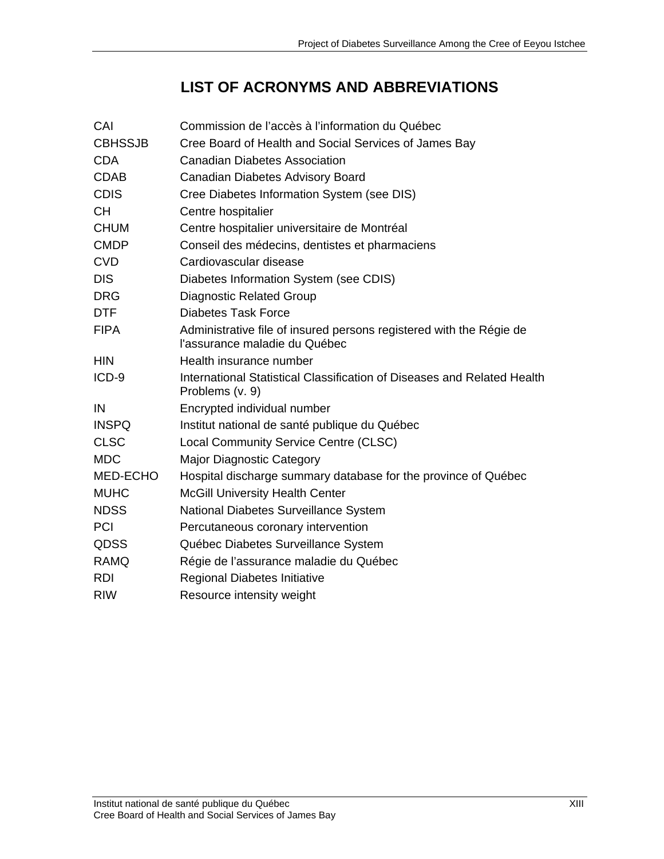# **LIST OF ACRONYMS AND ABBREVIATIONS**

| CAI            | Commission de l'accès à l'information du Québec                                                      |
|----------------|------------------------------------------------------------------------------------------------------|
| <b>CBHSSJB</b> | Cree Board of Health and Social Services of James Bay                                                |
| <b>CDA</b>     | <b>Canadian Diabetes Association</b>                                                                 |
| <b>CDAB</b>    | Canadian Diabetes Advisory Board                                                                     |
| <b>CDIS</b>    | Cree Diabetes Information System (see DIS)                                                           |
| <b>CH</b>      | Centre hospitalier                                                                                   |
| <b>CHUM</b>    | Centre hospitalier universitaire de Montréal                                                         |
| <b>CMDP</b>    | Conseil des médecins, dentistes et pharmaciens                                                       |
| <b>CVD</b>     | Cardiovascular disease                                                                               |
| <b>DIS</b>     | Diabetes Information System (see CDIS)                                                               |
| <b>DRG</b>     | <b>Diagnostic Related Group</b>                                                                      |
| <b>DTF</b>     | <b>Diabetes Task Force</b>                                                                           |
| <b>FIPA</b>    | Administrative file of insured persons registered with the Régie de<br>l'assurance maladie du Québec |
| <b>HIN</b>     | Health insurance number                                                                              |
| ICD-9          | International Statistical Classification of Diseases and Related Health<br>Problems (v. 9)           |
| IN             | Encrypted individual number                                                                          |
| <b>INSPQ</b>   | Institut national de santé publique du Québec                                                        |
| <b>CLSC</b>    | Local Community Service Centre (CLSC)                                                                |
| <b>MDC</b>     | <b>Major Diagnostic Category</b>                                                                     |
| MED-ECHO       | Hospital discharge summary database for the province of Québec                                       |
| <b>MUHC</b>    | <b>McGill University Health Center</b>                                                               |
| <b>NDSS</b>    | National Diabetes Surveillance System                                                                |
| <b>PCI</b>     | Percutaneous coronary intervention                                                                   |
| <b>QDSS</b>    | Québec Diabetes Surveillance System                                                                  |
| <b>RAMQ</b>    | Régie de l'assurance maladie du Québec                                                               |
| <b>RDI</b>     | <b>Regional Diabetes Initiative</b>                                                                  |
| <b>RIW</b>     | Resource intensity weight                                                                            |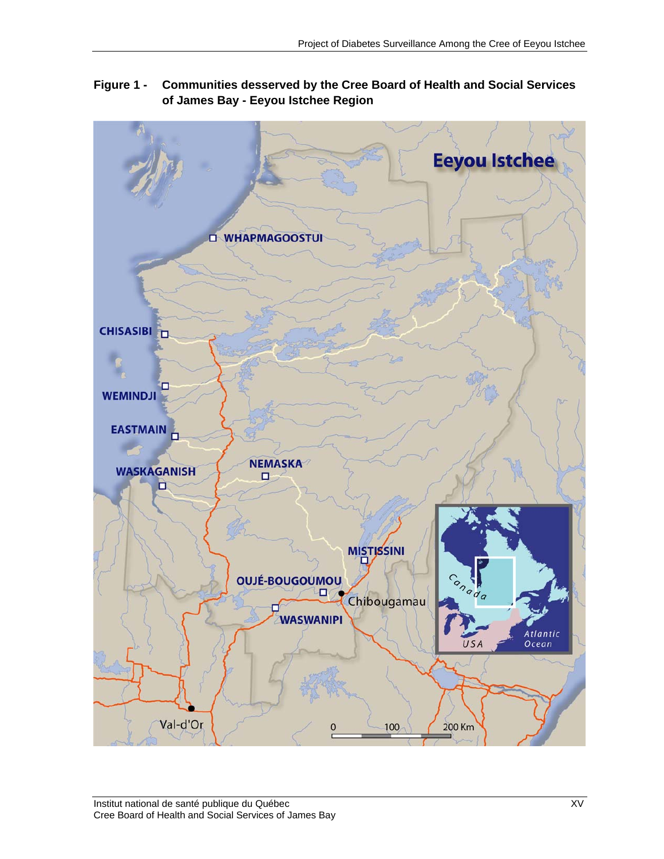

**Figure 1 - Communities desserved by the Cree Board of Health and Social Services of James Bay - Eeyou Istchee Region**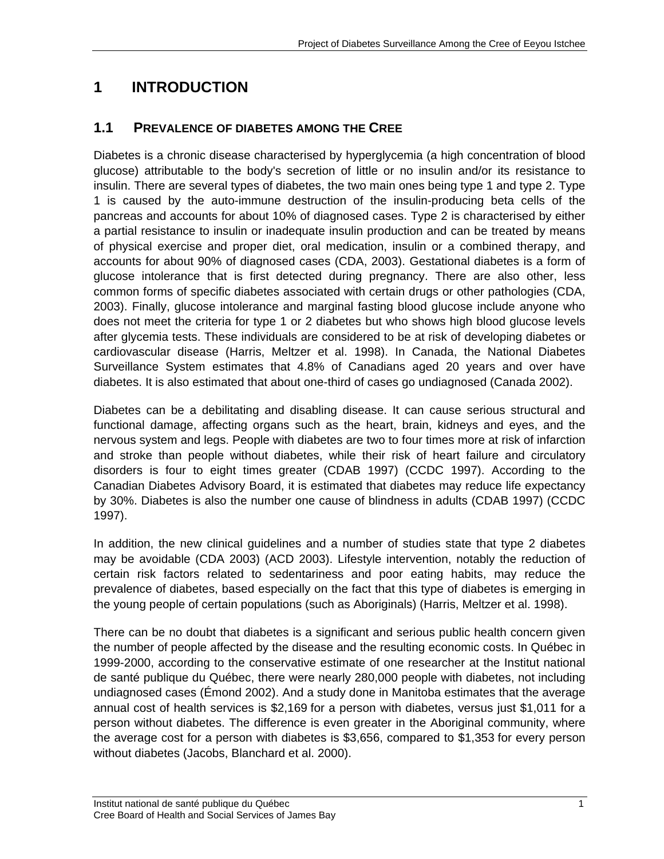### **1 INTRODUCTION**

### **1.1 PREVALENCE OF DIABETES AMONG THE CREE**

Diabetes is a chronic disease characterised by hyperglycemia (a high concentration of blood glucose) attributable to the body's secretion of little or no insulin and/or its resistance to insulin. There are several types of diabetes, the two main ones being type 1 and type 2. Type 1 is caused by the auto-immune destruction of the insulin-producing beta cells of the pancreas and accounts for about 10% of diagnosed cases. Type 2 is characterised by either a partial resistance to insulin or inadequate insulin production and can be treated by means of physical exercise and proper diet, oral medication, insulin or a combined therapy, and accounts for about 90% of diagnosed cases (CDA, 2003). Gestational diabetes is a form of glucose intolerance that is first detected during pregnancy. There are also other, less common forms of specific diabetes associated with certain drugs or other pathologies (CDA, 2003). Finally, glucose intolerance and marginal fasting blood glucose include anyone who does not meet the criteria for type 1 or 2 diabetes but who shows high blood glucose levels after glycemia tests. These individuals are considered to be at risk of developing diabetes or cardiovascular disease (Harris, Meltzer et al. 1998). In Canada, the National Diabetes Surveillance System estimates that 4.8% of Canadians aged 20 years and over have diabetes. It is also estimated that about one-third of cases go undiagnosed (Canada 2002).

Diabetes can be a debilitating and disabling disease. It can cause serious structural and functional damage, affecting organs such as the heart, brain, kidneys and eyes, and the nervous system and legs. People with diabetes are two to four times more at risk of infarction and stroke than people without diabetes, while their risk of heart failure and circulatory disorders is four to eight times greater (CDAB 1997) (CCDC 1997). According to the Canadian Diabetes Advisory Board, it is estimated that diabetes may reduce life expectancy by 30%. Diabetes is also the number one cause of blindness in adults (CDAB 1997) (CCDC 1997).

In addition, the new clinical guidelines and a number of studies state that type 2 diabetes may be avoidable (CDA 2003) (ACD 2003). Lifestyle intervention, notably the reduction of certain risk factors related to sedentariness and poor eating habits, may reduce the prevalence of diabetes, based especially on the fact that this type of diabetes is emerging in the young people of certain populations (such as Aboriginals) (Harris, Meltzer et al. 1998).

There can be no doubt that diabetes is a significant and serious public health concern given the number of people affected by the disease and the resulting economic costs. In Québec in 1999-2000, according to the conservative estimate of one researcher at the Institut national de santé publique du Québec, there were nearly 280,000 people with diabetes, not including undiagnosed cases (Émond 2002). And a study done in Manitoba estimates that the average annual cost of health services is \$2,169 for a person with diabetes, versus just \$1,011 for a person without diabetes. The difference is even greater in the Aboriginal community, where the average cost for a person with diabetes is \$3,656, compared to \$1,353 for every person without diabetes (Jacobs, Blanchard et al. 2000).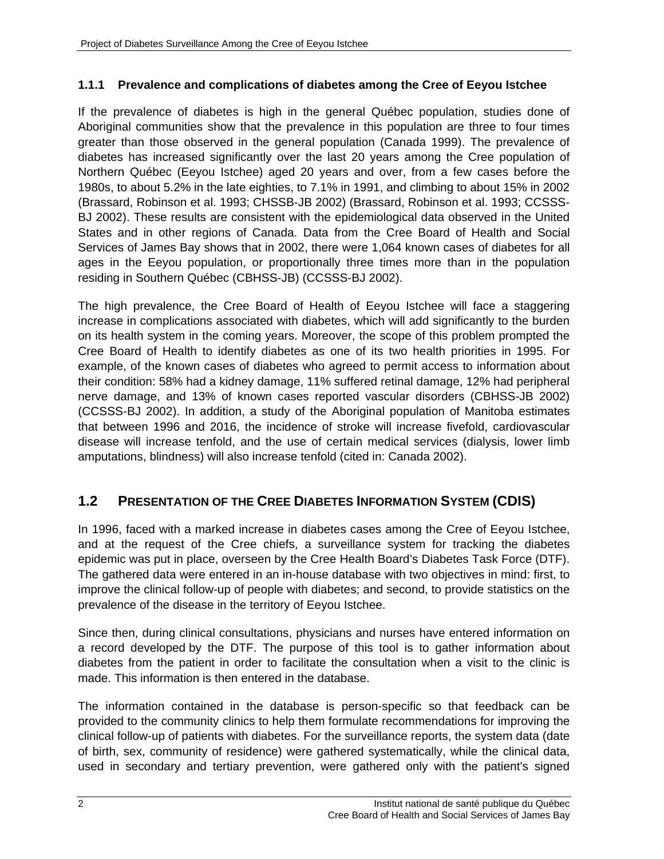### **1.1.1 Prevalence and complications of diabetes among the Cree of Eeyou Istchee**

If the prevalence of diabetes is high in the general Québec population, studies done of Aboriginal communities show that the prevalence in this population are three to four times greater than those observed in the general population (Canada 1999). The prevalence of diabetes has increased significantly over the last 20 years among the Cree population of Northern Québec (Eeyou Istchee) aged 20 years and over, from a few cases before the 1980s, to about 5.2% in the late eighties, to 7.1% in 1991, and climbing to about 15% in 2002 (Brassard, Robinson et al. 1993; CHSSB-JB 2002) (Brassard, Robinson et al. 1993; CCSSS-BJ 2002). These results are consistent with the epidemiological data observed in the United States and in other regions of Canada. Data from the Cree Board of Health and Social Services of James Bay shows that in 2002, there were 1,064 known cases of diabetes for all ages in the Eeyou population, or proportionally three times more than in the population residing in Southern Québec (CBHSS-JB) (CCSSS-BJ 2002).

The high prevalence, the Cree Board of Health of Eeyou Istchee will face a staggering increase in complications associated with diabetes, which will add significantly to the burden on its health system in the coming years. Moreover, the scope of this problem prompted the Cree Board of Health to identify diabetes as one of its two health priorities in 1995. For example, of the known cases of diabetes who agreed to permit access to information about their condition: 58% had a kidney damage, 11% suffered retinal damage, 12% had peripheral nerve damage, and 13% of known cases reported vascular disorders (CBHSS-JB 2002) (CCSSS-BJ 2002). In addition, a study of the Aboriginal population of Manitoba estimates that between 1996 and 2016, the incidence of stroke will increase fivefold, cardiovascular disease will increase tenfold, and the use of certain medical services (dialysis, lower limb amputations, blindness) will also increase tenfold (cited in: Canada 2002).

### **1.2 PRESENTATION OF THE CREE DIABETES INFORMATION SYSTEM (CDIS)**

In 1996, faced with a marked increase in diabetes cases among the Cree of Eeyou Istchee, and at the request of the Cree chiefs, a surveillance system for tracking the diabetes epidemic was put in place, overseen by the Cree Health Board's Diabetes Task Force (DTF). The gathered data were entered in an in-house database with two objectives in mind: first, to improve the clinical follow-up of people with diabetes; and second, to provide statistics on the prevalence of the disease in the territory of Eeyou Istchee.

Since then, during clinical consultations, physicians and nurses have entered information on a record developed by the DTF. The purpose of this tool is to gather information about diabetes from the patient in order to facilitate the consultation when a visit to the clinic is made. This information is then entered in the database.

The information contained in the database is person-specific so that feedback can be provided to the community clinics to help them formulate recommendations for improving the clinical follow-up of patients with diabetes. For the surveillance reports, the system data (date of birth, sex, community of residence) were gathered systematically, while the clinical data, used in secondary and tertiary prevention, were gathered only with the patient's signed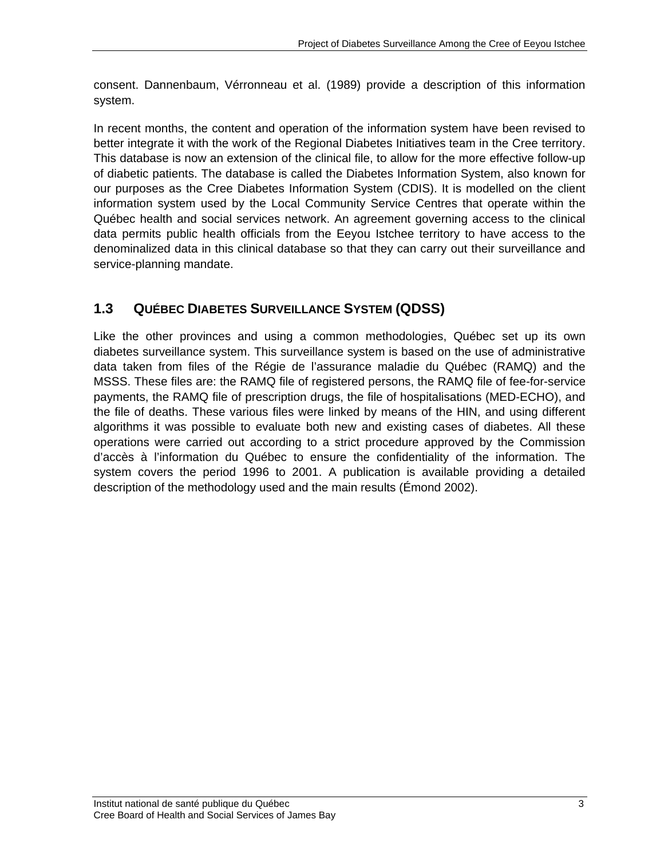consent. Dannenbaum, Vérronneau et al. (1989) provide a description of this information system.

In recent months, the content and operation of the information system have been revised to better integrate it with the work of the Regional Diabetes Initiatives team in the Cree territory. This database is now an extension of the clinical file, to allow for the more effective follow-up of diabetic patients. The database is called the Diabetes Information System, also known for our purposes as the Cree Diabetes Information System (CDIS). It is modelled on the client information system used by the Local Community Service Centres that operate within the Québec health and social services network. An agreement governing access to the clinical data permits public health officials from the Eeyou Istchee territory to have access to the denominalized data in this clinical database so that they can carry out their surveillance and service-planning mandate.

### **1.3 QUÉBEC DIABETES SURVEILLANCE SYSTEM (QDSS)**

Like the other provinces and using a common methodologies, Québec set up its own diabetes surveillance system. This surveillance system is based on the use of administrative data taken from files of the Régie de l'assurance maladie du Québec (RAMQ) and the MSSS. These files are: the RAMQ file of registered persons, the RAMQ file of fee-for-service payments, the RAMQ file of prescription drugs, the file of hospitalisations (MED-ECHO), and the file of deaths. These various files were linked by means of the HIN, and using different algorithms it was possible to evaluate both new and existing cases of diabetes. All these operations were carried out according to a strict procedure approved by the Commission d'accès à l'information du Québec to ensure the confidentiality of the information. The system covers the period 1996 to 2001. A publication is available providing a detailed description of the methodology used and the main results (Émond 2002).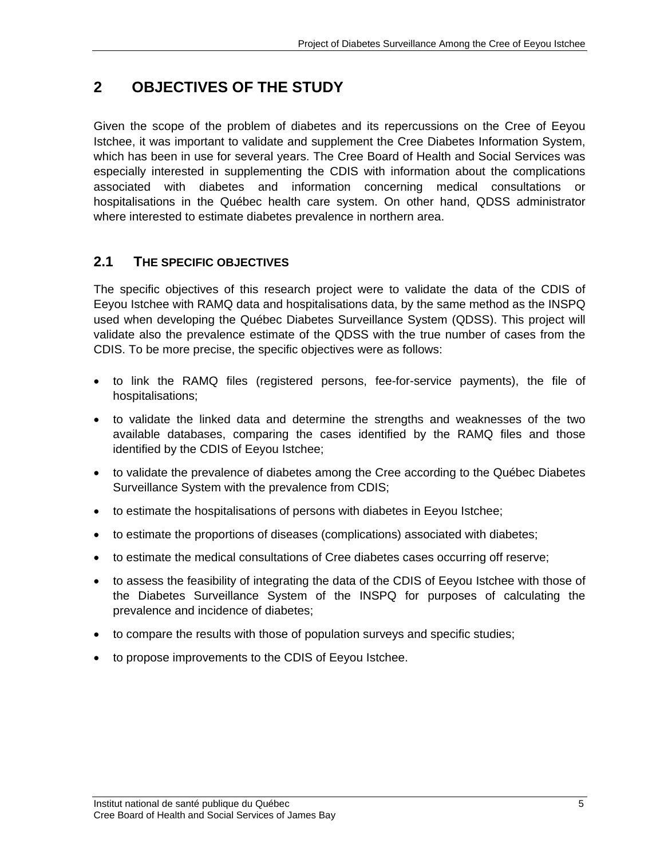### **2 OBJECTIVES OF THE STUDY**

Given the scope of the problem of diabetes and its repercussions on the Cree of Eeyou Istchee, it was important to validate and supplement the Cree Diabetes Information System, which has been in use for several years. The Cree Board of Health and Social Services was especially interested in supplementing the CDIS with information about the complications associated with diabetes and information concerning medical consultations or hospitalisations in the Québec health care system. On other hand, QDSS administrator where interested to estimate diabetes prevalence in northern area.

### **2.1 THE SPECIFIC OBJECTIVES**

The specific objectives of this research project were to validate the data of the CDIS of Eeyou Istchee with RAMQ data and hospitalisations data, by the same method as the INSPQ used when developing the Québec Diabetes Surveillance System (QDSS). This project will validate also the prevalence estimate of the QDSS with the true number of cases from the CDIS. To be more precise, the specific objectives were as follows:

- to link the RAMQ files (registered persons, fee-for-service payments), the file of hospitalisations;
- to validate the linked data and determine the strengths and weaknesses of the two available databases, comparing the cases identified by the RAMQ files and those identified by the CDIS of Eeyou Istchee;
- to validate the prevalence of diabetes among the Cree according to the Québec Diabetes Surveillance System with the prevalence from CDIS;
- to estimate the hospitalisations of persons with diabetes in Eeyou Istchee;
- to estimate the proportions of diseases (complications) associated with diabetes;
- to estimate the medical consultations of Cree diabetes cases occurring off reserve;
- to assess the feasibility of integrating the data of the CDIS of Eeyou Istchee with those of the Diabetes Surveillance System of the INSPQ for purposes of calculating the prevalence and incidence of diabetes;
- to compare the results with those of population surveys and specific studies;
- to propose improvements to the CDIS of Eeyou Istchee.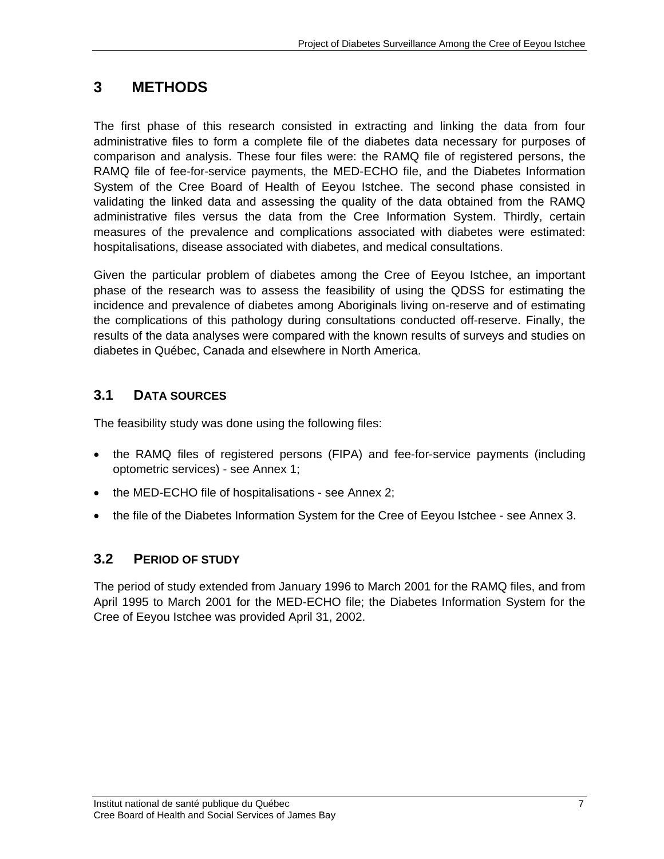### **3 METHODS**

The first phase of this research consisted in extracting and linking the data from four administrative files to form a complete file of the diabetes data necessary for purposes of comparison and analysis. These four files were: the RAMQ file of registered persons, the RAMQ file of fee-for-service payments, the MED-ECHO file, and the Diabetes Information System of the Cree Board of Health of Eeyou Istchee. The second phase consisted in validating the linked data and assessing the quality of the data obtained from the RAMQ administrative files versus the data from the Cree Information System. Thirdly, certain measures of the prevalence and complications associated with diabetes were estimated: hospitalisations, disease associated with diabetes, and medical consultations.

Given the particular problem of diabetes among the Cree of Eeyou Istchee, an important phase of the research was to assess the feasibility of using the QDSS for estimating the incidence and prevalence of diabetes among Aboriginals living on-reserve and of estimating the complications of this pathology during consultations conducted off-reserve. Finally, the results of the data analyses were compared with the known results of surveys and studies on diabetes in Québec, Canada and elsewhere in North America.

### **3.1 DATA SOURCES**

The feasibility study was done using the following files:

- the RAMQ files of registered persons (FIPA) and fee-for-service payments (including optometric services) - see Annex 1;
- the MED-ECHO file of hospitalisations see Annex 2;
- the file of the Diabetes Information System for the Cree of Eeyou Istchee see Annex 3.

### **3.2 PERIOD OF STUDY**

The period of study extended from January 1996 to March 2001 for the RAMQ files, and from April 1995 to March 2001 for the MED-ECHO file; the Diabetes Information System for the Cree of Eeyou Istchee was provided April 31, 2002.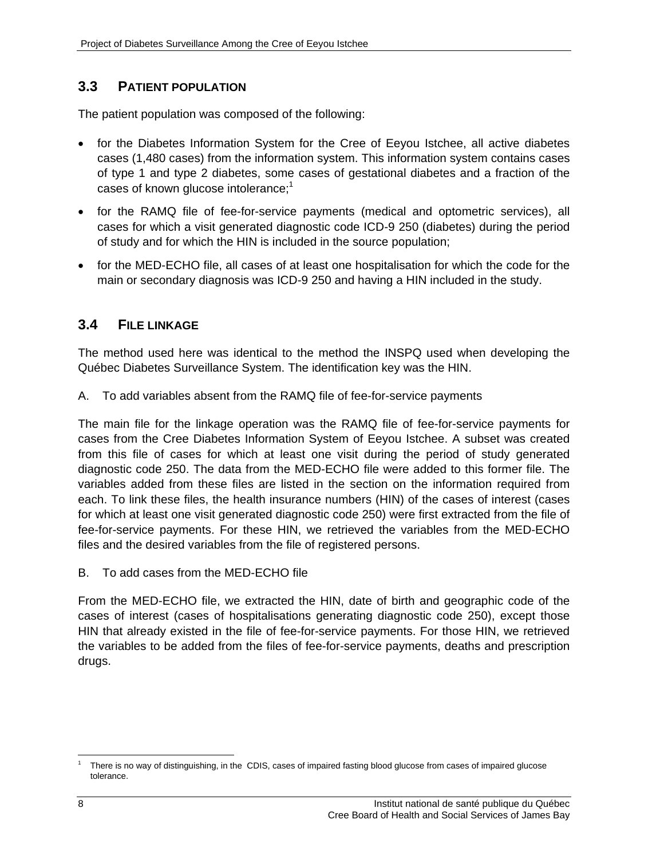### **3.3 PATIENT POPULATION**

The patient population was composed of the following:

- for the Diabetes Information System for the Cree of Eeyou Istchee, all active diabetes cases (1,480 cases) from the information system. This information system contains cases of type 1 and type 2 diabetes, some cases of gestational diabetes and a fraction of the cases of known glucose intolerance;<sup>1</sup>
- for the RAMQ file of fee-for-service payments (medical and optometric services), all cases for which a visit generated diagnostic code ICD-9 250 (diabetes) during the period of study and for which the HIN is included in the source population;
- for the MED-ECHO file, all cases of at least one hospitalisation for which the code for the main or secondary diagnosis was ICD-9 250 and having a HIN included in the study.

### **3.4 FILE LINKAGE**

The method used here was identical to the method the INSPQ used when developing the Québec Diabetes Surveillance System. The identification key was the HIN.

A. To add variables absent from the RAMQ file of fee-for-service payments

The main file for the linkage operation was the RAMQ file of fee-for-service payments for cases from the Cree Diabetes Information System of Eeyou Istchee. A subset was created from this file of cases for which at least one visit during the period of study generated diagnostic code 250. The data from the MED-ECHO file were added to this former file. The variables added from these files are listed in the section on the information required from each. To link these files, the health insurance numbers (HIN) of the cases of interest (cases for which at least one visit generated diagnostic code 250) were first extracted from the file of fee-for-service payments. For these HIN, we retrieved the variables from the MED-ECHO files and the desired variables from the file of registered persons.

B. To add cases from the MED-ECHO file

From the MED-ECHO file, we extracted the HIN, date of birth and geographic code of the cases of interest (cases of hospitalisations generating diagnostic code 250), except those HIN that already existed in the file of fee-for-service payments. For those HIN, we retrieved the variables to be added from the files of fee-for-service payments, deaths and prescription drugs.

 $\overline{a}$ 1 There is no way of distinguishing, in the CDIS, cases of impaired fasting blood glucose from cases of impaired glucose tolerance.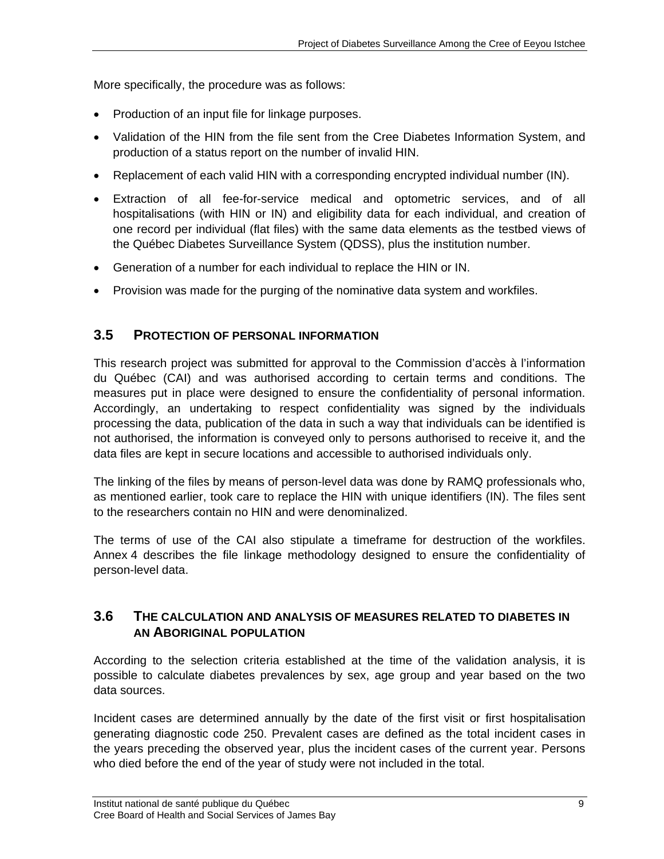More specifically, the procedure was as follows:

- Production of an input file for linkage purposes.
- Validation of the HIN from the file sent from the Cree Diabetes Information System, and production of a status report on the number of invalid HIN.
- Replacement of each valid HIN with a corresponding encrypted individual number (IN).
- Extraction of all fee-for-service medical and optometric services, and of all hospitalisations (with HIN or IN) and eligibility data for each individual, and creation of one record per individual (flat files) with the same data elements as the testbed views of the Québec Diabetes Surveillance System (QDSS), plus the institution number.
- Generation of a number for each individual to replace the HIN or IN.
- Provision was made for the purging of the nominative data system and workfiles.

### **3.5 PROTECTION OF PERSONAL INFORMATION**

This research project was submitted for approval to the Commission d'accès à l'information du Québec (CAI) and was authorised according to certain terms and conditions. The measures put in place were designed to ensure the confidentiality of personal information. Accordingly, an undertaking to respect confidentiality was signed by the individuals processing the data, publication of the data in such a way that individuals can be identified is not authorised, the information is conveyed only to persons authorised to receive it, and the data files are kept in secure locations and accessible to authorised individuals only.

The linking of the files by means of person-level data was done by RAMQ professionals who, as mentioned earlier, took care to replace the HIN with unique identifiers (IN). The files sent to the researchers contain no HIN and were denominalized.

The terms of use of the CAI also stipulate a timeframe for destruction of the workfiles. Annex 4 describes the file linkage methodology designed to ensure the confidentiality of person-level data.

### **3.6 THE CALCULATION AND ANALYSIS OF MEASURES RELATED TO DIABETES IN AN ABORIGINAL POPULATION**

According to the selection criteria established at the time of the validation analysis, it is possible to calculate diabetes prevalences by sex, age group and year based on the two data sources.

Incident cases are determined annually by the date of the first visit or first hospitalisation generating diagnostic code 250. Prevalent cases are defined as the total incident cases in the years preceding the observed year, plus the incident cases of the current year. Persons who died before the end of the year of study were not included in the total.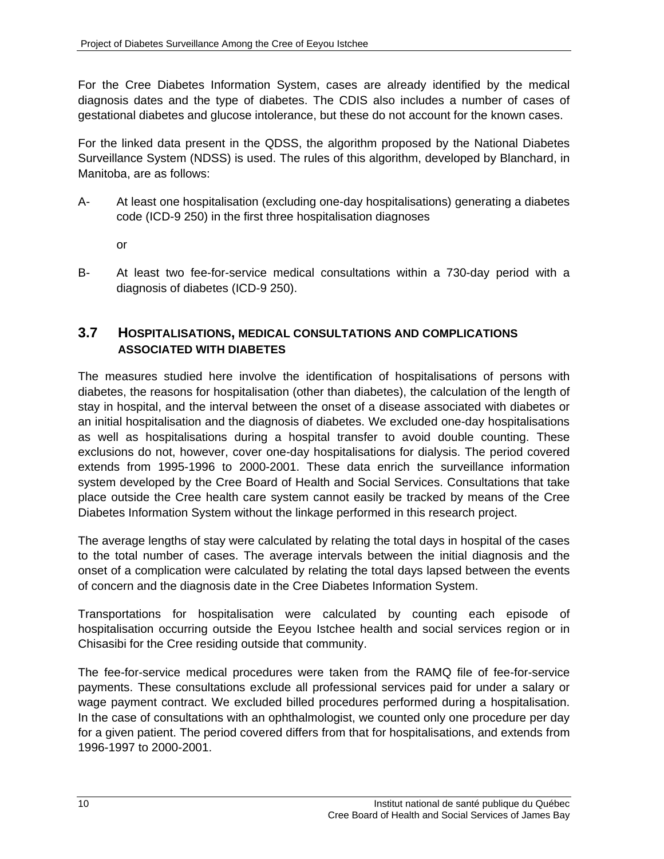For the Cree Diabetes Information System, cases are already identified by the medical diagnosis dates and the type of diabetes. The CDIS also includes a number of cases of gestational diabetes and glucose intolerance, but these do not account for the known cases.

For the linked data present in the QDSS, the algorithm proposed by the National Diabetes Surveillance System (NDSS) is used. The rules of this algorithm, developed by Blanchard, in Manitoba, are as follows:

- A- At least one hospitalisation (excluding one-day hospitalisations) generating a diabetes code (ICD-9 250) in the first three hospitalisation diagnoses
	- or
- B- At least two fee-for-service medical consultations within a 730-day period with a diagnosis of diabetes (ICD-9 250).

### **3.7 HOSPITALISATIONS, MEDICAL CONSULTATIONS AND COMPLICATIONS ASSOCIATED WITH DIABETES**

The measures studied here involve the identification of hospitalisations of persons with diabetes, the reasons for hospitalisation (other than diabetes), the calculation of the length of stay in hospital, and the interval between the onset of a disease associated with diabetes or an initial hospitalisation and the diagnosis of diabetes. We excluded one-day hospitalisations as well as hospitalisations during a hospital transfer to avoid double counting. These exclusions do not, however, cover one-day hospitalisations for dialysis. The period covered extends from 1995-1996 to 2000-2001. These data enrich the surveillance information system developed by the Cree Board of Health and Social Services. Consultations that take place outside the Cree health care system cannot easily be tracked by means of the Cree Diabetes Information System without the linkage performed in this research project.

The average lengths of stay were calculated by relating the total days in hospital of the cases to the total number of cases. The average intervals between the initial diagnosis and the onset of a complication were calculated by relating the total days lapsed between the events of concern and the diagnosis date in the Cree Diabetes Information System.

Transportations for hospitalisation were calculated by counting each episode of hospitalisation occurring outside the Eeyou Istchee health and social services region or in Chisasibi for the Cree residing outside that community.

The fee-for-service medical procedures were taken from the RAMQ file of fee-for-service payments. These consultations exclude all professional services paid for under a salary or wage payment contract. We excluded billed procedures performed during a hospitalisation. In the case of consultations with an ophthalmologist, we counted only one procedure per day for a given patient. The period covered differs from that for hospitalisations, and extends from 1996-1997 to 2000-2001.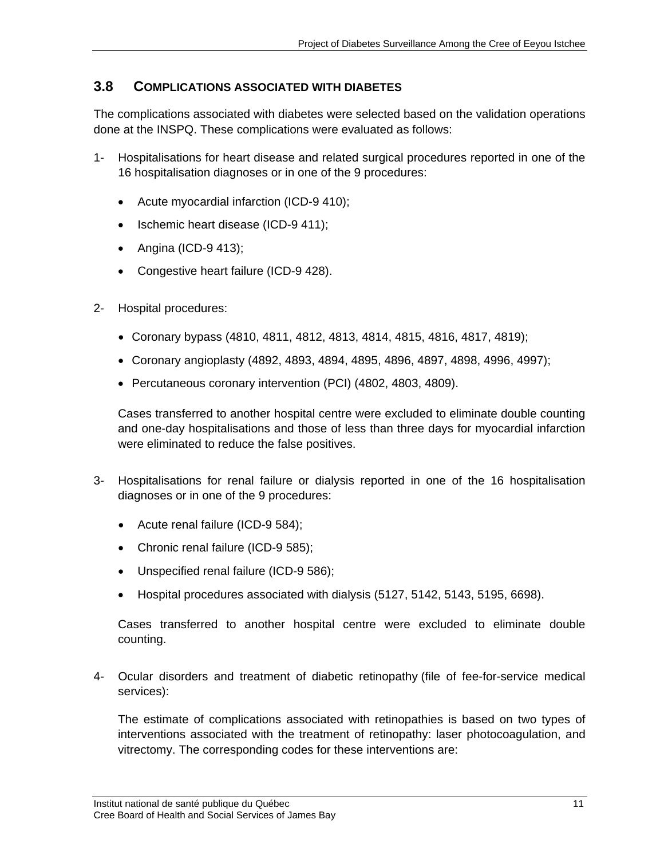### **3.8 COMPLICATIONS ASSOCIATED WITH DIABETES**

The complications associated with diabetes were selected based on the validation operations done at the INSPQ. These complications were evaluated as follows:

- 1- Hospitalisations for heart disease and related surgical procedures reported in one of the 16 hospitalisation diagnoses or in one of the 9 procedures:
	- Acute myocardial infarction (ICD-9 410);
	- Ischemic heart disease (ICD-9 411);
	- Angina (ICD-9 413);
	- Congestive heart failure (ICD-9 428).
- 2- Hospital procedures:
	- Coronary bypass (4810, 4811, 4812, 4813, 4814, 4815, 4816, 4817, 4819);
	- Coronary angioplasty (4892, 4893, 4894, 4895, 4896, 4897, 4898, 4996, 4997);
	- Percutaneous coronary intervention (PCI) (4802, 4803, 4809).

Cases transferred to another hospital centre were excluded to eliminate double counting and one-day hospitalisations and those of less than three days for myocardial infarction were eliminated to reduce the false positives.

- 3- Hospitalisations for renal failure or dialysis reported in one of the 16 hospitalisation diagnoses or in one of the 9 procedures:
	- Acute renal failure (ICD-9 584);
	- Chronic renal failure (ICD-9 585);
	- Unspecified renal failure (ICD-9 586);
	- Hospital procedures associated with dialysis (5127, 5142, 5143, 5195, 6698).

Cases transferred to another hospital centre were excluded to eliminate double counting.

4- Ocular disorders and treatment of diabetic retinopathy (file of fee-for-service medical services):

The estimate of complications associated with retinopathies is based on two types of interventions associated with the treatment of retinopathy: laser photocoagulation, and vitrectomy. The corresponding codes for these interventions are: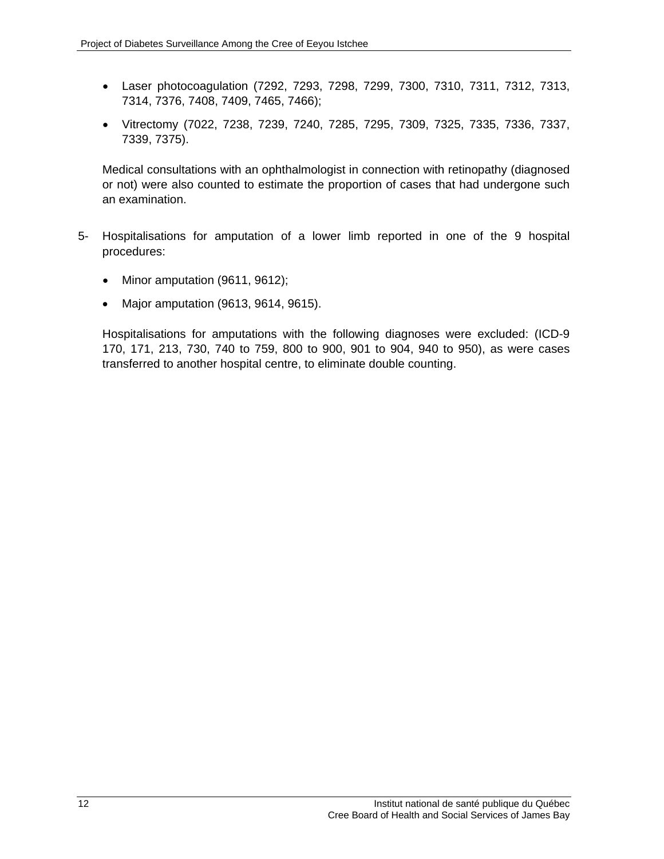- Laser photocoagulation (7292, 7293, 7298, 7299, 7300, 7310, 7311, 7312, 7313, 7314, 7376, 7408, 7409, 7465, 7466);
- Vitrectomy (7022, 7238, 7239, 7240, 7285, 7295, 7309, 7325, 7335, 7336, 7337, 7339, 7375).

Medical consultations with an ophthalmologist in connection with retinopathy (diagnosed or not) were also counted to estimate the proportion of cases that had undergone such an examination.

- 5- Hospitalisations for amputation of a lower limb reported in one of the 9 hospital procedures:
	- Minor amputation (9611, 9612);
	- Major amputation (9613, 9614, 9615).

Hospitalisations for amputations with the following diagnoses were excluded: (ICD-9 170, 171, 213, 730, 740 to 759, 800 to 900, 901 to 904, 940 to 950), as were cases transferred to another hospital centre, to eliminate double counting.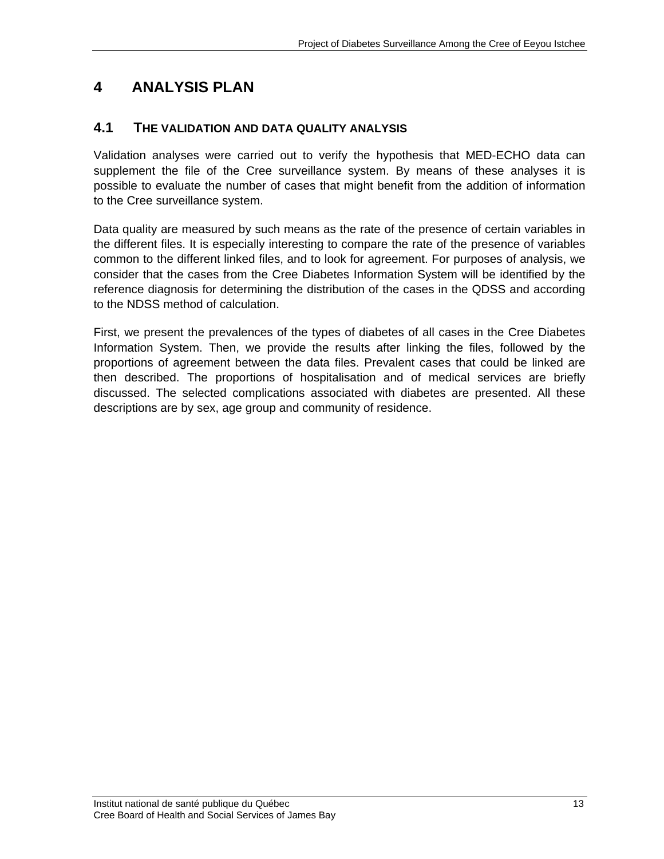### **4 ANALYSIS PLAN**

### **4.1 THE VALIDATION AND DATA QUALITY ANALYSIS**

Validation analyses were carried out to verify the hypothesis that MED-ECHO data can supplement the file of the Cree surveillance system. By means of these analyses it is possible to evaluate the number of cases that might benefit from the addition of information to the Cree surveillance system.

Data quality are measured by such means as the rate of the presence of certain variables in the different files. It is especially interesting to compare the rate of the presence of variables common to the different linked files, and to look for agreement. For purposes of analysis, we consider that the cases from the Cree Diabetes Information System will be identified by the reference diagnosis for determining the distribution of the cases in the QDSS and according to the NDSS method of calculation.

First, we present the prevalences of the types of diabetes of all cases in the Cree Diabetes Information System. Then, we provide the results after linking the files, followed by the proportions of agreement between the data files. Prevalent cases that could be linked are then described. The proportions of hospitalisation and of medical services are briefly discussed. The selected complications associated with diabetes are presented. All these descriptions are by sex, age group and community of residence.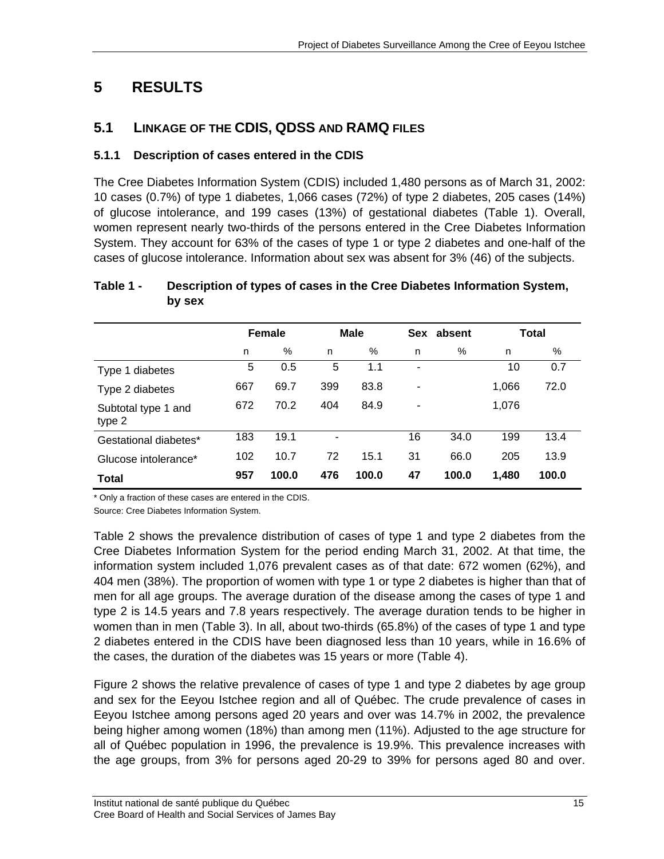## **5 RESULTS**

### **5.1 LINKAGE OF THE CDIS, QDSS AND RAMQ FILES**

### **5.1.1 Description of cases entered in the CDIS**

The Cree Diabetes Information System (CDIS) included 1,480 persons as of March 31, 2002: 10 cases (0.7%) of type 1 diabetes, 1,066 cases (72%) of type 2 diabetes, 205 cases (14%) of glucose intolerance, and 199 cases (13%) of gestational diabetes (Table 1). Overall, women represent nearly two-thirds of the persons entered in the Cree Diabetes Information System. They account for 63% of the cases of type 1 or type 2 diabetes and one-half of the cases of glucose intolerance. Information about sex was absent for 3% (46) of the subjects.

### **Female Male Sex absent Total**  n % n % n % n % Type 1 diabetes 5 0.5 5 1.1 - 10 0.7 Type 2 diabetes 667 69.7 399 83.8 - 1,066 72.0 Subtotal type 1 and type 2 672 70.2 404 84.9 - 1,076 Gestational diabetes<sup>\*</sup> 183 19.1 - 16 34.0 199 13.4 Glucose intolerance\* 102 10.7 72 15.1 31 66.0 205 13.9

**Total 957 100.0 476 100.0 47 100.0 1,480 100.0** 

### **Table 1 - Description of types of cases in the Cree Diabetes Information System, by sex**

\* Only a fraction of these cases are entered in the CDIS.

Source: Cree Diabetes Information System.

Table 2 shows the prevalence distribution of cases of type 1 and type 2 diabetes from the Cree Diabetes Information System for the period ending March 31, 2002. At that time, the information system included 1,076 prevalent cases as of that date: 672 women (62%), and 404 men (38%). The proportion of women with type 1 or type 2 diabetes is higher than that of men for all age groups. The average duration of the disease among the cases of type 1 and type 2 is 14.5 years and 7.8 years respectively. The average duration tends to be higher in women than in men (Table 3). In all, about two-thirds (65.8%) of the cases of type 1 and type 2 diabetes entered in the CDIS have been diagnosed less than 10 years, while in 16.6% of the cases, the duration of the diabetes was 15 years or more (Table 4).

Figure 2 shows the relative prevalence of cases of type 1 and type 2 diabetes by age group and sex for the Eeyou Istchee region and all of Québec. The crude prevalence of cases in Eeyou Istchee among persons aged 20 years and over was 14.7% in 2002, the prevalence being higher among women (18%) than among men (11%). Adjusted to the age structure for all of Québec population in 1996, the prevalence is 19.9%. This prevalence increases with the age groups, from 3% for persons aged 20-29 to 39% for persons aged 80 and over.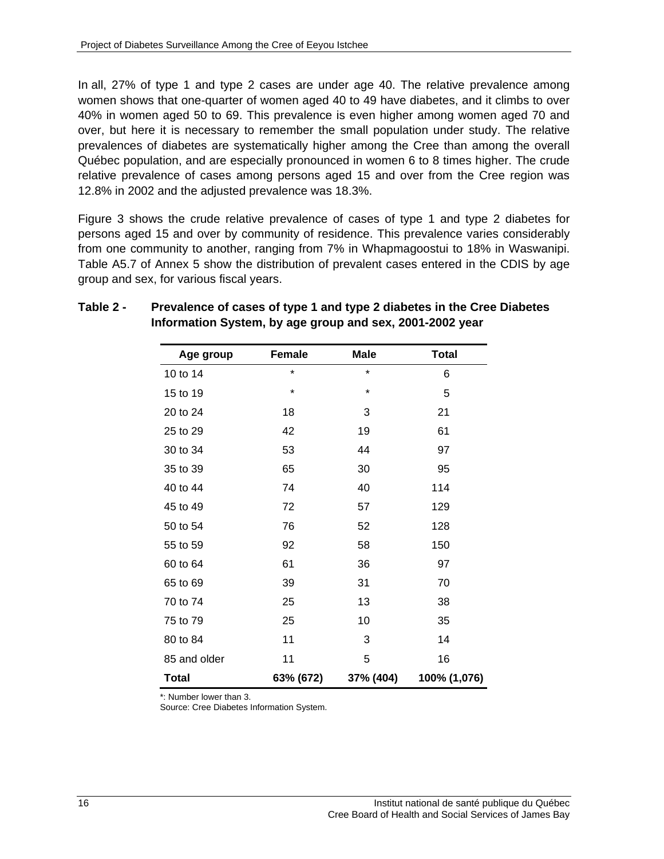In all, 27% of type 1 and type 2 cases are under age 40. The relative prevalence among women shows that one-quarter of women aged 40 to 49 have diabetes, and it climbs to over 40% in women aged 50 to 69. This prevalence is even higher among women aged 70 and over, but here it is necessary to remember the small population under study. The relative prevalences of diabetes are systematically higher among the Cree than among the overall Québec population, and are especially pronounced in women 6 to 8 times higher. The crude relative prevalence of cases among persons aged 15 and over from the Cree region was 12.8% in 2002 and the adjusted prevalence was 18.3%.

Figure 3 shows the crude relative prevalence of cases of type 1 and type 2 diabetes for persons aged 15 and over by community of residence. This prevalence varies considerably from one community to another, ranging from 7% in Whapmagoostui to 18% in Waswanipi. Table A5.7 of Annex 5 show the distribution of prevalent cases entered in the CDIS by age group and sex, for various fiscal years.

| Age group    | Female    | <b>Male</b> | <b>Total</b> |
|--------------|-----------|-------------|--------------|
| 10 to 14     | $\star$   | $\star$     | 6            |
| 15 to 19     | $\star$   | $\star$     | 5            |
| 20 to 24     | 18        | 3           | 21           |
| 25 to 29     | 42        | 19          | 61           |
| 30 to 34     | 53        | 44          | 97           |
| 35 to 39     | 65        | 30          | 95           |
| 40 to 44     | 74        | 40          | 114          |
| 45 to 49     | 72        | 57          | 129          |
| 50 to 54     | 76        | 52          | 128          |
| 55 to 59     | 92        | 58          | 150          |
| 60 to 64     | 61        | 36          | 97           |
| 65 to 69     | 39        | 31          | 70           |
| 70 to 74     | 25        | 13          | 38           |
| 75 to 79     | 25        | 10          | 35           |
| 80 to 84     | 11        | 3           | 14           |
| 85 and older | 11        | 5           | 16           |
| <b>Total</b> | 63% (672) | 37% (404)   | 100% (1,076) |

#### **Table 2 - Prevalence of cases of type 1 and type 2 diabetes in the Cree Diabetes Information System, by age group and sex, 2001-2002 year**

\*: Number lower than 3.

Source: Cree Diabetes Information System.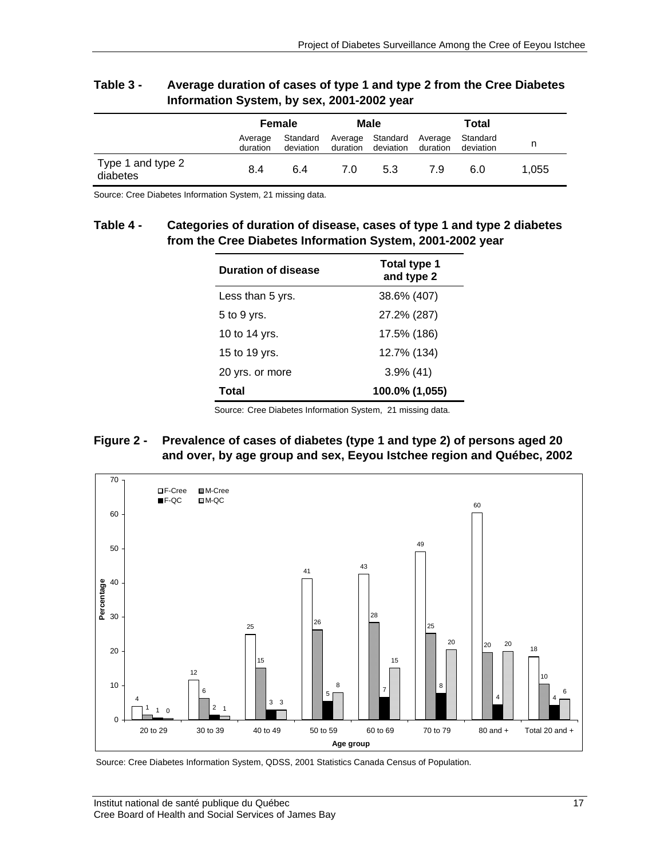|                               | Female              |                       | Male     |                                       | Total    |                       |       |
|-------------------------------|---------------------|-----------------------|----------|---------------------------------------|----------|-----------------------|-------|
|                               | Average<br>duration | Standard<br>deviation | duration | Average Standard Average<br>deviation | duration | Standard<br>deviation | n     |
| Type 1 and type 2<br>diabetes | 8.4                 | 6.4                   | 7.0      | 5.3                                   | 7.9      | 6.0                   | 1.055 |

#### **Table 3 - Average duration of cases of type 1 and type 2 from the Cree Diabetes Information System, by sex, 2001-2002 year**

Source: Cree Diabetes Information System, 21 missing data.

#### **Table 4 - Categories of duration of disease, cases of type 1 and type 2 diabetes from the Cree Diabetes Information System, 2001-2002 year**

| <b>Duration of disease</b> | Total type 1<br>and type 2 |
|----------------------------|----------------------------|
| Less than 5 yrs.           | 38.6% (407)                |
| 5 to 9 yrs.                | 27.2% (287)                |
| 10 to 14 yrs.              | 17.5% (186)                |
| 15 to 19 yrs.              | 12.7% (134)                |
| 20 yrs. or more            | $3.9\%$ (41)               |
| Total                      | 100.0% (1,055)             |

Source: Cree Diabetes Information System, 21 missing data.

#### **Figure 2 - Prevalence of cases of diabetes (type 1 and type 2) of persons aged 20 and over, by age group and sex, Eeyou Istchee region and Québec, 2002**



Source: Cree Diabetes Information System, QDSS, 2001 Statistics Canada Census of Population.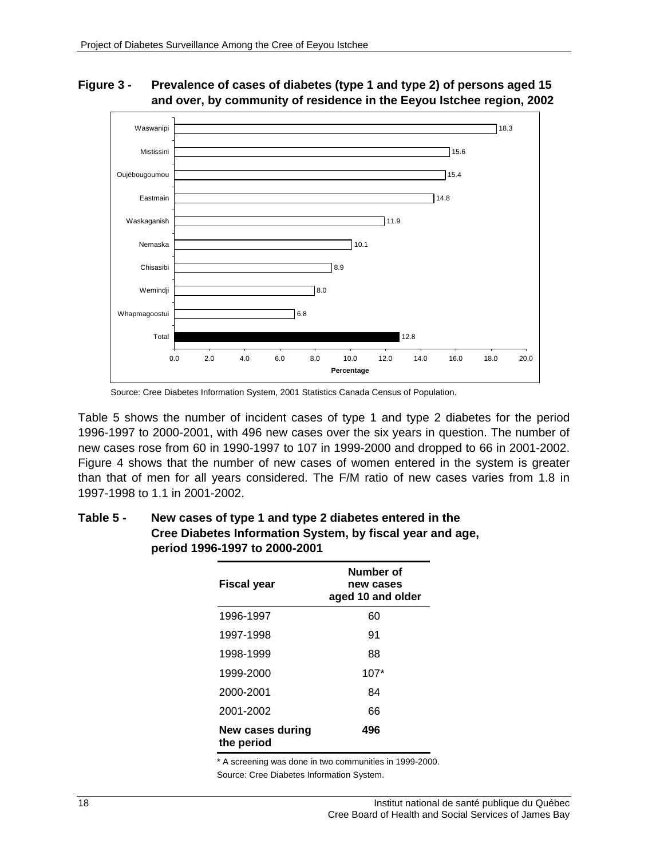#### 12.8 6.8  $78.0$  $78.9$  $710.1$ 11.9 14.8 15.4 15.6 18.3 0.0 2.0 4.0 6.0 8.0 10.0 12.0 14.0 16.0 18.0 20.0 Total Whapmagoostui Wemindii Chisasibi Nemaska Waskaganish Eastmain Oujébougoumou Mistissini Waswanipi **Percentage**

#### **Figure 3 - Prevalence of cases of diabetes (type 1 and type 2) of persons aged 15 and over, by community of residence in the Eeyou Istchee region, 2002**

Table 5 shows the number of incident cases of type 1 and type 2 diabetes for the period 1996-1997 to 2000-2001, with 496 new cases over the six years in question. The number of new cases rose from 60 in 1990-1997 to 107 in 1999-2000 and dropped to 66 in 2001-2002. Figure 4 shows that the number of new cases of women entered in the system is greater than that of men for all years considered. The F/M ratio of new cases varies from 1.8 in 1997-1998 to 1.1 in 2001-2002.

| <b>Fiscal year</b>             | Number of<br>new cases<br>aged 10 and older |
|--------------------------------|---------------------------------------------|
| 1996-1997                      | 60                                          |
| 1997-1998                      | 91                                          |
| 1998-1999                      | 88                                          |
| 1999-2000                      | $107*$                                      |
| 2000-2001                      | 84                                          |
| 2001-2002                      | 66                                          |
| New cases during<br>the period | 496                                         |

### **Table 5 - New cases of type 1 and type 2 diabetes entered in the Cree Diabetes Information System, by fiscal year and age, period 1996-1997 to 2000-2001**

\* A screening was done in two communities in 1999-2000.

Source: Cree Diabetes Information System.

Source: Cree Diabetes Information System, 2001 Statistics Canada Census of Population.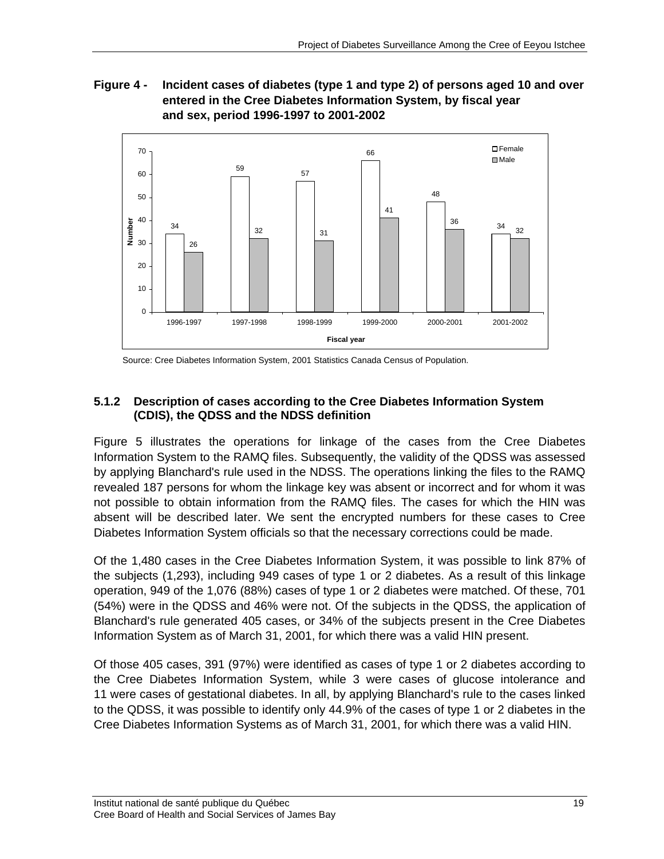**Figure 4 - Incident cases of diabetes (type 1 and type 2) of persons aged 10 and over entered in the Cree Diabetes Information System, by fiscal year and sex, period 1996-1997 to 2001-2002** 



Source: Cree Diabetes Information System, 2001 Statistics Canada Census of Population.

### **5.1.2 Description of cases according to the Cree Diabetes Information System (CDIS), the QDSS and the NDSS definition**

Figure 5 illustrates the operations for linkage of the cases from the Cree Diabetes Information System to the RAMQ files. Subsequently, the validity of the QDSS was assessed by applying Blanchard's rule used in the NDSS. The operations linking the files to the RAMQ revealed 187 persons for whom the linkage key was absent or incorrect and for whom it was not possible to obtain information from the RAMQ files. The cases for which the HIN was absent will be described later. We sent the encrypted numbers for these cases to Cree Diabetes Information System officials so that the necessary corrections could be made.

Of the 1,480 cases in the Cree Diabetes Information System, it was possible to link 87% of the subjects (1,293), including 949 cases of type 1 or 2 diabetes. As a result of this linkage operation, 949 of the 1,076 (88%) cases of type 1 or 2 diabetes were matched. Of these, 701 (54%) were in the QDSS and 46% were not. Of the subjects in the QDSS, the application of Blanchard's rule generated 405 cases, or 34% of the subjects present in the Cree Diabetes Information System as of March 31, 2001, for which there was a valid HIN present.

Of those 405 cases, 391 (97%) were identified as cases of type 1 or 2 diabetes according to the Cree Diabetes Information System, while 3 were cases of glucose intolerance and 11 were cases of gestational diabetes. In all, by applying Blanchard's rule to the cases linked to the QDSS, it was possible to identify only 44.9% of the cases of type 1 or 2 diabetes in the Cree Diabetes Information Systems as of March 31, 2001, for which there was a valid HIN.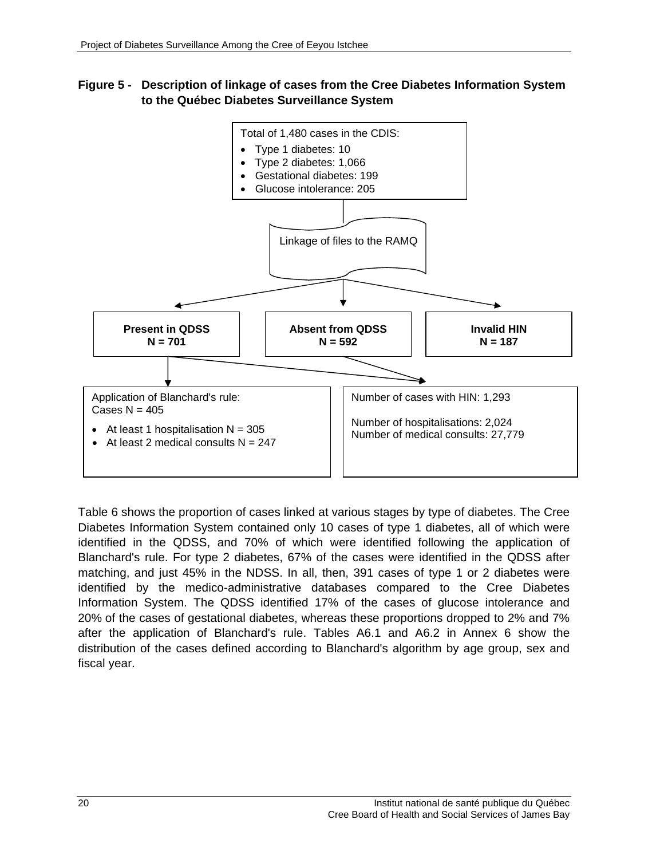#### **Figure 5 - Description of linkage of cases from the Cree Diabetes Information System to the Québec Diabetes Surveillance System**



Table 6 shows the proportion of cases linked at various stages by type of diabetes. The Cree Diabetes Information System contained only 10 cases of type 1 diabetes, all of which were identified in the QDSS, and 70% of which were identified following the application of Blanchard's rule. For type 2 diabetes, 67% of the cases were identified in the QDSS after matching, and just 45% in the NDSS. In all, then, 391 cases of type 1 or 2 diabetes were identified by the medico-administrative databases compared to the Cree Diabetes Information System. The QDSS identified 17% of the cases of glucose intolerance and 20% of the cases of gestational diabetes, whereas these proportions dropped to 2% and 7% after the application of Blanchard's rule. Tables A6.1 and A6.2 in Annex 6 show the distribution of the cases defined according to Blanchard's algorithm by age group, sex and fiscal year.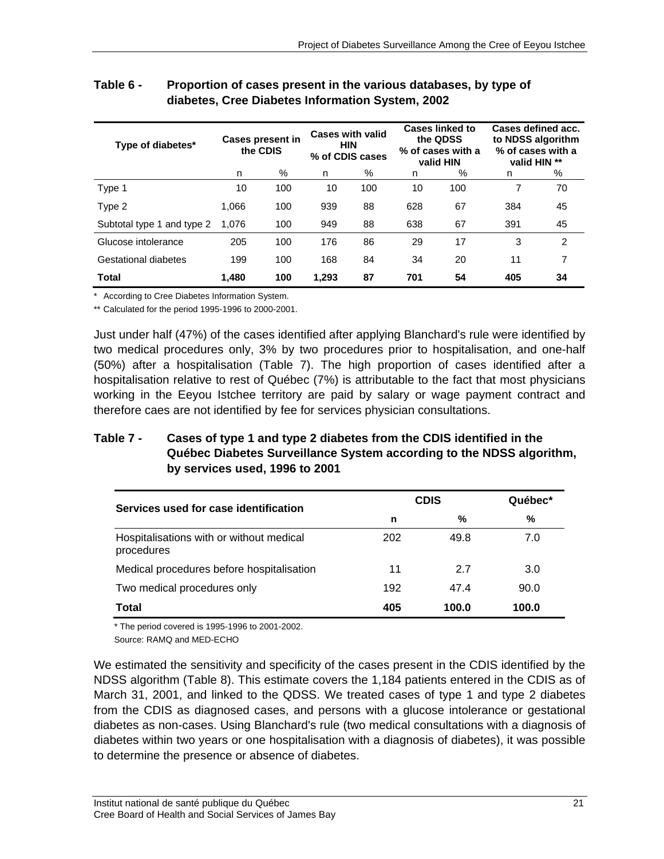| Type of diabetes*          | <b>Cases present in</b><br>the CDIS |     |       | <b>Cases with valid</b><br><b>HIN</b><br>% of CDIS cases |     | <b>Cases linked to</b><br>the QDSS<br>% of cases with a<br>valid HIN | Cases defined acc.<br>to NDSS algorithm<br>% of cases with a<br>valid HIN ** |               |
|----------------------------|-------------------------------------|-----|-------|----------------------------------------------------------|-----|----------------------------------------------------------------------|------------------------------------------------------------------------------|---------------|
|                            | n                                   | %   | n     | %                                                        | n   | %                                                                    | n                                                                            | %             |
| Type 1                     | 10                                  | 100 | 10    | 100                                                      | 10  | 100                                                                  | 7                                                                            | 70            |
| Type 2                     | 1.066                               | 100 | 939   | 88                                                       | 628 | 67                                                                   | 384                                                                          | 45            |
| Subtotal type 1 and type 2 | 1.076                               | 100 | 949   | 88                                                       | 638 | 67                                                                   | 391                                                                          | 45            |
| Glucose intolerance        | 205                                 | 100 | 176   | 86                                                       | 29  | 17                                                                   | 3                                                                            | $\mathcal{P}$ |
| Gestational diabetes       | 199                                 | 100 | 168   | 84                                                       | 34  | 20                                                                   | 11                                                                           | 7             |
| <b>Total</b>               | 1.480                               | 100 | 1.293 | 87                                                       | 701 | 54                                                                   | 405                                                                          | 34            |

#### **Table 6 - Proportion of cases present in the various databases, by type of diabetes, Cree Diabetes Information System, 2002**

\* According to Cree Diabetes Information System.

\*\* Calculated for the period 1995-1996 to 2000-2001.

Just under half (47%) of the cases identified after applying Blanchard's rule were identified by two medical procedures only, 3% by two procedures prior to hospitalisation, and one-half (50%) after a hospitalisation (Table 7). The high proportion of cases identified after a hospitalisation relative to rest of Québec (7%) is attributable to the fact that most physicians working in the Eeyou Istchee territory are paid by salary or wage payment contract and therefore caes are not identified by fee for services physician consultations.

### **Table 7 - Cases of type 1 and type 2 diabetes from the CDIS identified in the Québec Diabetes Surveillance System according to the NDSS algorithm, by services used, 1996 to 2001**

| Services used for case identification                  | <b>CDIS</b> | Québec* |       |  |
|--------------------------------------------------------|-------------|---------|-------|--|
|                                                        | n           | %       | %     |  |
| Hospitalisations with or without medical<br>procedures | 202         | 49.8    | 7.0   |  |
| Medical procedures before hospitalisation              | 11          | 27      | 3.0   |  |
| Two medical procedures only                            | 192         | 47.4    | 90.0  |  |
| Total                                                  | 405         | 100.0   | 100.0 |  |

\* The period covered is 1995-1996 to 2001-2002.

Source: RAMQ and MED-ECHO

We estimated the sensitivity and specificity of the cases present in the CDIS identified by the NDSS algorithm (Table 8). This estimate covers the 1,184 patients entered in the CDIS as of March 31, 2001, and linked to the QDSS. We treated cases of type 1 and type 2 diabetes from the CDIS as diagnosed cases, and persons with a glucose intolerance or gestational diabetes as non-cases. Using Blanchard's rule (two medical consultations with a diagnosis of diabetes within two years or one hospitalisation with a diagnosis of diabetes), it was possible to determine the presence or absence of diabetes.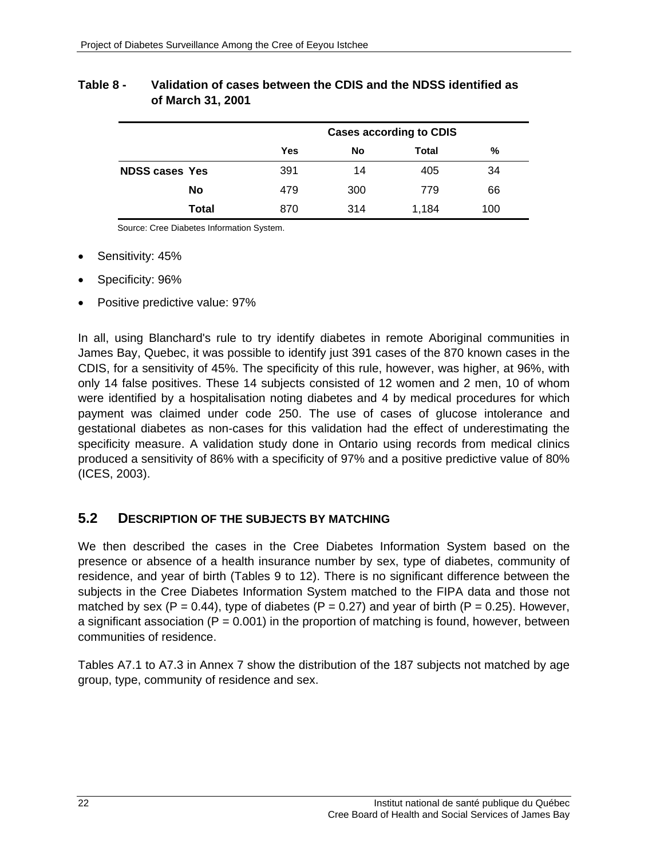### **Table 8 - Validation of cases between the CDIS and the NDSS identified as of March 31, 2001**

|                       |       |            | <b>Cases according to CDIS</b> |       |     |  |  |  |  |  |  |
|-----------------------|-------|------------|--------------------------------|-------|-----|--|--|--|--|--|--|
|                       |       | <b>Yes</b> | %<br>No<br>Total               |       |     |  |  |  |  |  |  |
| <b>NDSS cases Yes</b> |       | 391        | 14                             | 405   | 34  |  |  |  |  |  |  |
|                       | No    | 479        | 300                            | 779   | 66  |  |  |  |  |  |  |
|                       | Total | 870        | 314                            | 1,184 | 100 |  |  |  |  |  |  |

Source: Cree Diabetes Information System.

- Sensitivity: 45%
- Specificity: 96%
- Positive predictive value: 97%

In all, using Blanchard's rule to try identify diabetes in remote Aboriginal communities in James Bay, Quebec, it was possible to identify just 391 cases of the 870 known cases in the CDIS, for a sensitivity of 45%. The specificity of this rule, however, was higher, at 96%, with only 14 false positives. These 14 subjects consisted of 12 women and 2 men, 10 of whom were identified by a hospitalisation noting diabetes and 4 by medical procedures for which payment was claimed under code 250. The use of cases of glucose intolerance and gestational diabetes as non-cases for this validation had the effect of underestimating the specificity measure. A validation study done in Ontario using records from medical clinics produced a sensitivity of 86% with a specificity of 97% and a positive predictive value of 80% (ICES, 2003).

### **5.2 DESCRIPTION OF THE SUBJECTS BY MATCHING**

We then described the cases in the Cree Diabetes Information System based on the presence or absence of a health insurance number by sex, type of diabetes, community of residence, and year of birth (Tables 9 to 12). There is no significant difference between the subjects in the Cree Diabetes Information System matched to the FIPA data and those not matched by sex (P = 0.44), type of diabetes (P = 0.27) and year of birth (P = 0.25). However, a significant association ( $P = 0.001$ ) in the proportion of matching is found, however, between communities of residence.

Tables A7.1 to A7.3 in Annex 7 show the distribution of the 187 subjects not matched by age group, type, community of residence and sex.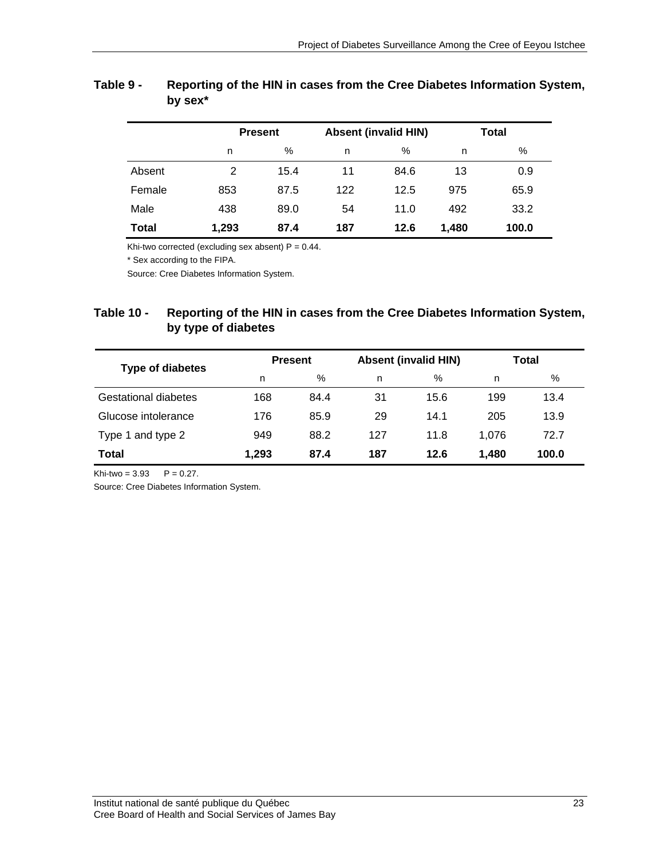|        |       | <b>Present</b> |     | <b>Absent (invalid HIN)</b> |       | <b>Total</b> |  |  |
|--------|-------|----------------|-----|-----------------------------|-------|--------------|--|--|
|        | n     | $\%$           | n   | %                           | n     | %            |  |  |
| Absent | 2     | 15.4           | 11  | 84.6                        | 13    | 0.9          |  |  |
| Female | 853   | 87.5           | 122 | 12.5                        | 975   | 65.9         |  |  |
| Male   | 438   | 89.0           | 54  | 11.0                        | 492   | 33.2         |  |  |
| Total  | 1,293 | 87.4           | 187 | 12.6                        | 1.480 | 100.0        |  |  |

### **Table 9 - Reporting of the HIN in cases from the Cree Diabetes Information System, by sex\***

Khi-two corrected (excluding sex absent)  $P = 0.44$ .

\* Sex according to the FIPA.

Source: Cree Diabetes Information System.

### **Table 10 - Reporting of the HIN in cases from the Cree Diabetes Information System, by type of diabetes**

| Type of diabetes     |       | <b>Present</b> |     | <b>Absent (invalid HIN)</b> | Total |       |  |
|----------------------|-------|----------------|-----|-----------------------------|-------|-------|--|
|                      | n     | %              | n   | %                           | n     | %     |  |
| Gestational diabetes | 168   | 84.4           | 31  | 15.6                        | 199   | 13.4  |  |
| Glucose intolerance  | 176   | 85.9           | 29  | 14.1                        | 205   | 13.9  |  |
| Type 1 and type 2    | 949   | 88.2           | 127 | 11.8                        | 1,076 | 72.7  |  |
| Total                | 1.293 | 87.4           | 187 | 12.6                        | 1.480 | 100.0 |  |

Khi-two =  $3.93$  P = 0.27.

Source: Cree Diabetes Information System.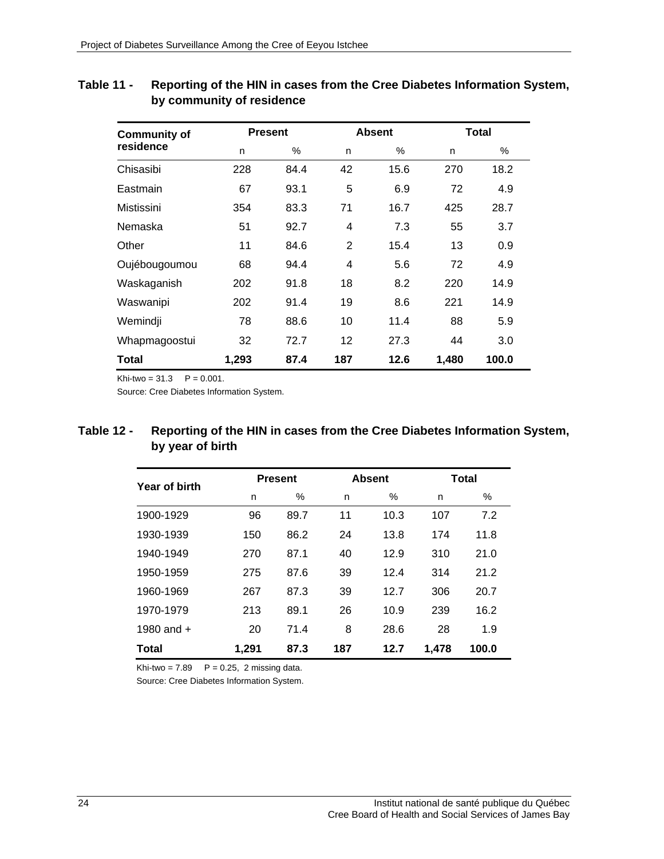| <b>Community of</b> |       | <b>Present</b> |                | <b>Absent</b> | Total |       |
|---------------------|-------|----------------|----------------|---------------|-------|-------|
| residence           | n     | $\%$           | n              | $\%$          | n     | %     |
| Chisasibi           | 228   | 84.4           | 42             | 15.6          | 270   | 18.2  |
| Eastmain            | 67    | 93.1           | 5              | 6.9           | 72    | 4.9   |
| Mistissini          | 354   | 83.3           | 71             | 16.7          | 425   | 28.7  |
| Nemaska             | 51    | 92.7           | 4              | 7.3           | 55    | 3.7   |
| Other               | 11    | 84.6           | $\overline{2}$ | 15.4          | 13    | 0.9   |
| Oujébougoumou       | 68    | 94.4           | 4              | 5.6           | 72    | 4.9   |
| Waskaganish         | 202   | 91.8           | 18             | 8.2           | 220   | 14.9  |
| Waswanipi           | 202   | 91.4           | 19             | 8.6           | 221   | 14.9  |
| Wemindji            | 78    | 88.6           | 10             | 11.4          | 88    | 5.9   |
| Whapmagoostui       | 32    | 72.7           | 12             | 27.3          | 44    | 3.0   |
| Total               | 1,293 | 87.4           | 187            | 12.6          | 1,480 | 100.0 |

### **Table 11 - Reporting of the HIN in cases from the Cree Diabetes Information System, by community of residence**

 $Khi$ -two = 31.3  $P = 0.001$ .

Source: Cree Diabetes Information System.

### **Table 12 - Reporting of the HIN in cases from the Cree Diabetes Information System, by year of birth**

| Year of birth |       | <b>Present</b> |     | <b>Absent</b> | <b>Total</b> |       |  |
|---------------|-------|----------------|-----|---------------|--------------|-------|--|
|               | n     | %              | n   | $\%$          | n            | %     |  |
| 1900-1929     | 96    | 89.7           | 11  | 10.3          | 107          | 7.2   |  |
| 1930-1939     | 150   | 86.2           | 24  | 13.8          | 174          | 11.8  |  |
| 1940-1949     | 270   | 87.1           | 40  | 12.9          | 310          | 21.0  |  |
| 1950-1959     | 275   | 87.6           | 39  | 12.4          | 314          | 21.2  |  |
| 1960-1969     | 267   | 87.3           | 39  | 12.7          | 306          | 20.7  |  |
| 1970-1979     | 213   | 89.1           | 26  | 10.9          | 239          | 16.2  |  |
| 1980 and $+$  | 20    | 71.4           | 8   | 28.6          | 28           | 1.9   |  |
| Total         | 1,291 | 87.3           | 187 | 12.7          | 1,478        | 100.0 |  |

Khi-two =  $7.89$   $P = 0.25$ , 2 missing data.

Source: Cree Diabetes Information System.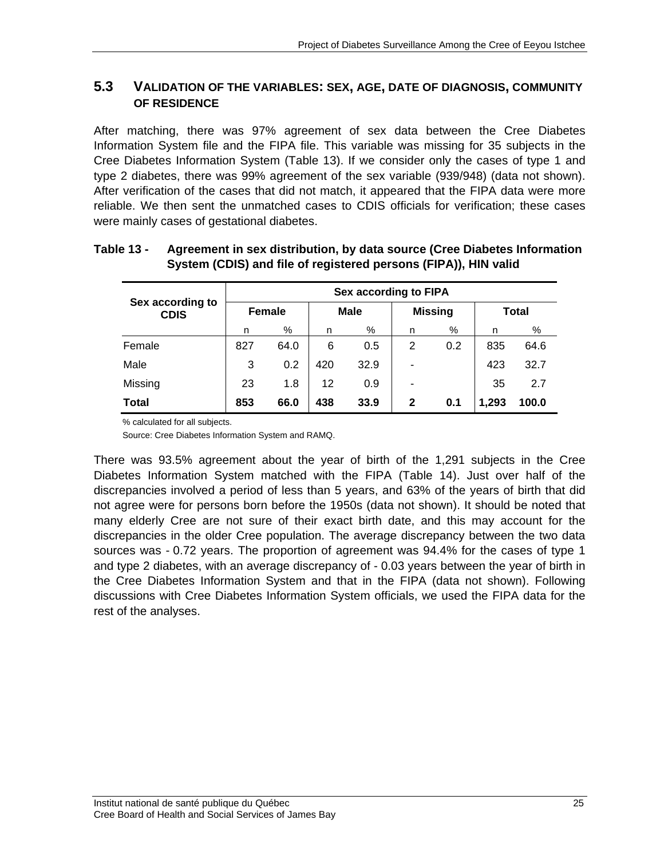### **5.3 VALIDATION OF THE VARIABLES: SEX, AGE, DATE OF DIAGNOSIS, COMMUNITY OF RESIDENCE**

After matching, there was 97% agreement of sex data between the Cree Diabetes Information System file and the FIPA file. This variable was missing for 35 subjects in the Cree Diabetes Information System (Table 13). If we consider only the cases of type 1 and type 2 diabetes, there was 99% agreement of the sex variable (939/948) (data not shown). After verification of the cases that did not match, it appeared that the FIPA data were more reliable. We then sent the unmatched cases to CDIS officials for verification; these cases were mainly cases of gestational diabetes.

| Sex according to<br><b>CDIS</b> | Sex according to FIPA |      |             |      |                |      |       |       |  |
|---------------------------------|-----------------------|------|-------------|------|----------------|------|-------|-------|--|
|                                 | <b>Female</b>         |      | <b>Male</b> |      | <b>Missing</b> |      | Total |       |  |
|                                 | n                     | %    | n           | %    | n              | $\%$ | n     | %     |  |
| Female                          | 827                   | 64.0 | 6           | 0.5  | 2              | 0.2  | 835   | 64.6  |  |
| Male                            | 3                     | 0.2  | 420         | 32.9 | ٠              |      | 423   | 32.7  |  |
| Missing                         | 23                    | 1.8  | 12          | 0.9  | ۰              |      | 35    | 2.7   |  |
| <b>Total</b>                    | 853                   | 66.0 | 438         | 33.9 | $\mathbf{2}$   | 0.1  | 1,293 | 100.0 |  |

### **Table 13 - Agreement in sex distribution, by data source (Cree Diabetes Information System (CDIS) and file of registered persons (FIPA)), HIN valid**

% calculated for all subjects.

Source: Cree Diabetes Information System and RAMQ.

There was 93.5% agreement about the year of birth of the 1,291 subjects in the Cree Diabetes Information System matched with the FIPA (Table 14). Just over half of the discrepancies involved a period of less than 5 years, and 63% of the years of birth that did not agree were for persons born before the 1950s (data not shown). It should be noted that many elderly Cree are not sure of their exact birth date, and this may account for the discrepancies in the older Cree population. The average discrepancy between the two data sources was - 0.72 years. The proportion of agreement was 94.4% for the cases of type 1 and type 2 diabetes, with an average discrepancy of - 0.03 years between the year of birth in the Cree Diabetes Information System and that in the FIPA (data not shown). Following discussions with Cree Diabetes Information System officials, we used the FIPA data for the rest of the analyses.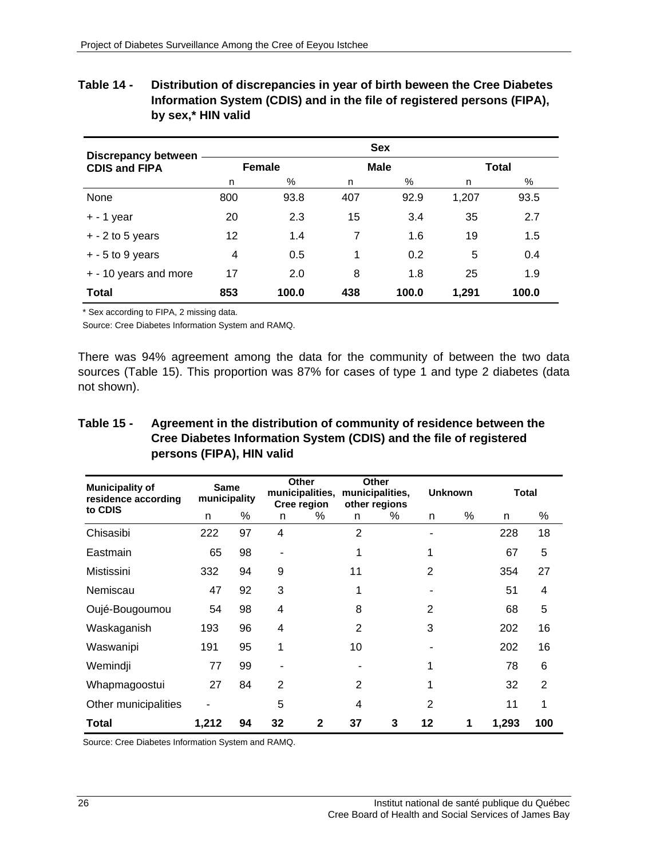| Table 14 - | Distribution of discrepancies in year of birth beween the Cree Diabetes |
|------------|-------------------------------------------------------------------------|
|            | Information System (CDIS) and in the file of registered persons (FIPA), |
|            | by sex,* HIN valid                                                      |

| <b>Discrepancy between</b> |               |       |             | <b>Sex</b> |       |              |  |
|----------------------------|---------------|-------|-------------|------------|-------|--------------|--|
| <b>CDIS and FIPA</b>       | <b>Female</b> |       | <b>Male</b> |            |       | <b>Total</b> |  |
|                            | n             | %     | n           | %          | n     | %            |  |
| None                       | 800           | 93.8  | 407         | 92.9       | 1,207 | 93.5         |  |
| $+ - 1$ year               | 20            | 2.3   | 15          | 3.4        | 35    | 2.7          |  |
| $+ - 2$ to 5 years         | 12            | 1.4   | 7           | 1.6        | 19    | 1.5          |  |
| $+ - 5$ to 9 years         | 4             | 0.5   | 1           | 0.2        | 5     | 0.4          |  |
| + - 10 years and more      | 17            | 2.0   | 8           | 1.8        | 25    | 1.9          |  |
| <b>Total</b>               | 853           | 100.0 | 438         | 100.0      | 1.291 | 100.0        |  |

\* Sex according to FIPA, 2 missing data.

Source: Cree Diabetes Information System and RAMQ.

There was 94% agreement among the data for the community of between the two data sources (Table 15). This proportion was 87% for cases of type 1 and type 2 diabetes (data not shown).

### **Table 15 - Agreement in the distribution of community of residence between the Cree Diabetes Information System (CDIS) and the file of registered persons (FIPA), HIN valid**

| <b>Municipality of</b><br>residence according | <b>Same</b><br>municipality |    |    | Other<br>municipalities,<br>Cree region |                | Other<br>municipalities.<br>other regions |    | <b>Unknown</b> | <b>Total</b> |     |
|-----------------------------------------------|-----------------------------|----|----|-----------------------------------------|----------------|-------------------------------------------|----|----------------|--------------|-----|
| to CDIS                                       | n                           | %  | n  | %                                       | n              | %                                         | n  | %              | n            | %   |
| Chisasibi                                     | 222                         | 97 | 4  |                                         | $\overline{2}$ |                                           |    |                | 228          | 18  |
| Eastmain                                      | 65                          | 98 |    |                                         |                |                                           |    |                | 67           | 5   |
| Mistissini                                    | 332                         | 94 | 9  |                                         | 11             |                                           | 2  |                | 354          | 27  |
| Nemiscau                                      | 47                          | 92 | 3  |                                         |                |                                           |    |                | 51           | 4   |
| Oujé-Bougoumou                                | 54                          | 98 | 4  |                                         | 8              |                                           | 2  |                | 68           | 5   |
| Waskaganish                                   | 193                         | 96 | 4  |                                         | 2              |                                           | 3  |                | 202          | 16  |
| Waswanipi                                     | 191                         | 95 | 1  |                                         | 10             |                                           |    |                | 202          | 16  |
| Wemindji                                      | 77                          | 99 |    |                                         |                |                                           |    |                | 78           | 6   |
| Whapmagoostui                                 | 27                          | 84 | 2  |                                         | 2              |                                           |    |                | 32           | 2   |
| Other municipalities                          |                             |    | 5  |                                         | 4              |                                           | 2  |                | 11           | 1   |
| Total                                         | 1,212                       | 94 | 32 | 2                                       | 37             | 3                                         | 12 | 1              | 1,293        | 100 |

Source: Cree Diabetes Information System and RAMQ.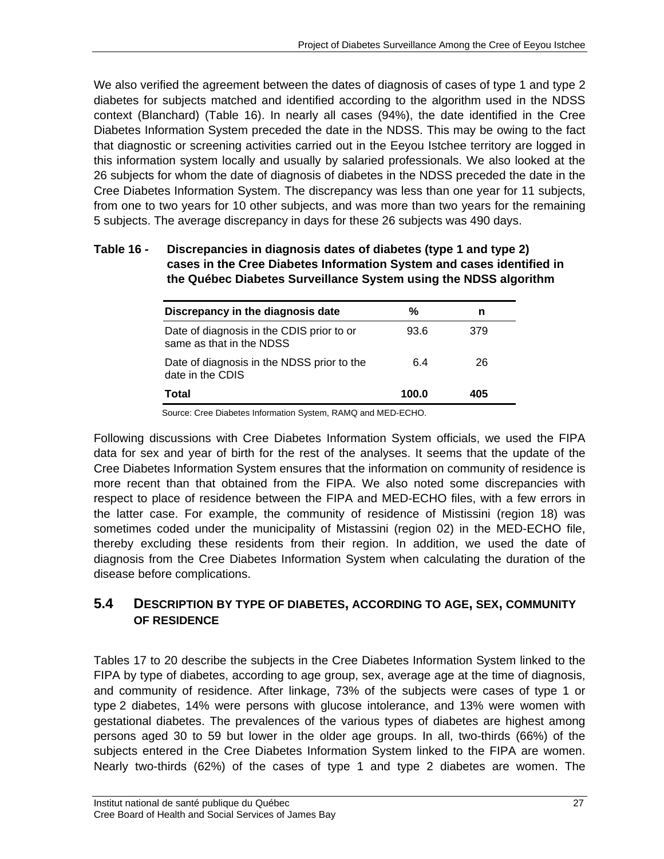We also verified the agreement between the dates of diagnosis of cases of type 1 and type 2 diabetes for subjects matched and identified according to the algorithm used in the NDSS context (Blanchard) (Table 16). In nearly all cases (94%), the date identified in the Cree Diabetes Information System preceded the date in the NDSS. This may be owing to the fact that diagnostic or screening activities carried out in the Eeyou Istchee territory are logged in this information system locally and usually by salaried professionals. We also looked at the 26 subjects for whom the date of diagnosis of diabetes in the NDSS preceded the date in the Cree Diabetes Information System. The discrepancy was less than one year for 11 subjects, from one to two years for 10 other subjects, and was more than two years for the remaining 5 subjects. The average discrepancy in days for these 26 subjects was 490 days.

#### **Table 16 - Discrepancies in diagnosis dates of diabetes (type 1 and type 2) cases in the Cree Diabetes Information System and cases identified in the Québec Diabetes Surveillance System using the NDSS algorithm**

| Discrepancy in the diagnosis date                                     | %     |     |  |
|-----------------------------------------------------------------------|-------|-----|--|
| Date of diagnosis in the CDIS prior to or<br>same as that in the NDSS | 93.6  | 379 |  |
| Date of diagnosis in the NDSS prior to the<br>date in the CDIS        | 6.4   | 26  |  |
| Total                                                                 | 100.0 | 405 |  |

Source: Cree Diabetes Information System, RAMQ and MED-ECHO.

Following discussions with Cree Diabetes Information System officials, we used the FIPA data for sex and year of birth for the rest of the analyses. It seems that the update of the Cree Diabetes Information System ensures that the information on community of residence is more recent than that obtained from the FIPA. We also noted some discrepancies with respect to place of residence between the FIPA and MED-ECHO files, with a few errors in the latter case. For example, the community of residence of Mistissini (region 18) was sometimes coded under the municipality of Mistassini (region 02) in the MED-ECHO file, thereby excluding these residents from their region. In addition, we used the date of diagnosis from the Cree Diabetes Information System when calculating the duration of the disease before complications.

## **5.4 DESCRIPTION BY TYPE OF DIABETES, ACCORDING TO AGE, SEX, COMMUNITY OF RESIDENCE**

Tables 17 to 20 describe the subjects in the Cree Diabetes Information System linked to the FIPA by type of diabetes, according to age group, sex, average age at the time of diagnosis, and community of residence. After linkage, 73% of the subjects were cases of type 1 or type 2 diabetes, 14% were persons with glucose intolerance, and 13% were women with gestational diabetes. The prevalences of the various types of diabetes are highest among persons aged 30 to 59 but lower in the older age groups. In all, two-thirds (66%) of the subjects entered in the Cree Diabetes Information System linked to the FIPA are women. Nearly two-thirds (62%) of the cases of type 1 and type 2 diabetes are women. The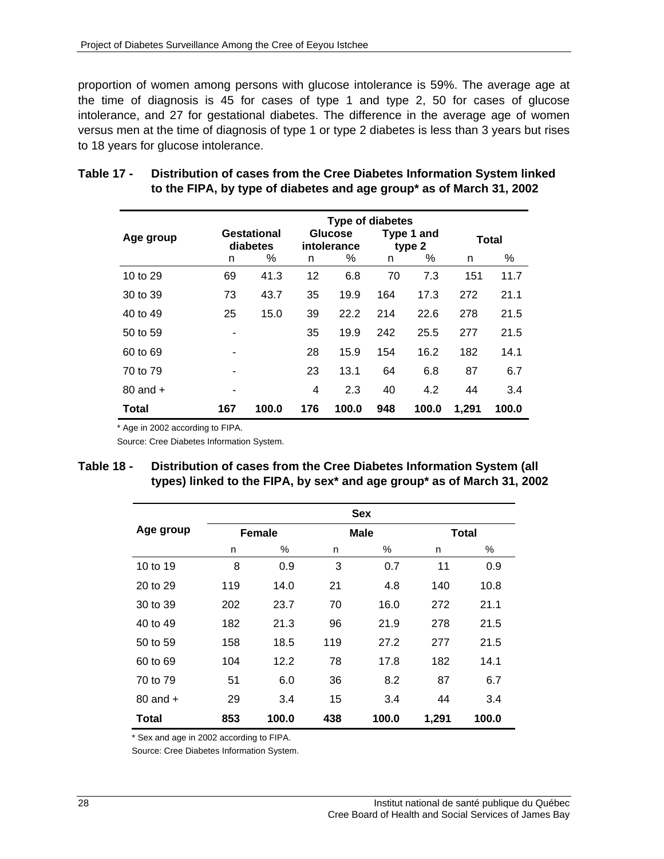proportion of women among persons with glucose intolerance is 59%. The average age at the time of diagnosis is 45 for cases of type 1 and type 2, 50 for cases of glucose intolerance, and 27 for gestational diabetes. The difference in the average age of women versus men at the time of diagnosis of type 1 or type 2 diabetes is less than 3 years but rises to 18 years for glucose intolerance.

|              |     |                         |     | <b>Type of diabetes</b> |     |                      |       |              |  |
|--------------|-----|-------------------------|-----|-------------------------|-----|----------------------|-------|--------------|--|
| Age group    |     | Gestational<br>diabetes |     | Glucose<br>intolerance  |     | Type 1 and<br>type 2 |       | <b>Total</b> |  |
|              | n   | %                       | n   | %                       | n   | %                    | n     | %            |  |
| 10 to 29     | 69  | 41.3                    | 12  | 6.8                     | 70  | 7.3                  | 151   | 11.7         |  |
| 30 to 39     | 73  | 43.7                    | 35  | 19.9                    | 164 | 17.3                 | 272   | 21.1         |  |
| 40 to 49     | 25  | 15.0                    | 39  | 22.2                    | 214 | 22.6                 | 278   | 21.5         |  |
| 50 to 59     |     |                         | 35  | 19.9                    | 242 | 25.5                 | 277   | 21.5         |  |
| 60 to 69     |     |                         | 28  | 15.9                    | 154 | 16.2                 | 182   | 14.1         |  |
| 70 to 79     |     |                         | 23  | 13.1                    | 64  | 6.8                  | 87    | 6.7          |  |
| $80$ and $+$ |     |                         | 4   | 2.3                     | 40  | 4.2                  | 44    | 3.4          |  |
| <b>Total</b> | 167 | 100.0                   | 176 | 100.0                   | 948 | 100.0                | 1,291 | 100.0        |  |

### **Table 17 - Distribution of cases from the Cree Diabetes Information System linked to the FIPA, by type of diabetes and age group\* as of March 31, 2002**

\* Age in 2002 according to FIPA.

Source: Cree Diabetes Information System.

### **Table 18 - Distribution of cases from the Cree Diabetes Information System (all types) linked to the FIPA, by sex\* and age group\* as of March 31, 2002**

|              | <b>Sex</b> |               |     |             |       |              |  |
|--------------|------------|---------------|-----|-------------|-------|--------------|--|
| Age group    |            | <b>Female</b> |     | <b>Male</b> |       | <b>Total</b> |  |
|              | n          | %             | n   | %           | n     | %            |  |
| 10 to 19     | 8          | 0.9           | 3   | 0.7         | 11    | 0.9          |  |
| 20 to 29     | 119        | 14.0          | 21  | 4.8         | 140   | 10.8         |  |
| 30 to 39     | 202        | 23.7          | 70  | 16.0        | 272   | 21.1         |  |
| 40 to 49     | 182        | 21.3          | 96  | 21.9        | 278   | 21.5         |  |
| 50 to 59     | 158        | 18.5          | 119 | 27.2        | 277   | 21.5         |  |
| 60 to 69     | 104        | 12.2          | 78  | 17.8        | 182   | 14.1         |  |
| 70 to 79     | 51         | 6.0           | 36  | 8.2         | 87    | 6.7          |  |
| $80$ and $+$ | 29         | 3.4           | 15  | 3.4         | 44    | 3.4          |  |
| <b>Total</b> | 853        | 100.0         | 438 | 100.0       | 1,291 | 100.0        |  |

\* Sex and age in 2002 according to FIPA.

Source: Cree Diabetes Information System.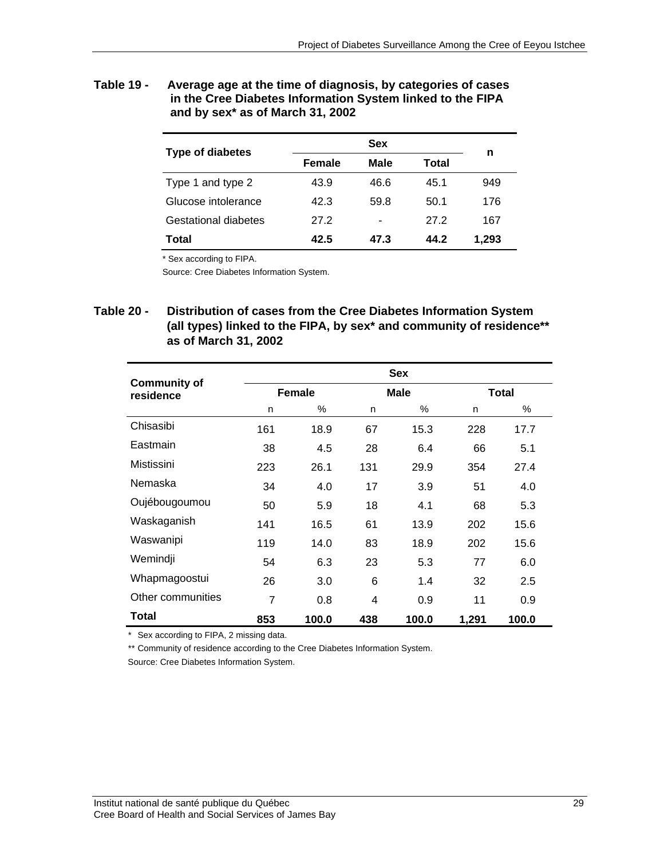**Table 19 - Average age at the time of diagnosis, by categories of cases in the Cree Diabetes Information System linked to the FIPA and by sex\* as of March 31, 2002** 

| <b>Type of diabetes</b>     |               | n    |       |       |  |
|-----------------------------|---------------|------|-------|-------|--|
|                             | <b>Female</b> | Male | Total |       |  |
| Type 1 and type 2           | 43.9          | 46.6 | 45.1  | 949   |  |
| Glucose intolerance         | 42.3          | 59.8 | 50.1  | 176   |  |
| <b>Gestational diabetes</b> | 27.2          | ۰    | 27.2  | 167   |  |
| Total                       | 42.5          | 47.3 | 44.2  | 1.293 |  |

\* Sex according to FIPA.

Source: Cree Diabetes Information System.

**Table 20 - Distribution of cases from the Cree Diabetes Information System (all types) linked to the FIPA, by sex\* and community of residence\*\* as of March 31, 2002** 

|                                  |                |               |     | <b>Sex</b> |       |              |
|----------------------------------|----------------|---------------|-----|------------|-------|--------------|
| <b>Community of</b><br>residence |                | <b>Female</b> |     | Male       |       | <b>Total</b> |
|                                  | n              | %             | n   | %          | n     | %            |
| Chisasibi                        | 161            | 18.9          | 67  | 15.3       | 228   | 17.7         |
| Eastmain                         | 38             | 4.5           | 28  | 6.4        | 66    | 5.1          |
| Mistissini                       | 223            | 26.1          | 131 | 29.9       | 354   | 27.4         |
| Nemaska                          | 34             | 4.0           | 17  | 3.9        | 51    | 4.0          |
| Oujébougoumou                    | 50             | 5.9           | 18  | 4.1        | 68    | 5.3          |
| Waskaganish                      | 141            | 16.5          | 61  | 13.9       | 202   | 15.6         |
| Waswanipi                        | 119            | 14.0          | 83  | 18.9       | 202   | 15.6         |
| Wemindji                         | 54             | 6.3           | 23  | 5.3        | 77    | 6.0          |
| Whapmagoostui                    | 26             | 3.0           | 6   | 1.4        | 32    | $2.5\,$      |
| Other communities                | $\overline{7}$ | 0.8           | 4   | 0.9        | 11    | 0.9          |
| Total                            | 853            | 100.0         | 438 | 100.0      | 1,291 | 100.0        |

\* Sex according to FIPA, 2 missing data.

\*\* Community of residence according to the Cree Diabetes Information System.

Source: Cree Diabetes Information System.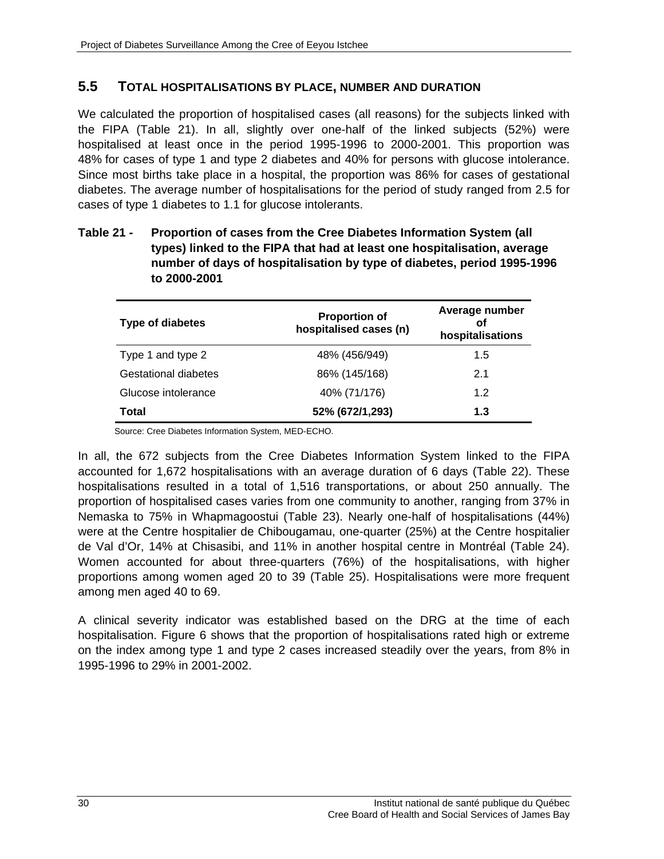## **5.5 TOTAL HOSPITALISATIONS BY PLACE, NUMBER AND DURATION**

We calculated the proportion of hospitalised cases (all reasons) for the subjects linked with the FIPA (Table 21). In all, slightly over one-half of the linked subjects (52%) were hospitalised at least once in the period 1995-1996 to 2000-2001. This proportion was 48% for cases of type 1 and type 2 diabetes and 40% for persons with glucose intolerance. Since most births take place in a hospital, the proportion was 86% for cases of gestational diabetes. The average number of hospitalisations for the period of study ranged from 2.5 for cases of type 1 diabetes to 1.1 for glucose intolerants.

### **Table 21 - Proportion of cases from the Cree Diabetes Information System (all types) linked to the FIPA that had at least one hospitalisation, average number of days of hospitalisation by type of diabetes, period 1995-1996 to 2000-2001**

| <b>Type of diabetes</b> | <b>Proportion of</b><br>hospitalised cases (n) | Average number<br>οf<br>hospitalisations |  |  |
|-------------------------|------------------------------------------------|------------------------------------------|--|--|
| Type 1 and type 2       | 48% (456/949)                                  | 1.5                                      |  |  |
| Gestational diabetes    | 86% (145/168)                                  | 2.1                                      |  |  |
| Glucose intolerance     | 40% (71/176)                                   | 1.2                                      |  |  |
| <b>Total</b>            | 52% (672/1,293)                                | 1.3                                      |  |  |

Source: Cree Diabetes Information System, MED-ECHO.

In all, the 672 subjects from the Cree Diabetes Information System linked to the FIPA accounted for 1,672 hospitalisations with an average duration of 6 days (Table 22). These hospitalisations resulted in a total of 1,516 transportations, or about 250 annually. The proportion of hospitalised cases varies from one community to another, ranging from 37% in Nemaska to 75% in Whapmagoostui (Table 23). Nearly one-half of hospitalisations (44%) were at the Centre hospitalier de Chibougamau, one-quarter (25%) at the Centre hospitalier de Val d'Or, 14% at Chisasibi, and 11% in another hospital centre in Montréal (Table 24). Women accounted for about three-quarters (76%) of the hospitalisations, with higher proportions among women aged 20 to 39 (Table 25). Hospitalisations were more frequent among men aged 40 to 69.

A clinical severity indicator was established based on the DRG at the time of each hospitalisation. Figure 6 shows that the proportion of hospitalisations rated high or extreme on the index among type 1 and type 2 cases increased steadily over the years, from 8% in 1995-1996 to 29% in 2001-2002.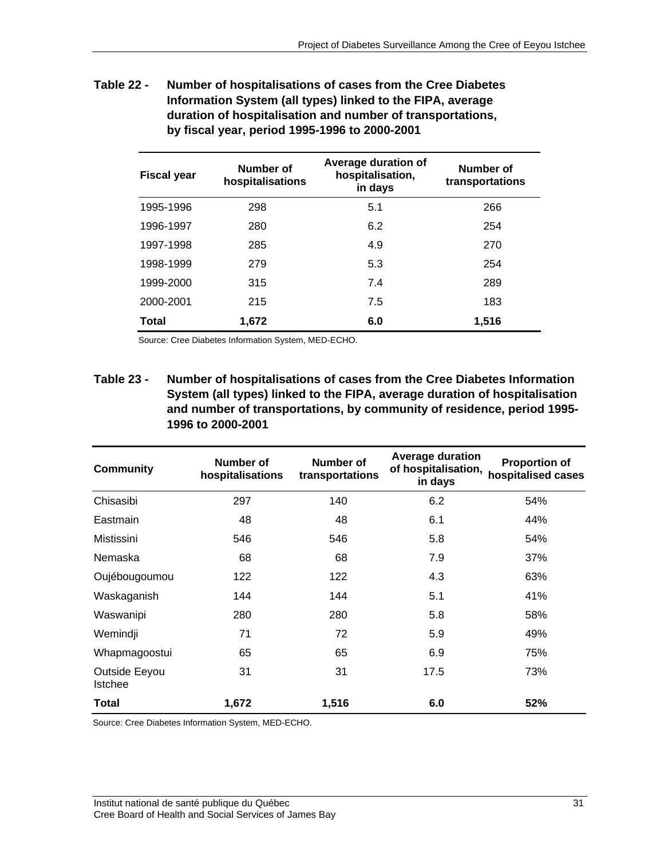**Table 22 - Number of hospitalisations of cases from the Cree Diabetes Information System (all types) linked to the FIPA, average duration of hospitalisation and number of transportations, by fiscal year, period 1995-1996 to 2000-2001** 

| <b>Fiscal year</b> | Number of<br>hospitalisations | Average duration of<br>hospitalisation,<br>in days | Number of<br>transportations |
|--------------------|-------------------------------|----------------------------------------------------|------------------------------|
| 1995-1996          | 298                           | 5.1                                                | 266                          |
| 1996-1997          | 280                           | 6.2                                                | 254                          |
| 1997-1998          | 285                           | 4.9                                                | 270                          |
| 1998-1999          | 279                           | 5.3                                                | 254                          |
| 1999-2000          | 315                           | 7.4                                                | 289                          |
| 2000-2001          | 215                           | 7.5                                                | 183                          |
| <b>Total</b>       | 1,672                         | 6.0                                                | 1,516                        |

Source: Cree Diabetes Information System, MED-ECHO.

**Table 23 - Number of hospitalisations of cases from the Cree Diabetes Information System (all types) linked to the FIPA, average duration of hospitalisation and number of transportations, by community of residence, period 1995- 1996 to 2000-2001** 

| <b>Community</b>                | Number of<br>hospitalisations | Number of<br>transportations | <b>Average duration</b><br>of hospitalisation,<br>in days | <b>Proportion of</b><br>hospitalised cases |
|---------------------------------|-------------------------------|------------------------------|-----------------------------------------------------------|--------------------------------------------|
| Chisasibi                       | 297                           | 140                          | 6.2                                                       | 54%                                        |
| Eastmain                        | 48                            | 48                           | 6.1                                                       | 44%                                        |
| Mistissini                      | 546                           | 546                          | 5.8                                                       | 54%                                        |
| Nemaska                         | 68                            | 68                           | 7.9                                                       | 37%                                        |
| Oujébougoumou                   | 122                           | 122                          | 4.3                                                       | 63%                                        |
| Waskaganish                     | 144                           | 144                          | 5.1                                                       | 41%                                        |
| Waswanipi                       | 280                           | 280                          | 5.8                                                       | 58%                                        |
| Wemindji                        | 71                            | 72                           | 5.9                                                       | 49%                                        |
| Whapmagoostui                   | 65                            | 65                           | 6.9                                                       | 75%                                        |
| Outside Eeyou<br><b>Istchee</b> | 31                            | 31                           | 17.5                                                      | 73%                                        |
| Total                           | 1,672                         | 1,516                        | 6.0                                                       | 52%                                        |

Source: Cree Diabetes Information System, MED-ECHO.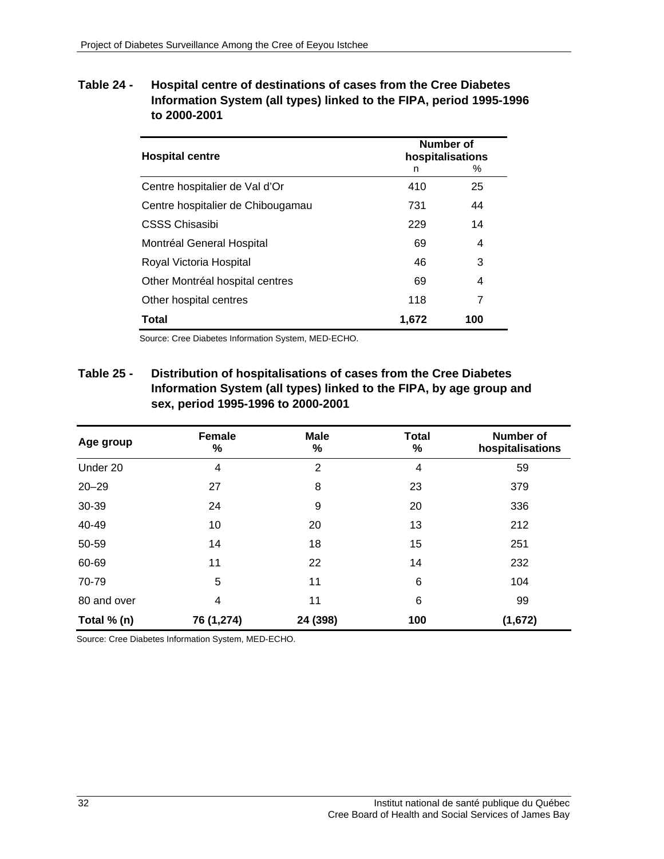**Table 24 - Hospital centre of destinations of cases from the Cree Diabetes Information System (all types) linked to the FIPA, period 1995-1996 to 2000-2001** 

| <b>Hospital centre</b>            | Number of<br>hospitalisations |     |  |  |
|-----------------------------------|-------------------------------|-----|--|--|
|                                   | n                             | %   |  |  |
| Centre hospitalier de Val d'Or    | 410                           | 25  |  |  |
| Centre hospitalier de Chibougamau | 731                           | 44  |  |  |
| <b>CSSS Chisasibi</b>             | 229                           | 14  |  |  |
| Montréal General Hospital         | 69                            | 4   |  |  |
| Royal Victoria Hospital           | 46                            | 3   |  |  |
| Other Montréal hospital centres   | 69                            | 4   |  |  |
| Other hospital centres            | 118                           | 7   |  |  |
| Total                             | 1,672                         | 100 |  |  |

Source: Cree Diabetes Information System, MED-ECHO.

**Table 25 - Distribution of hospitalisations of cases from the Cree Diabetes Information System (all types) linked to the FIPA, by age group and sex, period 1995-1996 to 2000-2001** 

| Age group   | <b>Female</b><br>$\%$ | <b>Male</b><br>$\%$ | <b>Total</b><br>% | <b>Number of</b><br>hospitalisations |
|-------------|-----------------------|---------------------|-------------------|--------------------------------------|
| Under 20    | 4                     | $\overline{2}$      | 4                 | 59                                   |
| $20 - 29$   | 27                    | 8                   | 23                | 379                                  |
| 30-39       | 24                    | 9                   | 20                | 336                                  |
| 40-49       | 10                    | 20                  | 13                | 212                                  |
| 50-59       | 14                    | 18                  | 15                | 251                                  |
| 60-69       | 11                    | 22                  | 14                | 232                                  |
| 70-79       | 5                     | 11                  | 6                 | 104                                  |
| 80 and over | 4                     | 11                  | 6                 | 99                                   |
| Total % (n) | 76 (1,274)            | 24 (398)            | 100               | (1,672)                              |

Source: Cree Diabetes Information System, MED-ECHO.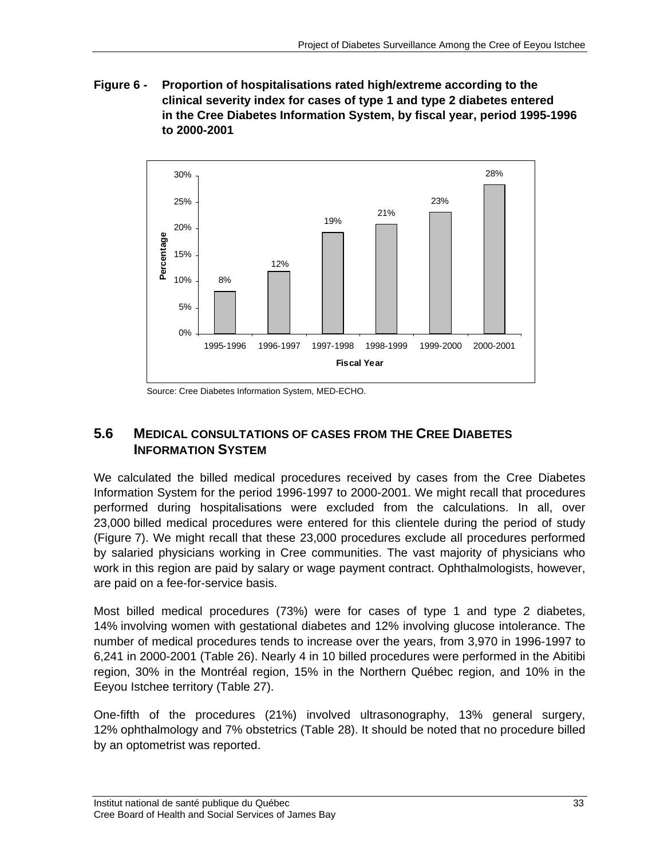**Figure 6 - Proportion of hospitalisations rated high/extreme according to the clinical severity index for cases of type 1 and type 2 diabetes entered in the Cree Diabetes Information System, by fiscal year, period 1995-1996 to 2000-2001** 



Source: Cree Diabetes Information System, MED-ECHO.

## **5.6 MEDICAL CONSULTATIONS OF CASES FROM THE CREE DIABETES INFORMATION SYSTEM**

We calculated the billed medical procedures received by cases from the Cree Diabetes Information System for the period 1996-1997 to 2000-2001. We might recall that procedures performed during hospitalisations were excluded from the calculations. In all, over 23,000 billed medical procedures were entered for this clientele during the period of study (Figure 7). We might recall that these 23,000 procedures exclude all procedures performed by salaried physicians working in Cree communities. The vast majority of physicians who work in this region are paid by salary or wage payment contract. Ophthalmologists, however, are paid on a fee-for-service basis.

Most billed medical procedures (73%) were for cases of type 1 and type 2 diabetes, 14% involving women with gestational diabetes and 12% involving glucose intolerance. The number of medical procedures tends to increase over the years, from 3,970 in 1996-1997 to 6,241 in 2000-2001 (Table 26). Nearly 4 in 10 billed procedures were performed in the Abitibi region, 30% in the Montréal region, 15% in the Northern Québec region, and 10% in the Eeyou Istchee territory (Table 27).

One-fifth of the procedures (21%) involved ultrasonography, 13% general surgery, 12% ophthalmology and 7% obstetrics (Table 28). It should be noted that no procedure billed by an optometrist was reported.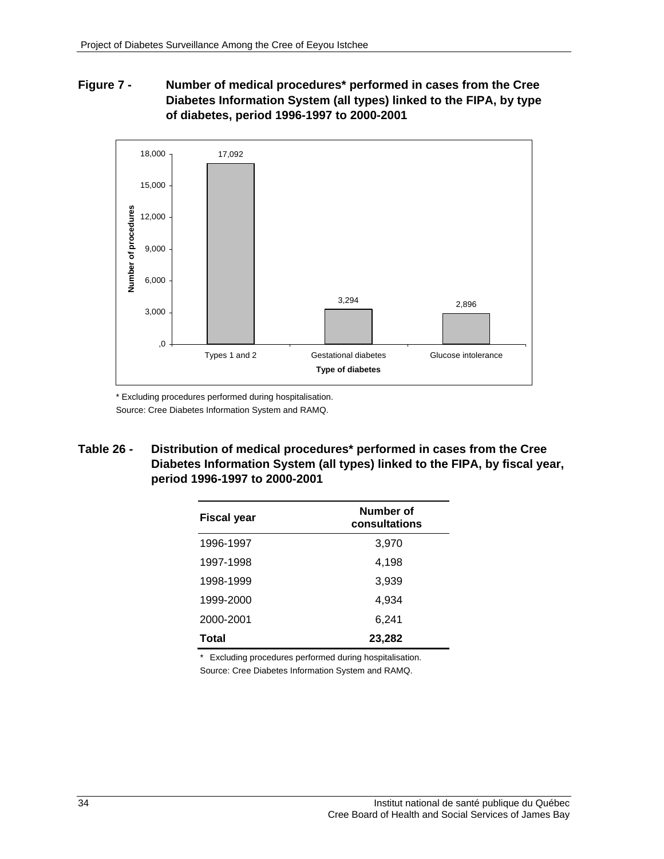### **Figure 7 - Number of medical procedures\* performed in cases from the Cree Diabetes Information System (all types) linked to the FIPA, by type of diabetes, period 1996-1997 to 2000-2001**



\* Excluding procedures performed during hospitalisation. Source: Cree Diabetes Information System and RAMQ.

**Table 26 - Distribution of medical procedures\* performed in cases from the Cree Diabetes Information System (all types) linked to the FIPA, by fiscal year, period 1996-1997 to 2000-2001** 

| <b>Fiscal year</b> | Number of<br>consultations |
|--------------------|----------------------------|
| 1996-1997          | 3,970                      |
| 1997-1998          | 4,198                      |
| 1998-1999          | 3,939                      |
| 1999-2000          | 4,934                      |
| 2000-2001          | 6,241                      |
| Total              | 23,282                     |
|                    |                            |

\* Excluding procedures performed during hospitalisation.

Source: Cree Diabetes Information System and RAMQ.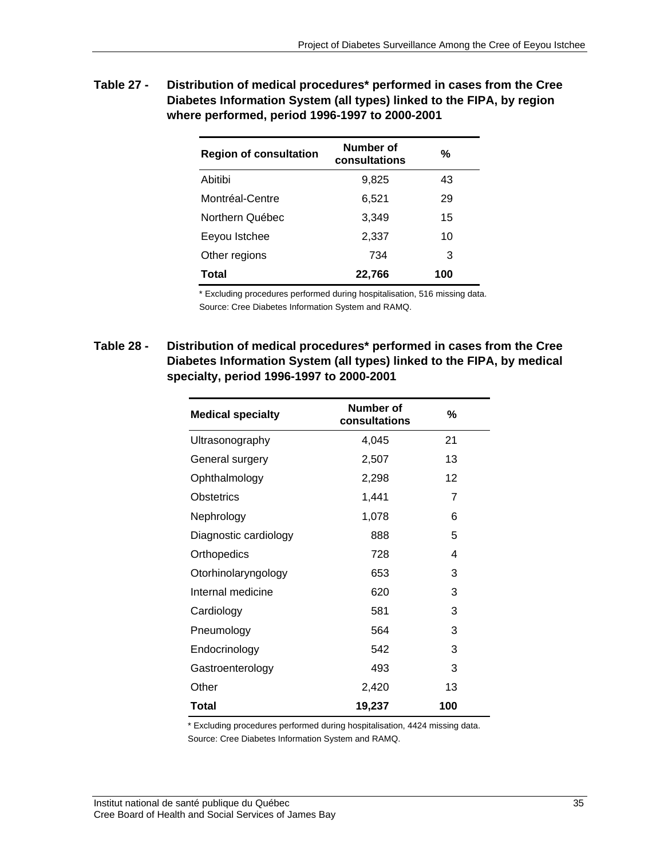| <b>Table 27 -</b> | Distribution of medical procedures* performed in cases from the Cree  |
|-------------------|-----------------------------------------------------------------------|
|                   | Diabetes Information System (all types) linked to the FIPA, by region |
|                   | where performed, period 1996-1997 to 2000-2001                        |

| <b>Region of consultation</b> | Number of<br>consultations | %   |
|-------------------------------|----------------------------|-----|
| Abitibi                       | 9,825                      | 43  |
| Montréal-Centre               | 6,521                      | 29  |
| Northern Québec               | 3,349                      | 15  |
| Eeyou Istchee                 | 2,337                      | 10  |
| Other regions                 | 734                        | 3   |
| Total                         | 22,766                     | 100 |

\* Excluding procedures performed during hospitalisation, 516 missing data. Source: Cree Diabetes Information System and RAMQ.

**Table 28 - Distribution of medical procedures\* performed in cases from the Cree Diabetes Information System (all types) linked to the FIPA, by medical specialty, period 1996-1997 to 2000-2001** 

| <b>Medical specialty</b> | Number of<br>consultations | %   |
|--------------------------|----------------------------|-----|
| Ultrasonography          | 4,045                      | 21  |
| General surgery          | 2,507                      | 13  |
| Ophthalmology            | 2,298                      | 12  |
| Obstetrics               | 1,441                      | 7   |
| Nephrology               | 1,078                      | 6   |
| Diagnostic cardiology    | 888                        | 5   |
| Orthopedics              | 728                        | 4   |
| Otorhinolaryngology      | 653                        | 3   |
| Internal medicine        | 620                        | 3   |
| Cardiology               | 581                        | 3   |
| Pneumology               | 564                        | 3   |
| Endocrinology            | 542                        | 3   |
| Gastroenterology         | 493                        | 3   |
| Other                    | 2,420                      | 13  |
| Total                    | 19,237                     | 100 |

\* Excluding procedures performed during hospitalisation, 4424 missing data. Source: Cree Diabetes Information System and RAMQ.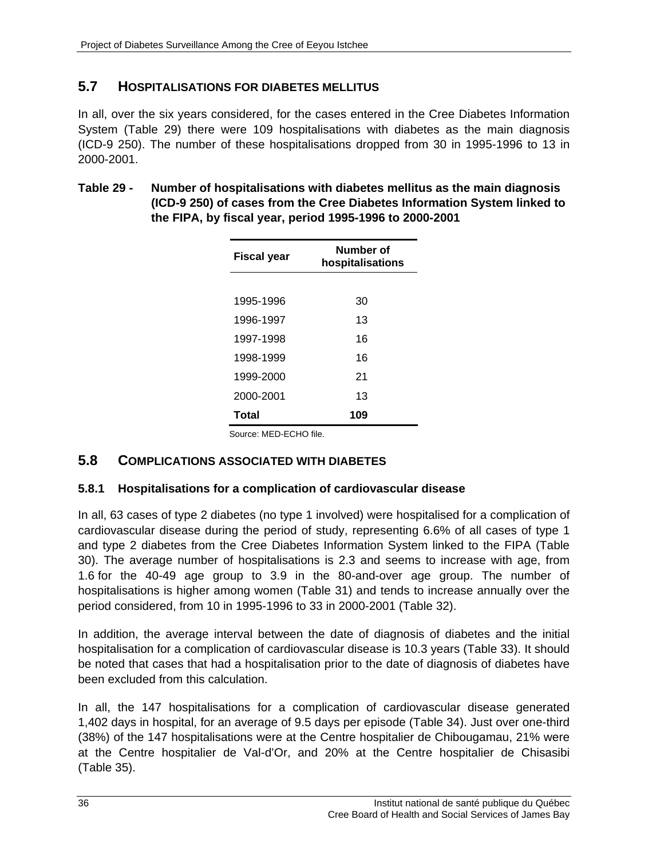## **5.7 HOSPITALISATIONS FOR DIABETES MELLITUS**

In all, over the six years considered, for the cases entered in the Cree Diabetes Information System (Table 29) there were 109 hospitalisations with diabetes as the main diagnosis (ICD-9 250). The number of these hospitalisations dropped from 30 in 1995-1996 to 13 in 2000-2001.

| Table 29 - | Number of hospitalisations with diabetes mellitus as the main diagnosis  |
|------------|--------------------------------------------------------------------------|
|            | (ICD-9 250) of cases from the Cree Diabetes Information System linked to |
|            | the FIPA, by fiscal year, period 1995-1996 to 2000-2001                  |

| Fiscal year | Number of<br>hospitalisations |
|-------------|-------------------------------|
|             |                               |
| 1995-1996   | 30                            |
| 1996-1997   | 13                            |
| 1997-1998   | 16                            |
| 1998-1999   | 16                            |
| 1999-2000   | 21                            |
| 2000-2001   | 13                            |
| Total       | 109                           |

Source: MED-ECHO file.

### **5.8 COMPLICATIONS ASSOCIATED WITH DIABETES**

#### **5.8.1 Hospitalisations for a complication of cardiovascular disease**

In all, 63 cases of type 2 diabetes (no type 1 involved) were hospitalised for a complication of cardiovascular disease during the period of study, representing 6.6% of all cases of type 1 and type 2 diabetes from the Cree Diabetes Information System linked to the FIPA (Table 30). The average number of hospitalisations is 2.3 and seems to increase with age, from 1.6 for the 40-49 age group to 3.9 in the 80-and-over age group. The number of hospitalisations is higher among women (Table 31) and tends to increase annually over the period considered, from 10 in 1995-1996 to 33 in 2000-2001 (Table 32).

In addition, the average interval between the date of diagnosis of diabetes and the initial hospitalisation for a complication of cardiovascular disease is 10.3 years (Table 33). It should be noted that cases that had a hospitalisation prior to the date of diagnosis of diabetes have been excluded from this calculation.

In all, the 147 hospitalisations for a complication of cardiovascular disease generated 1,402 days in hospital, for an average of 9.5 days per episode (Table 34). Just over one-third (38%) of the 147 hospitalisations were at the Centre hospitalier de Chibougamau, 21% were at the Centre hospitalier de Val-d'Or, and 20% at the Centre hospitalier de Chisasibi (Table 35).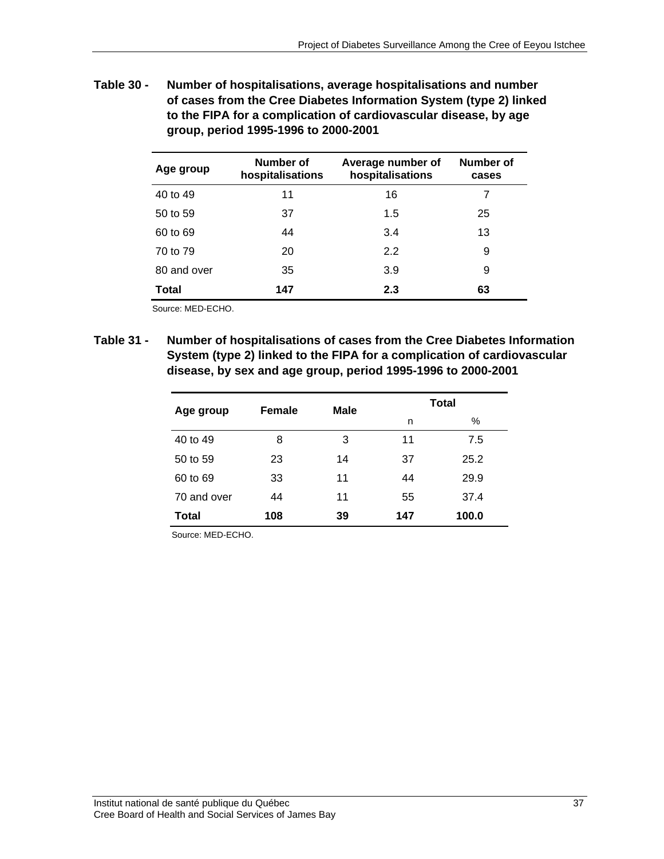**Table 30 - Number of hospitalisations, average hospitalisations and number of cases from the Cree Diabetes Information System (type 2) linked to the FIPA for a complication of cardiovascular disease, by age group, period 1995-1996 to 2000-2001** 

| Age group    | Number of<br>hospitalisations | Average number of<br>hospitalisations | Number of<br>cases |
|--------------|-------------------------------|---------------------------------------|--------------------|
| 40 to 49     | 11                            | 16                                    |                    |
| 50 to 59     | 37                            | 1.5                                   | 25                 |
| 60 to 69     | 44                            | 3.4                                   | 13                 |
| 70 to 79     | 20                            | 2.2                                   | 9                  |
| 80 and over  | 35                            | 3.9                                   | 9                  |
| <b>Total</b> | 147                           | 2.3                                   | 63                 |

Source: MED-ECHO.

**Table 31 - Number of hospitalisations of cases from the Cree Diabetes Information System (type 2) linked to the FIPA for a complication of cardiovascular disease, by sex and age group, period 1995-1996 to 2000-2001** 

| Age group   | Female | <b>Male</b> | <b>Total</b> |       |
|-------------|--------|-------------|--------------|-------|
|             |        |             | n            | %     |
| 40 to 49    | 8      | 3           | 11           | 7.5   |
| 50 to 59    | 23     | 14          | 37           | 25.2  |
| 60 to 69    | 33     | 11          | 44           | 29.9  |
| 70 and over | 44     | 11          | 55           | 37.4  |
| Total       | 108    | 39          | 147          | 100.0 |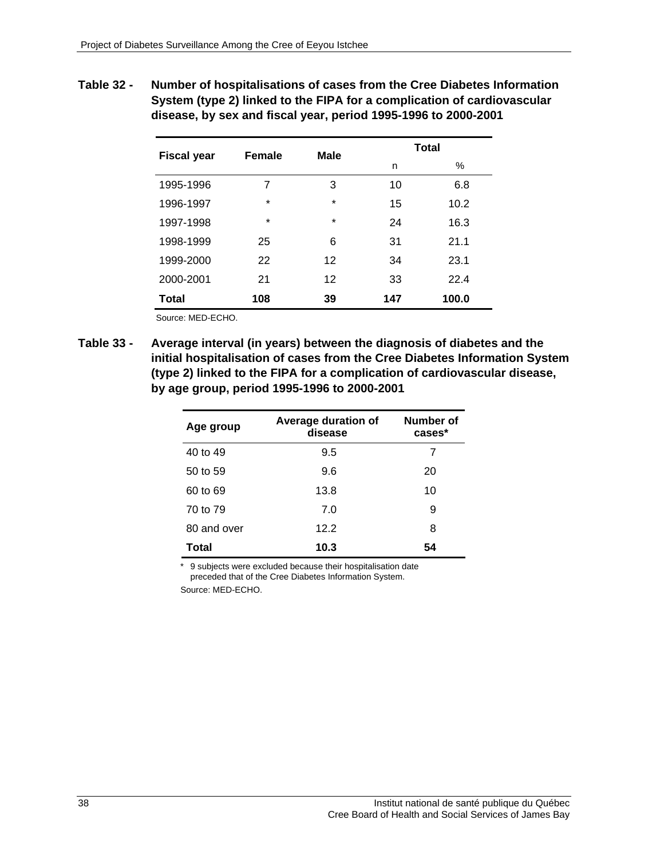**Table 32 - Number of hospitalisations of cases from the Cree Diabetes Information System (type 2) linked to the FIPA for a complication of cardiovascular disease, by sex and fiscal year, period 1995-1996 to 2000-2001** 

| <b>Fiscal year</b> | Female  | <b>Male</b> | <b>Total</b> |       |
|--------------------|---------|-------------|--------------|-------|
|                    |         |             | n            | %     |
| 1995-1996          | 7       | 3           | 10           | 6.8   |
| 1996-1997          | $\star$ | $\star$     | 15           | 10.2  |
| 1997-1998          | $\star$ | $\star$     | 24           | 16.3  |
| 1998-1999          | 25      | 6           | 31           | 21.1  |
| 1999-2000          | 22      | 12          | 34           | 23.1  |
| 2000-2001          | 21      | 12          | 33           | 22.4  |
| Total              | 108     | 39          | 147          | 100.0 |

Source: MED-ECHO.

**Table 33 - Average interval (in years) between the diagnosis of diabetes and the initial hospitalisation of cases from the Cree Diabetes Information System (type 2) linked to the FIPA for a complication of cardiovascular disease, by age group, period 1995-1996 to 2000-2001** 

| Age group    | Average duration of<br>disease | Number of<br>cases* |
|--------------|--------------------------------|---------------------|
| 40 to 49     | 9.5                            |                     |
| 50 to 59     | 9.6                            | 20                  |
| 60 to 69     | 13.8                           | 10                  |
| 70 to 79     | 7.0                            | 9                   |
| 80 and over  | 12.2                           | 8                   |
| <b>Total</b> | 10.3                           | 54                  |

\* 9 subjects were excluded because their hospitalisation date preceded that of the Cree Diabetes Information System.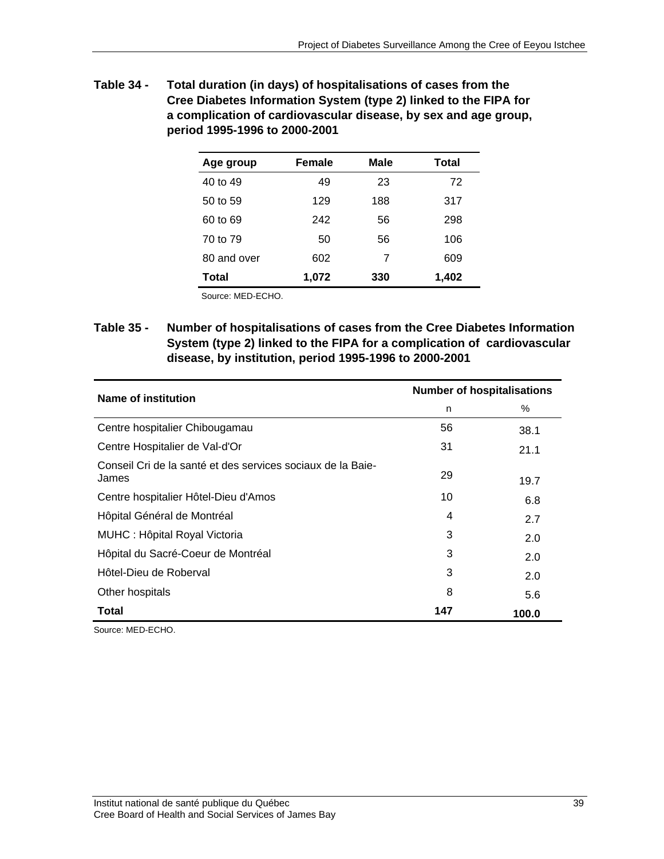| Table 34 - | Total duration (in days) of hospitalisations of cases from the   |
|------------|------------------------------------------------------------------|
|            | Cree Diabetes Information System (type 2) linked to the FIPA for |
|            | a complication of cardiovascular disease, by sex and age group,  |
|            | period 1995-1996 to 2000-2001                                    |

| Age group   | Female | Male | Total |
|-------------|--------|------|-------|
| 40 to 49    | 49     | 23   | 72    |
| 50 to 59    | 129    | 188  | 317   |
| 60 to 69    | 242    | 56   | 298   |
| 70 to 79    | 50     | 56   | 106   |
| 80 and over | 602    | 7    | 609   |
| Total       | 1,072  | 330  | 1,402 |
|             |        |      |       |

Source: MED-ECHO.

**Table 35 - Number of hospitalisations of cases from the Cree Diabetes Information System (type 2) linked to the FIPA for a complication of cardiovascular disease, by institution, period 1995-1996 to 2000-2001** 

| <b>Name of institution</b>                                           | <b>Number of hospitalisations</b> |       |
|----------------------------------------------------------------------|-----------------------------------|-------|
|                                                                      | n                                 | $\%$  |
| Centre hospitalier Chibougamau                                       | 56                                | 38.1  |
| Centre Hospitalier de Val-d'Or                                       | 31                                | 21.1  |
| Conseil Cri de la santé et des services sociaux de la Baie-<br>James | 29                                | 19.7  |
| Centre hospitalier Hôtel-Dieu d'Amos                                 | 10                                | 6.8   |
| Hôpital Général de Montréal                                          | 4                                 | 2.7   |
| MUHC : Hôpital Royal Victoria                                        | 3                                 | 2.0   |
| Hôpital du Sacré-Coeur de Montréal                                   | 3                                 | 2.0   |
| Hôtel-Dieu de Roberval                                               | 3                                 | 2.0   |
| Other hospitals                                                      | 8                                 | 5.6   |
| <b>Total</b>                                                         | 147                               | 100.0 |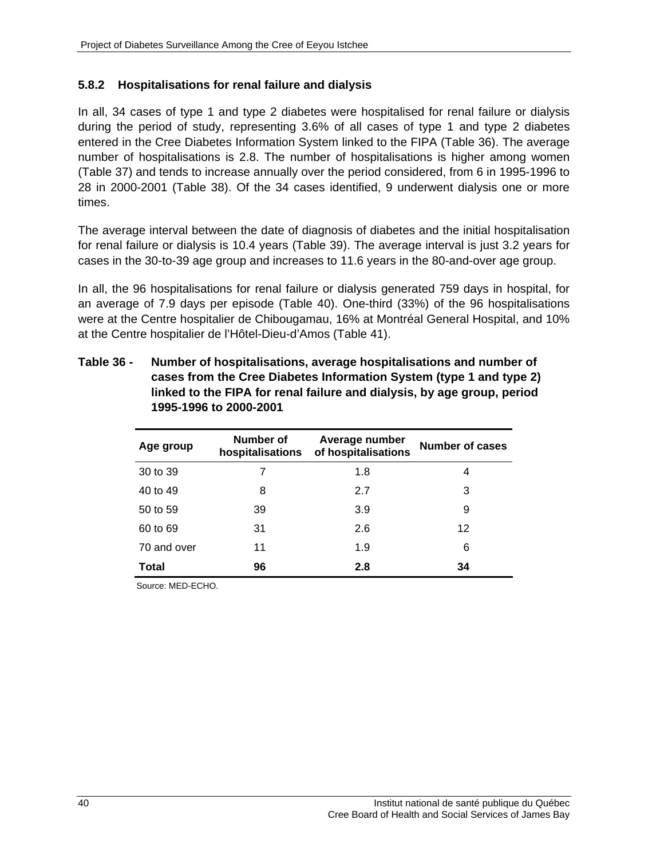#### **5.8.2 Hospitalisations for renal failure and dialysis**

In all, 34 cases of type 1 and type 2 diabetes were hospitalised for renal failure or dialysis during the period of study, representing 3.6% of all cases of type 1 and type 2 diabetes entered in the Cree Diabetes Information System linked to the FIPA (Table 36). The average number of hospitalisations is 2.8. The number of hospitalisations is higher among women (Table 37) and tends to increase annually over the period considered, from 6 in 1995-1996 to 28 in 2000-2001 (Table 38). Of the 34 cases identified, 9 underwent dialysis one or more times.

The average interval between the date of diagnosis of diabetes and the initial hospitalisation for renal failure or dialysis is 10.4 years (Table 39). The average interval is just 3.2 years for cases in the 30-to-39 age group and increases to 11.6 years in the 80-and-over age group.

In all, the 96 hospitalisations for renal failure or dialysis generated 759 days in hospital, for an average of 7.9 days per episode (Table 40). One-third (33%) of the 96 hospitalisations were at the Centre hospitalier de Chibougamau, 16% at Montréal General Hospital, and 10% at the Centre hospitalier de l'Hôtel-Dieu-d'Amos (Table 41).

| Number of<br>Age group<br>hospitalisations |    | Average number<br>of hospitalisations | Number of cases |  |
|--------------------------------------------|----|---------------------------------------|-----------------|--|
| 30 to 39                                   | 7  | 1.8                                   | 4               |  |
| 40 to 49                                   | 8  | 2.7                                   | 3               |  |
| 50 to 59                                   | 39 | 3.9                                   | 9               |  |
| 60 to 69                                   | 31 | 2.6                                   | 12              |  |
| 70 and over                                | 11 | 1.9                                   | 6               |  |
| Total                                      | 96 | 2.8                                   | 34              |  |

**Table 36 - Number of hospitalisations, average hospitalisations and number of cases from the Cree Diabetes Information System (type 1 and type 2) linked to the FIPA for renal failure and dialysis, by age group, period 1995-1996 to 2000-2001**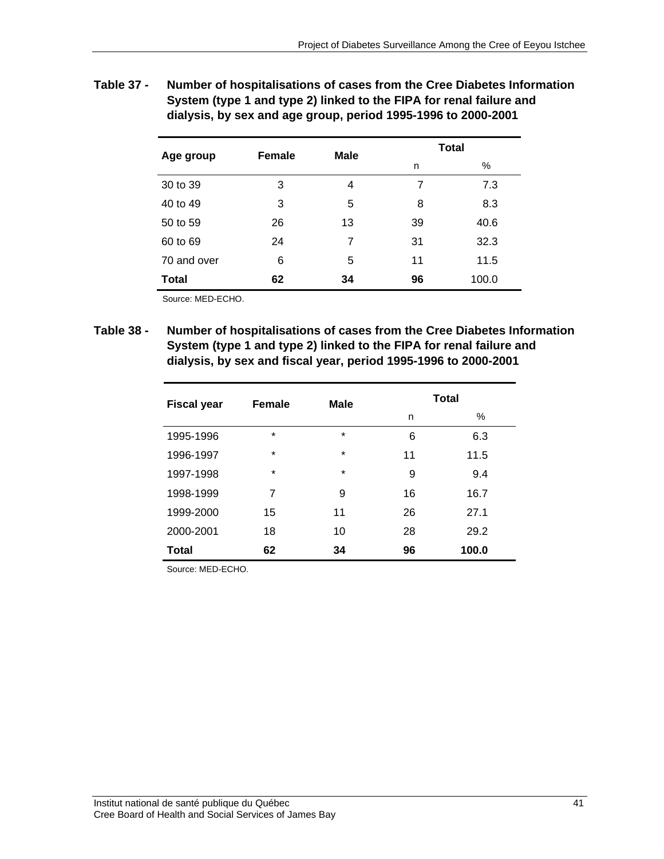**Table 37 - Number of hospitalisations of cases from the Cree Diabetes Information System (type 1 and type 2) linked to the FIPA for renal failure and dialysis, by sex and age group, period 1995-1996 to 2000-2001** 

| Age group    | <b>Female</b> | <b>Male</b> | <b>Total</b> |       |  |
|--------------|---------------|-------------|--------------|-------|--|
|              |               |             | n            | $\%$  |  |
| 30 to 39     | 3             | 4           | 7            | 7.3   |  |
| 40 to 49     | 3             | 5           | 8            | 8.3   |  |
| 50 to 59     | 26            | 13          | 39           | 40.6  |  |
| 60 to 69     | 24            | 7           | 31           | 32.3  |  |
| 70 and over  | 6             | 5           | 11           | 11.5  |  |
| <b>Total</b> | 62            | 34          | 96           | 100.0 |  |

Source: MED-ECHO.

**Table 38 - Number of hospitalisations of cases from the Cree Diabetes Information System (type 1 and type 2) linked to the FIPA for renal failure and dialysis, by sex and fiscal year, period 1995-1996 to 2000-2001** 

| <b>Fiscal year</b> | <b>Female</b> | <b>Male</b> | <b>Total</b> |       |  |
|--------------------|---------------|-------------|--------------|-------|--|
|                    |               |             | n            | $\%$  |  |
| 1995-1996          | $\star$       | $\star$     | 6            | 6.3   |  |
| 1996-1997          | $\star$       | $\star$     | 11           | 11.5  |  |
| 1997-1998          | $\star$       | $\star$     | 9            | 9.4   |  |
| 1998-1999          | 7             | 9           | 16           | 16.7  |  |
| 1999-2000          | 15            | 11          | 26           | 27.1  |  |
| 2000-2001          | 18            | 10          | 28           | 29.2  |  |
| <b>Total</b>       | 62            | 34          | 96           | 100.0 |  |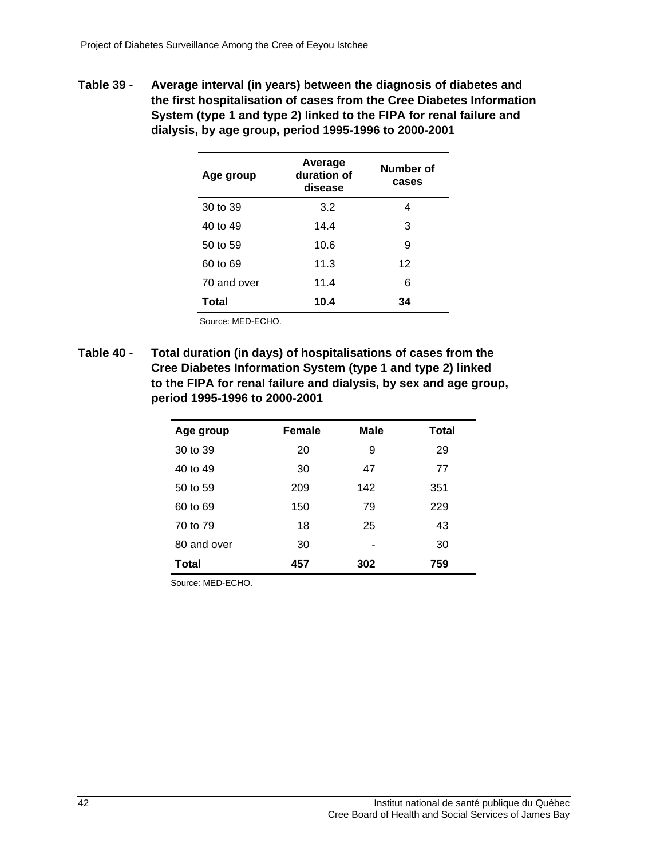**Table 39 - Average interval (in years) between the diagnosis of diabetes and the first hospitalisation of cases from the Cree Diabetes Information System (type 1 and type 2) linked to the FIPA for renal failure and dialysis, by age group, period 1995-1996 to 2000-2001** 

| Age group    | Average<br>duration of<br>disease | Number of<br>cases |
|--------------|-----------------------------------|--------------------|
| 30 to 39     | 3.2                               | 4                  |
| 40 to 49     | 14.4                              | 3                  |
| 50 to 59     | 10.6                              | 9                  |
| 60 to 69     | 11.3                              | 12                 |
| 70 and over  | 11.4                              | 6                  |
| <b>Total</b> | 10.4                              | 34                 |

Source: MED-ECHO.

**Table 40 - Total duration (in days) of hospitalisations of cases from the Cree Diabetes Information System (type 1 and type 2) linked to the FIPA for renal failure and dialysis, by sex and age group, period 1995-1996 to 2000-2001** 

| Age group   | <b>Female</b> | <b>Male</b> | <b>Total</b> |
|-------------|---------------|-------------|--------------|
| 30 to 39    | 20            | 9           | 29           |
| 40 to 49    | 30            | 47          | 77           |
| 50 to 59    | 209           | 142         | 351          |
| 60 to 69    | 150           | 79          | 229          |
| 70 to 79    | 18            | 25          | 43           |
| 80 and over | 30            |             | 30           |
| Total       | 457           | 302         | 759          |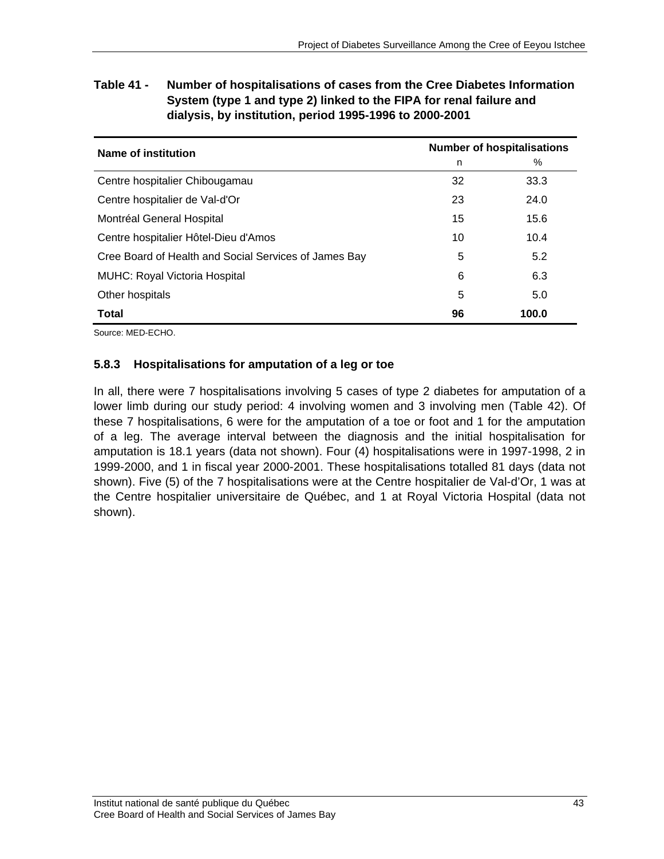| Name of institution                                   | <b>Number of hospitalisations</b> |       |  |
|-------------------------------------------------------|-----------------------------------|-------|--|
|                                                       | n                                 | $\%$  |  |
| Centre hospitalier Chibougamau                        | 32                                | 33.3  |  |
| Centre hospitalier de Val-d'Or                        | 23                                | 24.0  |  |
| Montréal General Hospital                             | 15                                | 15.6  |  |
| Centre hospitalier Hôtel-Dieu d'Amos                  | 10                                | 10.4  |  |
| Cree Board of Health and Social Services of James Bay | 5                                 | 5.2   |  |
| <b>MUHC: Royal Victoria Hospital</b>                  | 6                                 | 6.3   |  |
| Other hospitals                                       | 5                                 | 5.0   |  |
| Total                                                 | 96                                | 100.0 |  |

**Table 41 - Number of hospitalisations of cases from the Cree Diabetes Information System (type 1 and type 2) linked to the FIPA for renal failure and dialysis, by institution, period 1995-1996 to 2000-2001** 

Source: MED-ECHO.

### **5.8.3 Hospitalisations for amputation of a leg or toe**

In all, there were 7 hospitalisations involving 5 cases of type 2 diabetes for amputation of a lower limb during our study period: 4 involving women and 3 involving men (Table 42). Of these 7 hospitalisations, 6 were for the amputation of a toe or foot and 1 for the amputation of a leg. The average interval between the diagnosis and the initial hospitalisation for amputation is 18.1 years (data not shown). Four (4) hospitalisations were in 1997-1998, 2 in 1999-2000, and 1 in fiscal year 2000-2001. These hospitalisations totalled 81 days (data not shown). Five (5) of the 7 hospitalisations were at the Centre hospitalier de Val-d'Or, 1 was at the Centre hospitalier universitaire de Québec, and 1 at Royal Victoria Hospital (data not shown).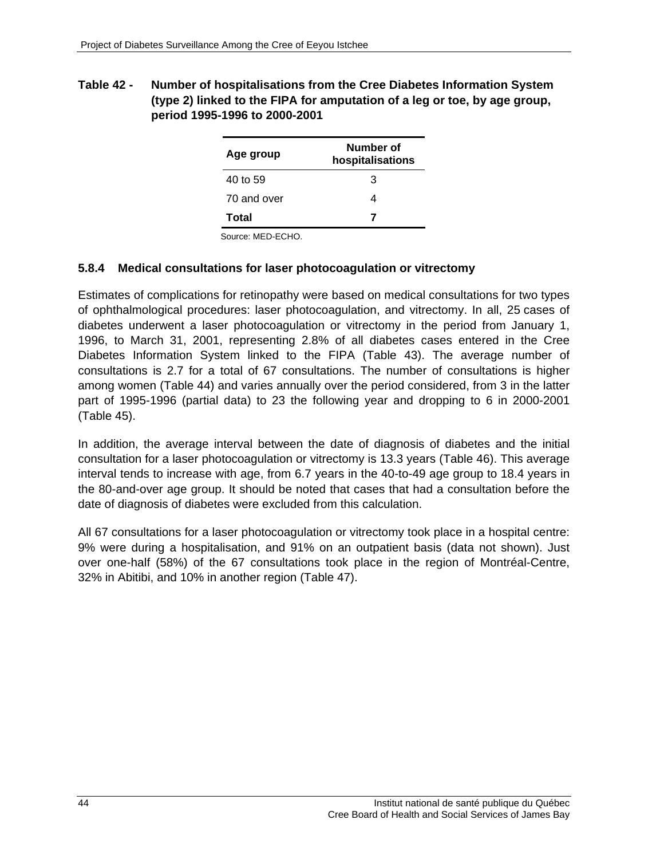#### **Table 42 - Number of hospitalisations from the Cree Diabetes Information System (type 2) linked to the FIPA for amputation of a leg or toe, by age group, period 1995-1996 to 2000-2001**

| Age group   | Number of<br>hospitalisations |  |  |
|-------------|-------------------------------|--|--|
| 40 to 59    | З                             |  |  |
| 70 and over |                               |  |  |
| Total       |                               |  |  |

Source: MED-ECHO.

#### **5.8.4 Medical consultations for laser photocoagulation or vitrectomy**

Estimates of complications for retinopathy were based on medical consultations for two types of ophthalmological procedures: laser photocoagulation, and vitrectomy. In all, 25 cases of diabetes underwent a laser photocoagulation or vitrectomy in the period from January 1, 1996, to March 31, 2001, representing 2.8% of all diabetes cases entered in the Cree Diabetes Information System linked to the FIPA (Table 43). The average number of consultations is 2.7 for a total of 67 consultations. The number of consultations is higher among women (Table 44) and varies annually over the period considered, from 3 in the latter part of 1995-1996 (partial data) to 23 the following year and dropping to 6 in 2000-2001 (Table 45).

In addition, the average interval between the date of diagnosis of diabetes and the initial consultation for a laser photocoagulation or vitrectomy is 13.3 years (Table 46). This average interval tends to increase with age, from 6.7 years in the 40-to-49 age group to 18.4 years in the 80-and-over age group. It should be noted that cases that had a consultation before the date of diagnosis of diabetes were excluded from this calculation.

All 67 consultations for a laser photocoagulation or vitrectomy took place in a hospital centre: 9% were during a hospitalisation, and 91% on an outpatient basis (data not shown). Just over one-half (58%) of the 67 consultations took place in the region of Montréal-Centre, 32% in Abitibi, and 10% in another region (Table 47).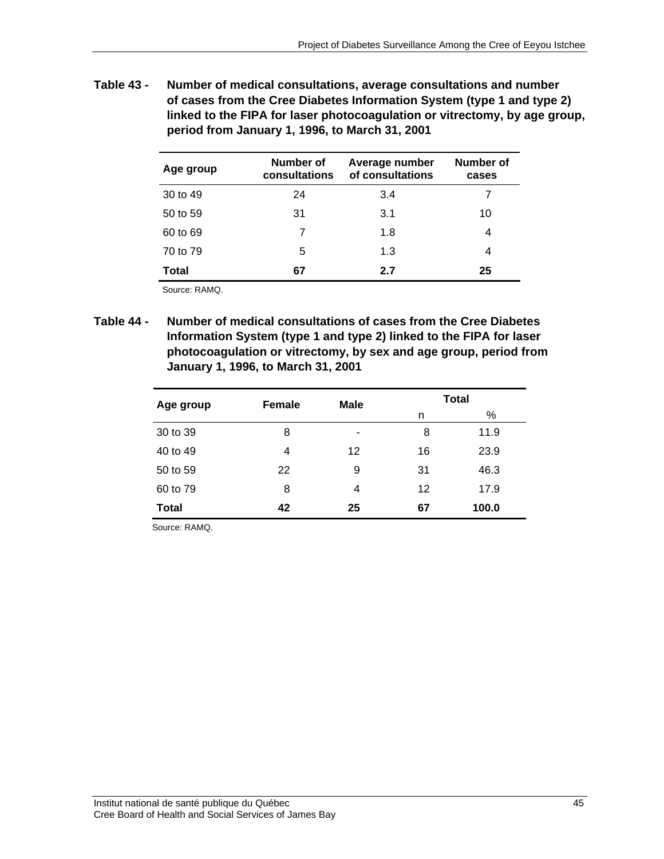**Table 43 - Number of medical consultations, average consultations and number of cases from the Cree Diabetes Information System (type 1 and type 2) linked to the FIPA for laser photocoagulation or vitrectomy, by age group, period from January 1, 1996, to March 31, 2001** 

| Age group    | Number of<br>consultations | Average number<br>of consultations | Number of<br>cases |
|--------------|----------------------------|------------------------------------|--------------------|
| 30 to 49     | 24                         | 3.4                                | 7                  |
| 50 to 59     | 31                         | 3.1                                | 10                 |
| 60 to 69     |                            | 1.8                                | 4                  |
| 70 to 79     | 5                          | 1.3                                | 4                  |
| <b>Total</b> | 67                         | 2.7                                | 25                 |

Source: RAMQ.

**Table 44 - Number of medical consultations of cases from the Cree Diabetes Information System (type 1 and type 2) linked to the FIPA for laser photocoagulation or vitrectomy, by sex and age group, period from January 1, 1996, to March 31, 2001** 

| Age group    | <b>Female</b> | <b>Male</b> | <b>Total</b> |       |  |
|--------------|---------------|-------------|--------------|-------|--|
|              |               |             | n            | %     |  |
| 30 to 39     | 8             | ٠           | 8            | 11.9  |  |
| 40 to 49     | 4             | 12          | 16           | 23.9  |  |
| 50 to 59     | 22            | 9           | 31           | 46.3  |  |
| 60 to 79     | 8             | 4           | 12           | 17.9  |  |
| <b>Total</b> | 42            | 25          | 67           | 100.0 |  |

Source: RAMQ.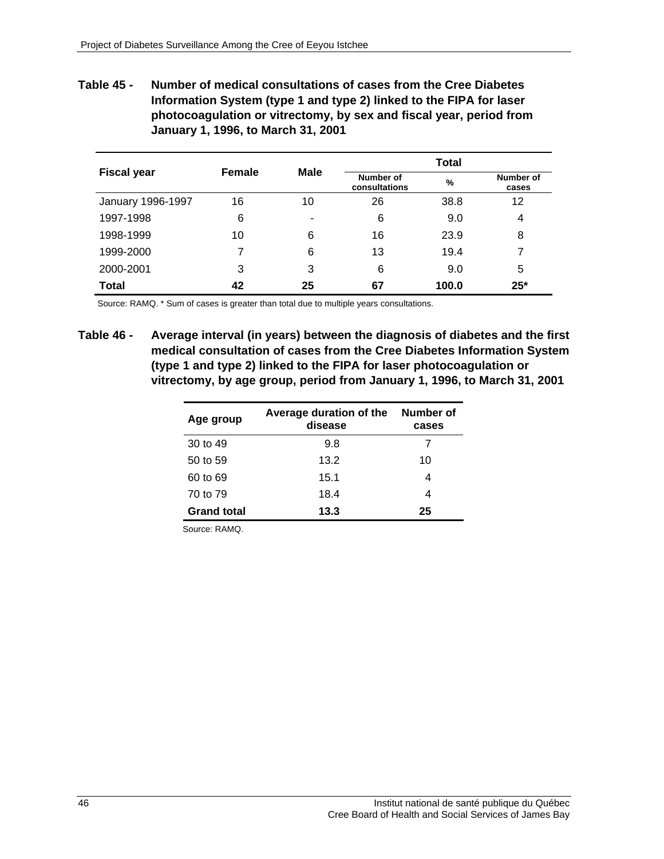**Table 45 - Number of medical consultations of cases from the Cree Diabetes Information System (type 1 and type 2) linked to the FIPA for laser photocoagulation or vitrectomy, by sex and fiscal year, period from January 1, 1996, to March 31, 2001** 

| <b>Fiscal year</b> | Female |                          | Total                      |       |                    |
|--------------------|--------|--------------------------|----------------------------|-------|--------------------|
|                    |        | <b>Male</b>              | Number of<br>consultations | %     | Number of<br>cases |
| January 1996-1997  | 16     | 10                       | 26                         | 38.8  | 12                 |
| 1997-1998          | 6      | $\overline{\phantom{0}}$ | 6                          | 9.0   | 4                  |
| 1998-1999          | 10     | 6                        | 16                         | 23.9  | 8                  |
| 1999-2000          |        | 6                        | 13                         | 19.4  | 7                  |
| 2000-2001          | 3      | 3                        | 6                          | 9.0   | 5                  |
| <b>Total</b>       | 42     | 25                       | 67                         | 100.0 | $25*$              |

Source: RAMQ. \* Sum of cases is greater than total due to multiple years consultations.

**Table 46 - Average interval (in years) between the diagnosis of diabetes and the first medical consultation of cases from the Cree Diabetes Information System (type 1 and type 2) linked to the FIPA for laser photocoagulation or vitrectomy, by age group, period from January 1, 1996, to March 31, 2001** 

| Age group          | Number of<br>Average duration of the<br>disease |    |  |  |
|--------------------|-------------------------------------------------|----|--|--|
| 30 to 49           | 9.8                                             |    |  |  |
| 50 to 59           | 13.2                                            | 10 |  |  |
| 60 to 69           | 15.1                                            | 4  |  |  |
| 70 to 79           | 18.4                                            | 4  |  |  |
| <b>Grand total</b> | 13.3                                            | 25 |  |  |

Source: RAMQ.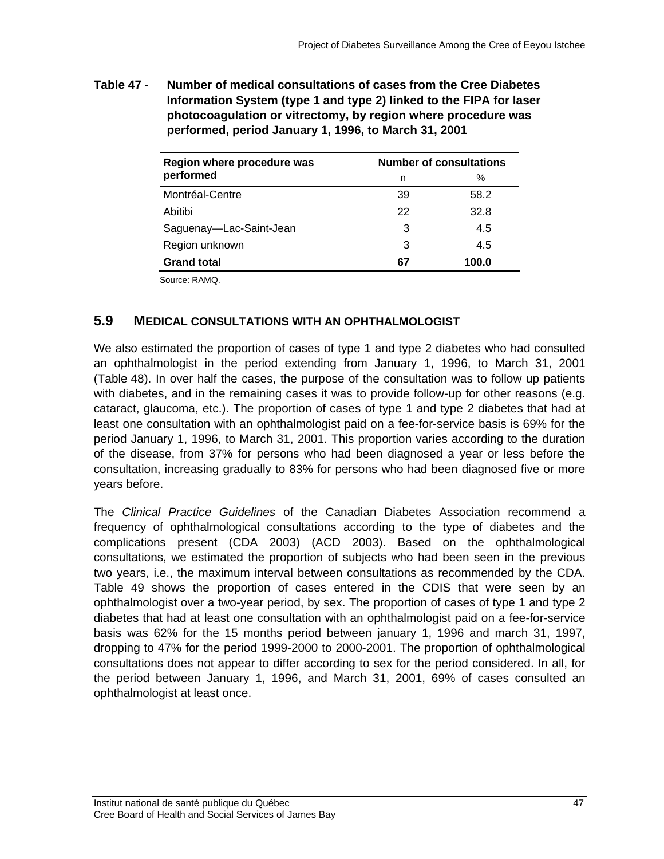**Table 47 - Number of medical consultations of cases from the Cree Diabetes Information System (type 1 and type 2) linked to the FIPA for laser photocoagulation or vitrectomy, by region where procedure was performed, period January 1, 1996, to March 31, 2001** 

| Region where procedure was | <b>Number of consultations</b> |       |  |  |
|----------------------------|--------------------------------|-------|--|--|
| performed                  | n                              | ℅     |  |  |
| Montréal-Centre            | 39                             | 58.2  |  |  |
| Abitibi                    | 22                             | 32.8  |  |  |
| Saguenay-Lac-Saint-Jean    | 3                              | 4.5   |  |  |
| Region unknown             | 3                              | 4.5   |  |  |
| <b>Grand total</b>         | 67                             | 100.0 |  |  |

Source: RAMQ.

## **5.9 MEDICAL CONSULTATIONS WITH AN OPHTHALMOLOGIST**

We also estimated the proportion of cases of type 1 and type 2 diabetes who had consulted an ophthalmologist in the period extending from January 1, 1996, to March 31, 2001 (Table 48). In over half the cases, the purpose of the consultation was to follow up patients with diabetes, and in the remaining cases it was to provide follow-up for other reasons (e.g. cataract, glaucoma, etc.). The proportion of cases of type 1 and type 2 diabetes that had at least one consultation with an ophthalmologist paid on a fee-for-service basis is 69% for the period January 1, 1996, to March 31, 2001. This proportion varies according to the duration of the disease, from 37% for persons who had been diagnosed a year or less before the consultation, increasing gradually to 83% for persons who had been diagnosed five or more years before.

The *Clinical Practice Guidelines* of the Canadian Diabetes Association recommend a frequency of ophthalmological consultations according to the type of diabetes and the complications present (CDA 2003) (ACD 2003). Based on the ophthalmological consultations, we estimated the proportion of subjects who had been seen in the previous two years, i.e., the maximum interval between consultations as recommended by the CDA. Table 49 shows the proportion of cases entered in the CDIS that were seen by an ophthalmologist over a two-year period, by sex. The proportion of cases of type 1 and type 2 diabetes that had at least one consultation with an ophthalmologist paid on a fee-for-service basis was 62% for the 15 months period between january 1, 1996 and march 31, 1997, dropping to 47% for the period 1999-2000 to 2000-2001. The proportion of ophthalmological consultations does not appear to differ according to sex for the period considered. In all, for the period between January 1, 1996, and March 31, 2001, 69% of cases consulted an ophthalmologist at least once.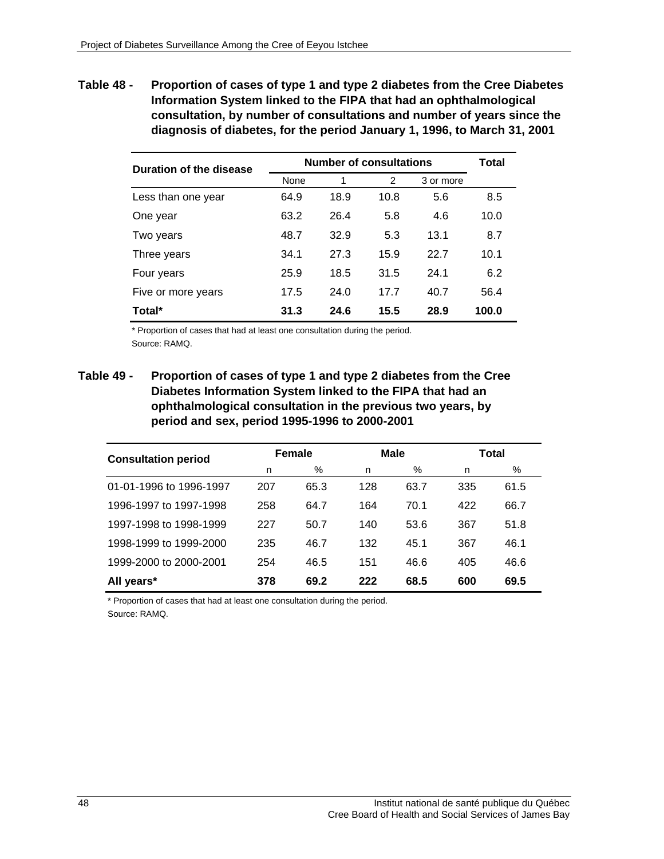**Table 48 - Proportion of cases of type 1 and type 2 diabetes from the Cree Diabetes Information System linked to the FIPA that had an ophthalmological consultation, by number of consultations and number of years since the diagnosis of diabetes, for the period January 1, 1996, to March 31, 2001** 

| Duration of the disease | <b>Number of consultations</b> | Total |      |           |       |
|-------------------------|--------------------------------|-------|------|-----------|-------|
|                         | None                           | 1     | 2    | 3 or more |       |
| Less than one year      | 64.9                           | 18.9  | 10.8 | 5.6       | 8.5   |
| One year                | 63.2                           | 26.4  | 5.8  | 4.6       | 10.0  |
| Two years               | 48.7                           | 32.9  | 5.3  | 13.1      | 8.7   |
| Three years             | 34.1                           | 27.3  | 15.9 | 22.7      | 10.1  |
| Four years              | 25.9                           | 18.5  | 31.5 | 24.1      | 6.2   |
| Five or more years      | 17.5                           | 24.0  | 17.7 | 40.7      | 56.4  |
| Total*                  | 31.3                           | 24.6  | 15.5 | 28.9      | 100.0 |

\* Proportion of cases that had at least one consultation during the period. Source: RAMQ.

**Table 49 - Proportion of cases of type 1 and type 2 diabetes from the Cree Diabetes Information System linked to the FIPA that had an ophthalmological consultation in the previous two years, by period and sex, period 1995-1996 to 2000-2001** 

| <b>Consultation period</b> | Female |      | <b>Male</b> |      | Total |      |
|----------------------------|--------|------|-------------|------|-------|------|
|                            | n      | %    | n           | $\%$ | n     | %    |
| 01-01-1996 to 1996-1997    | 207    | 65.3 | 128         | 63.7 | 335   | 61.5 |
| 1996-1997 to 1997-1998     | 258    | 64.7 | 164         | 70.1 | 422   | 66.7 |
| 1997-1998 to 1998-1999     | 227    | 50.7 | 140         | 53.6 | 367   | 51.8 |
| 1998-1999 to 1999-2000     | 235    | 46.7 | 132         | 45.1 | 367   | 46.1 |
| 1999-2000 to 2000-2001     | 254    | 46.5 | 151         | 46.6 | 405   | 46.6 |
| All years*                 | 378    | 69.2 | 222         | 68.5 | 600   | 69.5 |

\* Proportion of cases that had at least one consultation during the period. Source: RAMQ.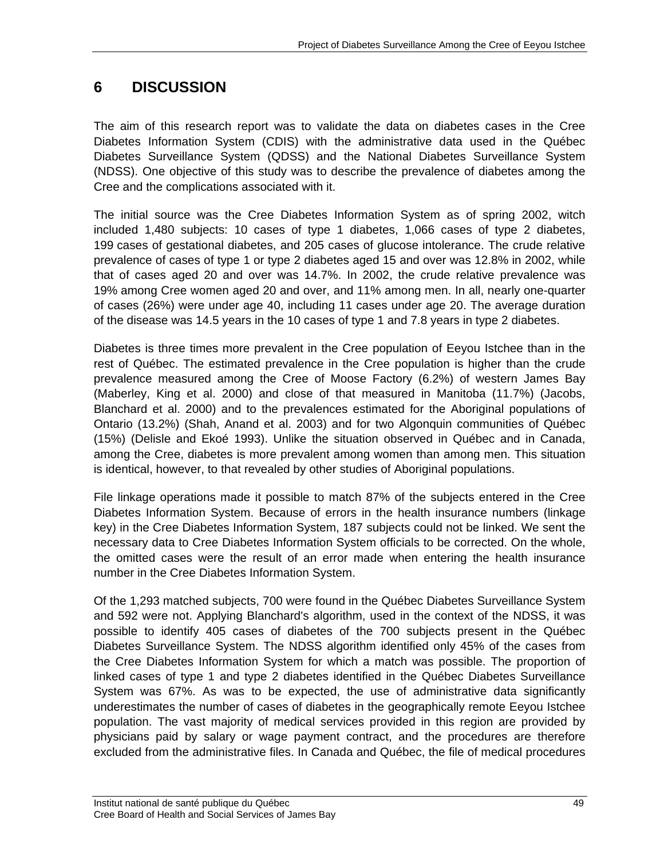# **6 DISCUSSION**

The aim of this research report was to validate the data on diabetes cases in the Cree Diabetes Information System (CDIS) with the administrative data used in the Québec Diabetes Surveillance System (QDSS) and the National Diabetes Surveillance System (NDSS). One objective of this study was to describe the prevalence of diabetes among the Cree and the complications associated with it.

The initial source was the Cree Diabetes Information System as of spring 2002, witch included 1,480 subjects: 10 cases of type 1 diabetes, 1,066 cases of type 2 diabetes, 199 cases of gestational diabetes, and 205 cases of glucose intolerance. The crude relative prevalence of cases of type 1 or type 2 diabetes aged 15 and over was 12.8% in 2002, while that of cases aged 20 and over was 14.7%. In 2002, the crude relative prevalence was 19% among Cree women aged 20 and over, and 11% among men. In all, nearly one-quarter of cases (26%) were under age 40, including 11 cases under age 20. The average duration of the disease was 14.5 years in the 10 cases of type 1 and 7.8 years in type 2 diabetes.

Diabetes is three times more prevalent in the Cree population of Eeyou Istchee than in the rest of Québec. The estimated prevalence in the Cree population is higher than the crude prevalence measured among the Cree of Moose Factory (6.2%) of western James Bay (Maberley, King et al. 2000) and close of that measured in Manitoba (11.7%) (Jacobs, Blanchard et al. 2000) and to the prevalences estimated for the Aboriginal populations of Ontario (13.2%) (Shah, Anand et al. 2003) and for two Algonquin communities of Québec (15%) (Delisle and Ekoé 1993). Unlike the situation observed in Québec and in Canada, among the Cree, diabetes is more prevalent among women than among men. This situation is identical, however, to that revealed by other studies of Aboriginal populations.

File linkage operations made it possible to match 87% of the subjects entered in the Cree Diabetes Information System. Because of errors in the health insurance numbers (linkage key) in the Cree Diabetes Information System, 187 subjects could not be linked. We sent the necessary data to Cree Diabetes Information System officials to be corrected. On the whole, the omitted cases were the result of an error made when entering the health insurance number in the Cree Diabetes Information System.

Of the 1,293 matched subjects, 700 were found in the Québec Diabetes Surveillance System and 592 were not. Applying Blanchard's algorithm, used in the context of the NDSS, it was possible to identify 405 cases of diabetes of the 700 subjects present in the Québec Diabetes Surveillance System. The NDSS algorithm identified only 45% of the cases from the Cree Diabetes Information System for which a match was possible. The proportion of linked cases of type 1 and type 2 diabetes identified in the Québec Diabetes Surveillance System was 67%. As was to be expected, the use of administrative data significantly underestimates the number of cases of diabetes in the geographically remote Eeyou Istchee population. The vast majority of medical services provided in this region are provided by physicians paid by salary or wage payment contract, and the procedures are therefore excluded from the administrative files. In Canada and Québec, the file of medical procedures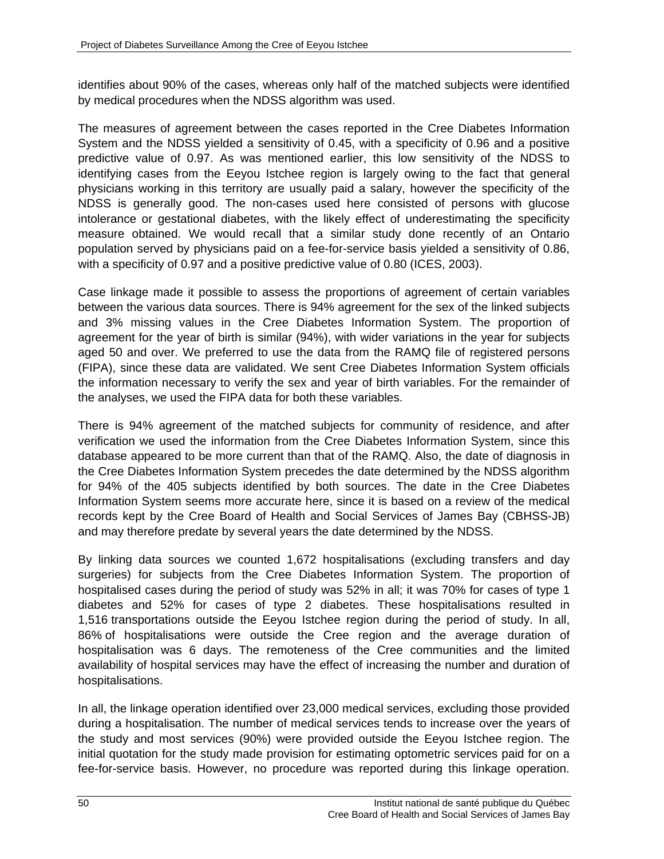identifies about 90% of the cases, whereas only half of the matched subjects were identified by medical procedures when the NDSS algorithm was used.

The measures of agreement between the cases reported in the Cree Diabetes Information System and the NDSS yielded a sensitivity of 0.45, with a specificity of 0.96 and a positive predictive value of 0.97. As was mentioned earlier, this low sensitivity of the NDSS to identifying cases from the Eeyou Istchee region is largely owing to the fact that general physicians working in this territory are usually paid a salary, however the specificity of the NDSS is generally good. The non-cases used here consisted of persons with glucose intolerance or gestational diabetes, with the likely effect of underestimating the specificity measure obtained. We would recall that a similar study done recently of an Ontario population served by physicians paid on a fee-for-service basis yielded a sensitivity of 0.86, with a specificity of 0.97 and a positive predictive value of 0.80 (ICES, 2003).

Case linkage made it possible to assess the proportions of agreement of certain variables between the various data sources. There is 94% agreement for the sex of the linked subjects and 3% missing values in the Cree Diabetes Information System. The proportion of agreement for the year of birth is similar (94%), with wider variations in the year for subjects aged 50 and over. We preferred to use the data from the RAMQ file of registered persons (FIPA), since these data are validated. We sent Cree Diabetes Information System officials the information necessary to verify the sex and year of birth variables. For the remainder of the analyses, we used the FIPA data for both these variables.

There is 94% agreement of the matched subjects for community of residence, and after verification we used the information from the Cree Diabetes Information System, since this database appeared to be more current than that of the RAMQ. Also, the date of diagnosis in the Cree Diabetes Information System precedes the date determined by the NDSS algorithm for 94% of the 405 subjects identified by both sources. The date in the Cree Diabetes Information System seems more accurate here, since it is based on a review of the medical records kept by the Cree Board of Health and Social Services of James Bay (CBHSS-JB) and may therefore predate by several years the date determined by the NDSS.

By linking data sources we counted 1,672 hospitalisations (excluding transfers and day surgeries) for subjects from the Cree Diabetes Information System. The proportion of hospitalised cases during the period of study was 52% in all; it was 70% for cases of type 1 diabetes and 52% for cases of type 2 diabetes. These hospitalisations resulted in 1,516 transportations outside the Eeyou Istchee region during the period of study. In all, 86% of hospitalisations were outside the Cree region and the average duration of hospitalisation was 6 days. The remoteness of the Cree communities and the limited availability of hospital services may have the effect of increasing the number and duration of hospitalisations.

In all, the linkage operation identified over 23,000 medical services, excluding those provided during a hospitalisation. The number of medical services tends to increase over the years of the study and most services (90%) were provided outside the Eeyou Istchee region. The initial quotation for the study made provision for estimating optometric services paid for on a fee-for-service basis. However, no procedure was reported during this linkage operation.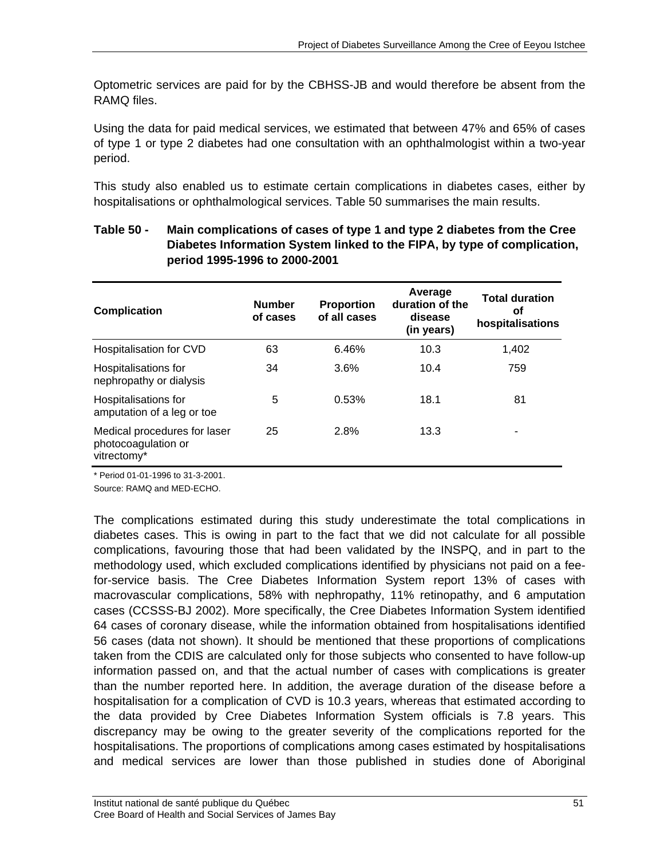Optometric services are paid for by the CBHSS-JB and would therefore be absent from the RAMQ files.

Using the data for paid medical services, we estimated that between 47% and 65% of cases of type 1 or type 2 diabetes had one consultation with an ophthalmologist within a two-year period.

This study also enabled us to estimate certain complications in diabetes cases, either by hospitalisations or ophthalmological services. Table 50 summarises the main results.

| <b>Complication</b>                                                | <b>Number</b><br>of cases | <b>Proportion</b><br>of all cases | Average<br>duration of the<br>disease<br>(in years) | <b>Total duration</b><br>οf<br>hospitalisations |
|--------------------------------------------------------------------|---------------------------|-----------------------------------|-----------------------------------------------------|-------------------------------------------------|
| Hospitalisation for CVD                                            | 63                        | 6.46%                             | 10.3                                                | 1,402                                           |
| Hospitalisations for<br>nephropathy or dialysis                    | 34                        | 3.6%                              | 10.4                                                | 759                                             |
| Hospitalisations for<br>amputation of a leg or toe                 | 5                         | 0.53%                             | 18.1                                                | 81                                              |
| Medical procedures for laser<br>photocoagulation or<br>vitrectomy* | 25                        | 2.8%                              | 13.3                                                |                                                 |

## **Table 50 - Main complications of cases of type 1 and type 2 diabetes from the Cree Diabetes Information System linked to the FIPA, by type of complication, period 1995-1996 to 2000-2001**

\* Period 01-01-1996 to 31-3-2001.

Source: RAMQ and MED-ECHO.

The complications estimated during this study underestimate the total complications in diabetes cases. This is owing in part to the fact that we did not calculate for all possible complications, favouring those that had been validated by the INSPQ, and in part to the methodology used, which excluded complications identified by physicians not paid on a feefor-service basis. The Cree Diabetes Information System report 13% of cases with macrovascular complications, 58% with nephropathy, 11% retinopathy, and 6 amputation cases (CCSSS-BJ 2002). More specifically, the Cree Diabetes Information System identified 64 cases of coronary disease, while the information obtained from hospitalisations identified 56 cases (data not shown). It should be mentioned that these proportions of complications taken from the CDIS are calculated only for those subjects who consented to have follow-up information passed on, and that the actual number of cases with complications is greater than the number reported here. In addition, the average duration of the disease before a hospitalisation for a complication of CVD is 10.3 years, whereas that estimated according to the data provided by Cree Diabetes Information System officials is 7.8 years. This discrepancy may be owing to the greater severity of the complications reported for the hospitalisations. The proportions of complications among cases estimated by hospitalisations and medical services are lower than those published in studies done of Aboriginal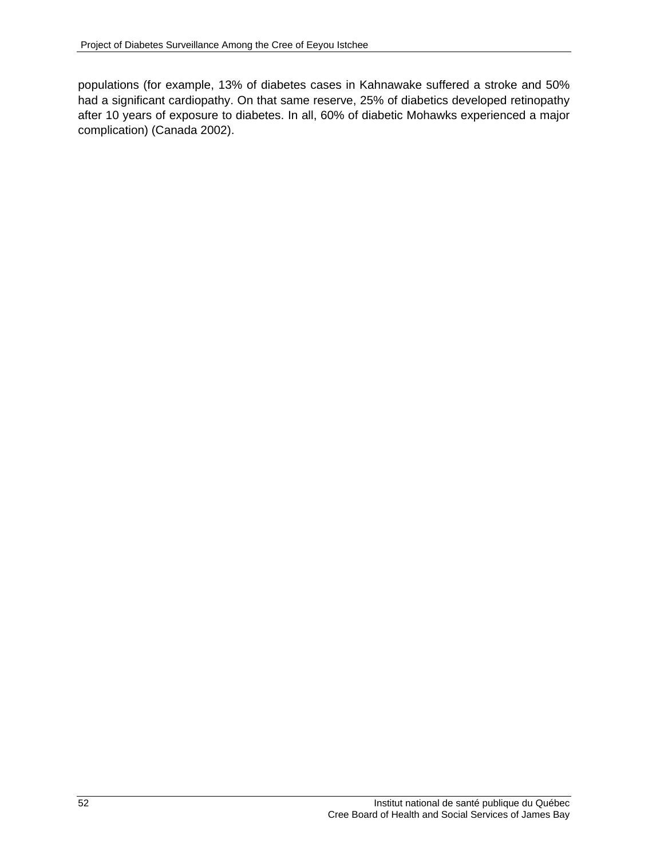populations (for example, 13% of diabetes cases in Kahnawake suffered a stroke and 50% had a significant cardiopathy. On that same reserve, 25% of diabetics developed retinopathy after 10 years of exposure to diabetes. In all, 60% of diabetic Mohawks experienced a major complication) (Canada 2002).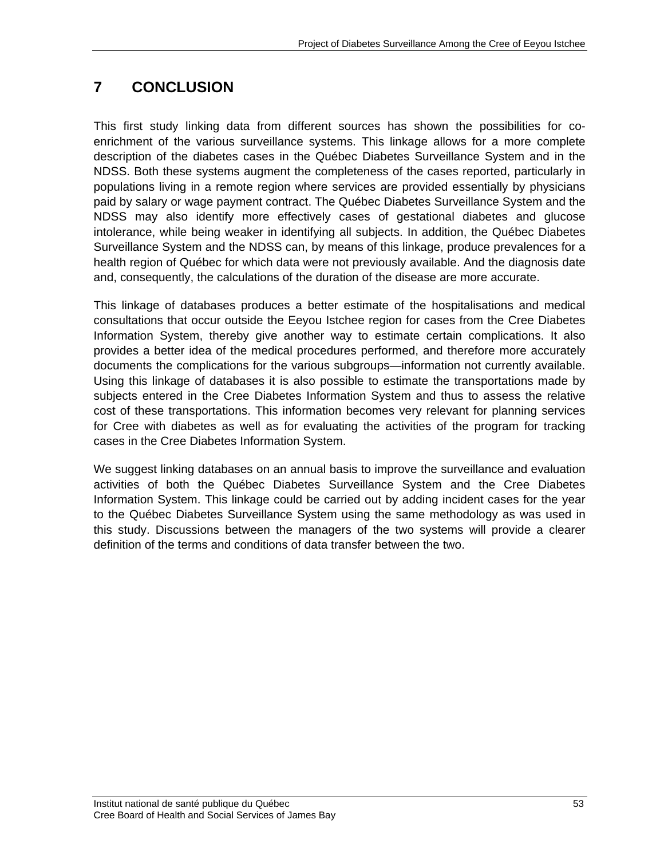# **7 CONCLUSION**

This first study linking data from different sources has shown the possibilities for coenrichment of the various surveillance systems. This linkage allows for a more complete description of the diabetes cases in the Québec Diabetes Surveillance System and in the NDSS. Both these systems augment the completeness of the cases reported, particularly in populations living in a remote region where services are provided essentially by physicians paid by salary or wage payment contract. The Québec Diabetes Surveillance System and the NDSS may also identify more effectively cases of gestational diabetes and glucose intolerance, while being weaker in identifying all subjects. In addition, the Québec Diabetes Surveillance System and the NDSS can, by means of this linkage, produce prevalences for a health region of Québec for which data were not previously available. And the diagnosis date and, consequently, the calculations of the duration of the disease are more accurate.

This linkage of databases produces a better estimate of the hospitalisations and medical consultations that occur outside the Eeyou Istchee region for cases from the Cree Diabetes Information System, thereby give another way to estimate certain complications. It also provides a better idea of the medical procedures performed, and therefore more accurately documents the complications for the various subgroups—information not currently available. Using this linkage of databases it is also possible to estimate the transportations made by subjects entered in the Cree Diabetes Information System and thus to assess the relative cost of these transportations. This information becomes very relevant for planning services for Cree with diabetes as well as for evaluating the activities of the program for tracking cases in the Cree Diabetes Information System.

We suggest linking databases on an annual basis to improve the surveillance and evaluation activities of both the Québec Diabetes Surveillance System and the Cree Diabetes Information System. This linkage could be carried out by adding incident cases for the year to the Québec Diabetes Surveillance System using the same methodology as was used in this study. Discussions between the managers of the two systems will provide a clearer definition of the terms and conditions of data transfer between the two.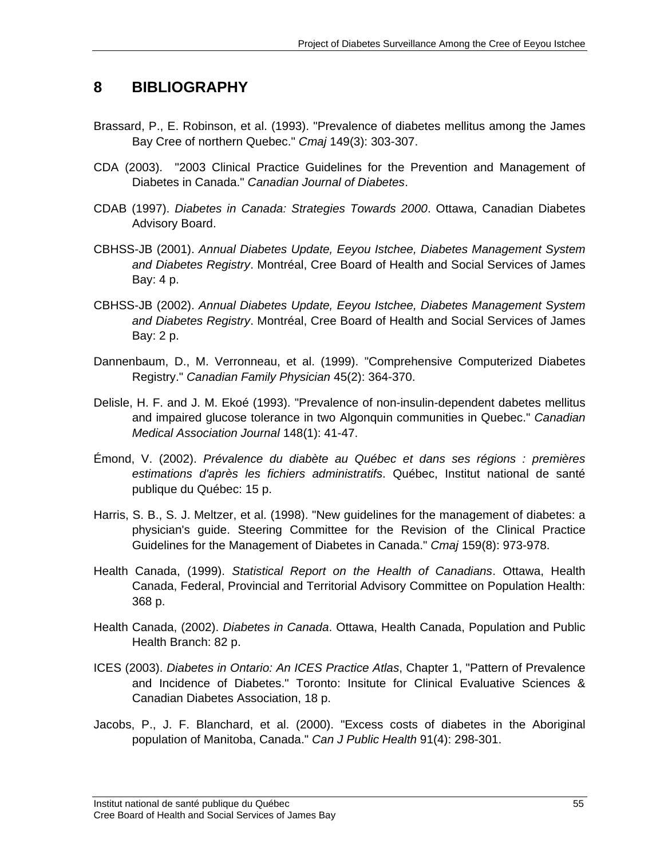# **8 BIBLIOGRAPHY**

- Brassard, P., E. Robinson, et al. (1993). "Prevalence of diabetes mellitus among the James Bay Cree of northern Quebec." *Cmaj* 149(3): 303-307.
- CDA (2003). "2003 Clinical Practice Guidelines for the Prevention and Management of Diabetes in Canada." *Canadian Journal of Diabetes*.
- CDAB (1997). *Diabetes in Canada: Strategies Towards 2000*. Ottawa, Canadian Diabetes Advisory Board.
- CBHSS-JB (2001). *Annual Diabetes Update, Eeyou Istchee, Diabetes Management System and Diabetes Registry*. Montréal, Cree Board of Health and Social Services of James Bay: 4 p.
- CBHSS-JB (2002). *Annual Diabetes Update, Eeyou Istchee, Diabetes Management System and Diabetes Registry*. Montréal, Cree Board of Health and Social Services of James Bay: 2 p.
- Dannenbaum, D., M. Verronneau, et al. (1999). "Comprehensive Computerized Diabetes Registry." *Canadian Family Physician* 45(2): 364-370.
- Delisle, H. F. and J. M. Ekoé (1993). "Prevalence of non-insulin-dependent dabetes mellitus and impaired glucose tolerance in two Algonquin communities in Quebec." *Canadian Medical Association Journal* 148(1): 41-47.
- Émond, V. (2002). *Prévalence du diabète au Québec et dans ses régions : premières estimations d'après les fichiers administratifs*. Québec, Institut national de santé publique du Québec: 15 p.
- Harris, S. B., S. J. Meltzer, et al. (1998). "New guidelines for the management of diabetes: a physician's guide. Steering Committee for the Revision of the Clinical Practice Guidelines for the Management of Diabetes in Canada." *Cmaj* 159(8): 973-978.
- Health Canada, (1999). *Statistical Report on the Health of Canadians*. Ottawa, Health Canada, Federal, Provincial and Territorial Advisory Committee on Population Health: 368 p.
- Health Canada, (2002). *Diabetes in Canada*. Ottawa, Health Canada, Population and Public Health Branch: 82 p.
- ICES (2003). *Diabetes in Ontario: An ICES Practice Atlas*, Chapter 1, "Pattern of Prevalence and Incidence of Diabetes." Toronto: Insitute for Clinical Evaluative Sciences & Canadian Diabetes Association, 18 p.
- Jacobs, P., J. F. Blanchard, et al. (2000). "Excess costs of diabetes in the Aboriginal population of Manitoba, Canada." *Can J Public Health* 91(4): 298-301.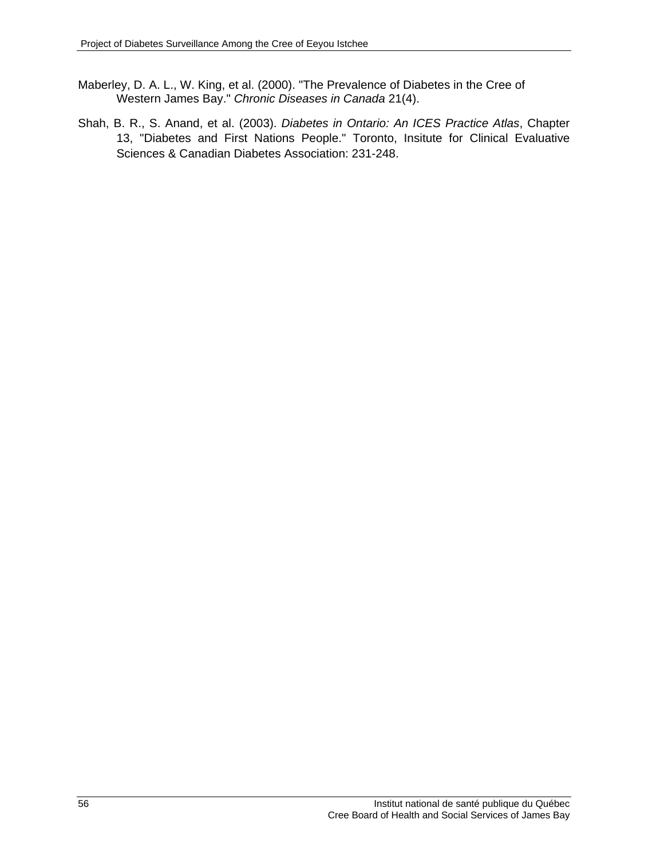- Maberley, D. A. L., W. King, et al. (2000). "The Prevalence of Diabetes in the Cree of Western James Bay." *Chronic Diseases in Canada* 21(4).
- Shah, B. R., S. Anand, et al. (2003). *Diabetes in Ontario: An ICES Practice Atlas*, Chapter 13, "Diabetes and First Nations People." Toronto, Insitute for Clinical Evaluative Sciences & Canadian Diabetes Association: 231-248.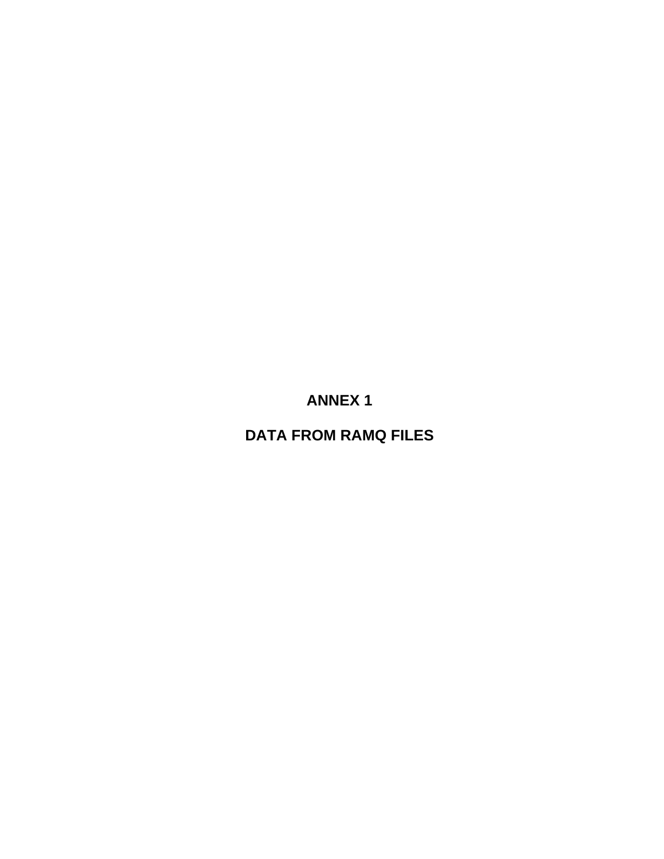**ANNEX 1** 

**DATA FROM RAMQ FILES**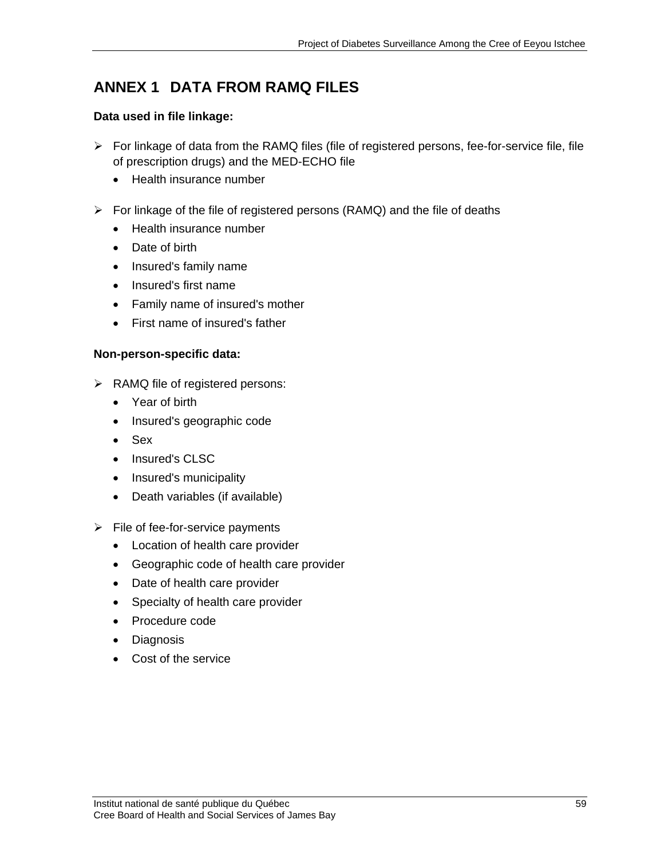# **ANNEX 1 DATA FROM RAMQ FILES**

### **Data used in file linkage:**

- $\triangleright$  For linkage of data from the RAMQ files (file of registered persons, fee-for-service file, file of prescription drugs) and the MED-ECHO file
	- Health insurance number
- $\triangleright$  For linkage of the file of registered persons (RAMQ) and the file of deaths
	- Health insurance number
	- Date of birth
	- Insured's family name
	- Insured's first name
	- Family name of insured's mother
	- First name of insured's father

## **Non-person-specific data:**

- $\triangleright$  RAMQ file of registered persons:
	- Year of birth
	- Insured's geographic code
	- Sex
	- Insured's CLSC
	- Insured's municipality
	- Death variables (if available)
- $\triangleright$  File of fee-for-service payments
	- Location of health care provider
	- Geographic code of health care provider
	- Date of health care provider
	- Specialty of health care provider
	- Procedure code
	- Diagnosis
	- Cost of the service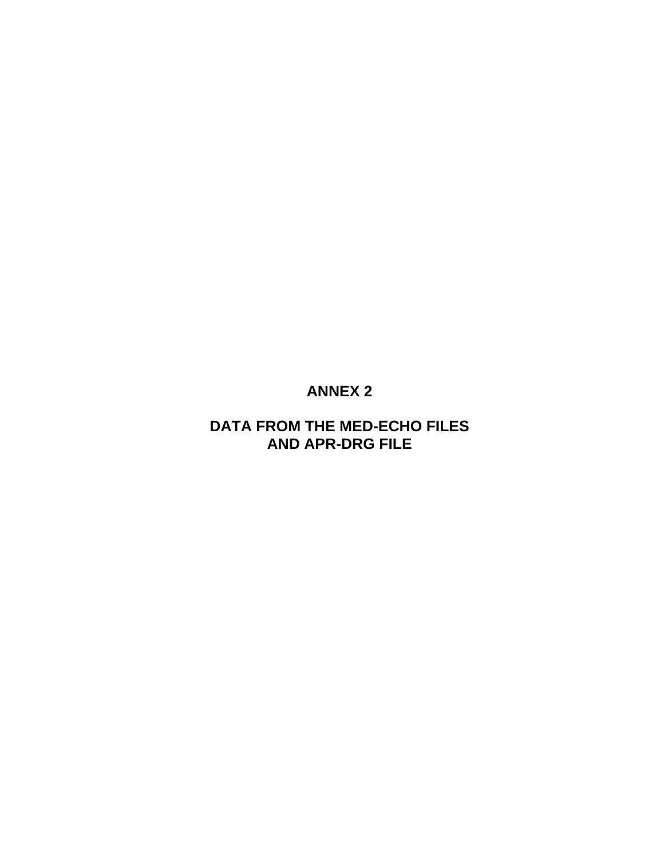# **ANNEX 2**

# **DATA FROM THE MED-ECHO FILES AND APR-DRG FILE**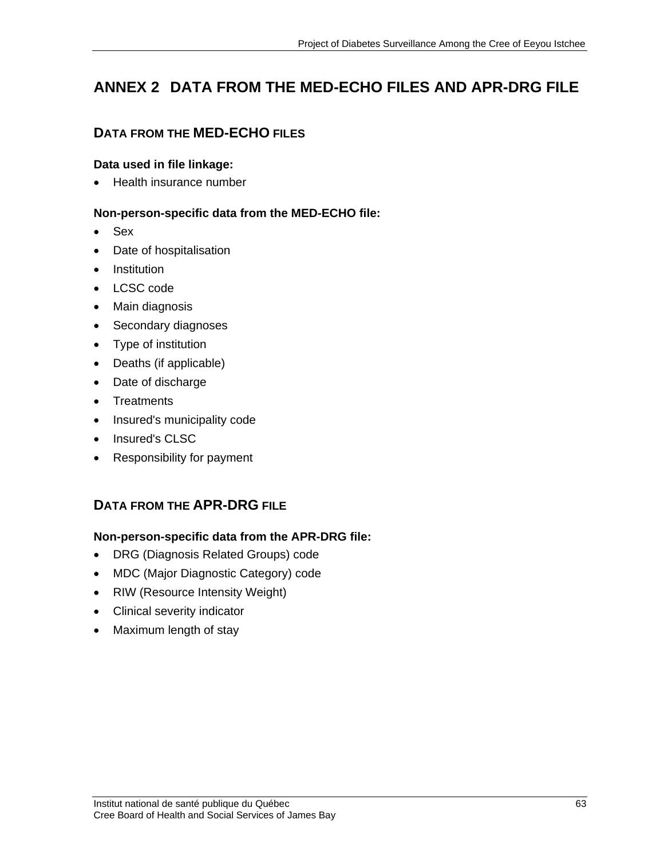# **ANNEX 2 DATA FROM THE MED-ECHO FILES AND APR-DRG FILE**

# **DATA FROM THE MED-ECHO FILES**

## **Data used in file linkage:**

• Health insurance number

## **Non-person-specific data from the MED-ECHO file:**

- Sex
- Date of hospitalisation
- **Institution**
- LCSC code
- Main diagnosis
- Secondary diagnoses
- Type of institution
- Deaths (if applicable)
- Date of discharge
- Treatments
- Insured's municipality code
- Insured's CLSC
- Responsibility for payment

# **DATA FROM THE APR-DRG FILE**

## **Non-person-specific data from the APR-DRG file:**

- DRG (Diagnosis Related Groups) code
- MDC (Major Diagnostic Category) code
- RIW (Resource Intensity Weight)
- Clinical severity indicator
- Maximum length of stay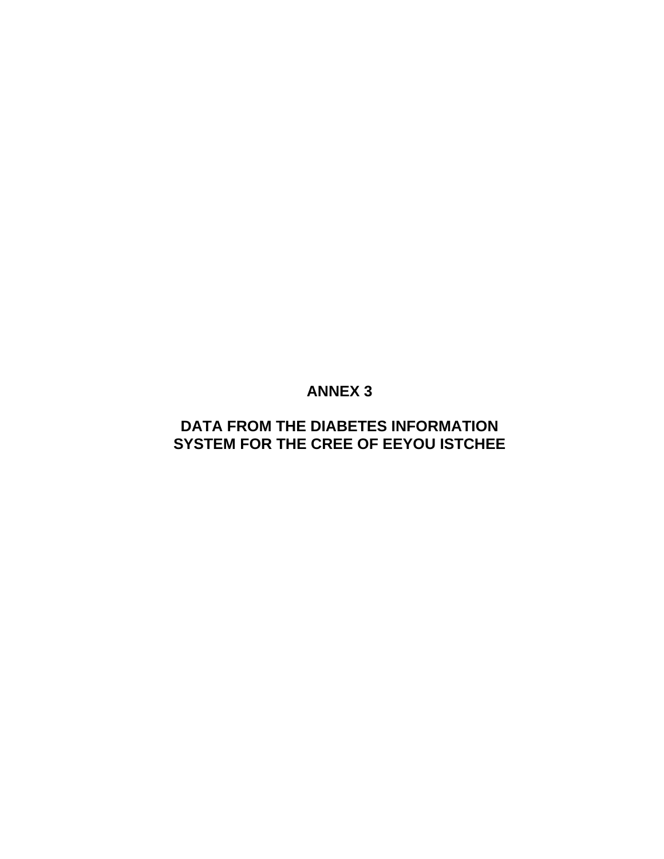# **ANNEX 3**

# **DATA FROM THE DIABETES INFORMATION SYSTEM FOR THE CREE OF EEYOU ISTCHEE**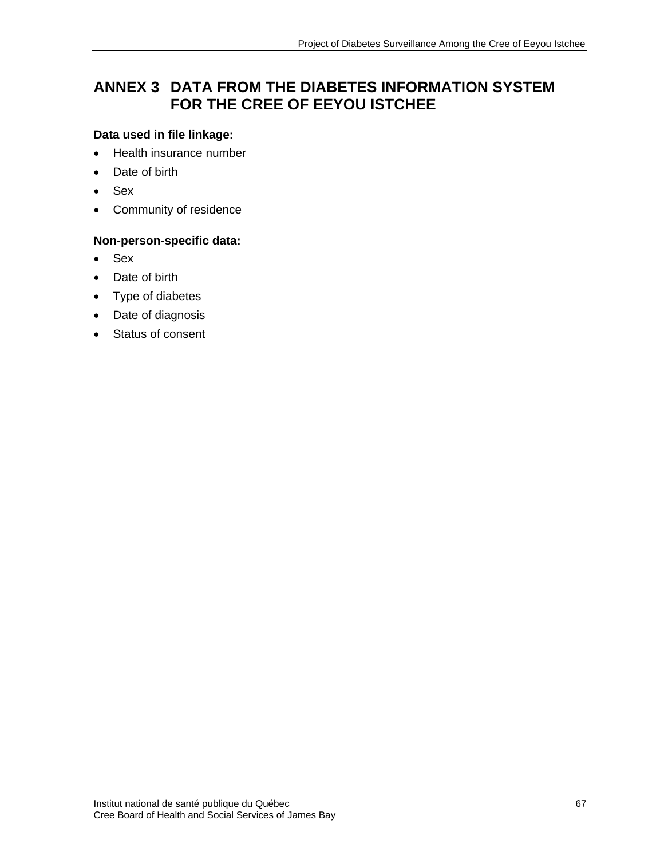# **ANNEX 3 DATA FROM THE DIABETES INFORMATION SYSTEM FOR THE CREE OF EEYOU ISTCHEE**

### **Data used in file linkage:**

- Health insurance number
- Date of birth
- Sex
- Community of residence

## **Non-person-specific data:**

- Sex
- Date of birth
- Type of diabetes
- Date of diagnosis
- Status of consent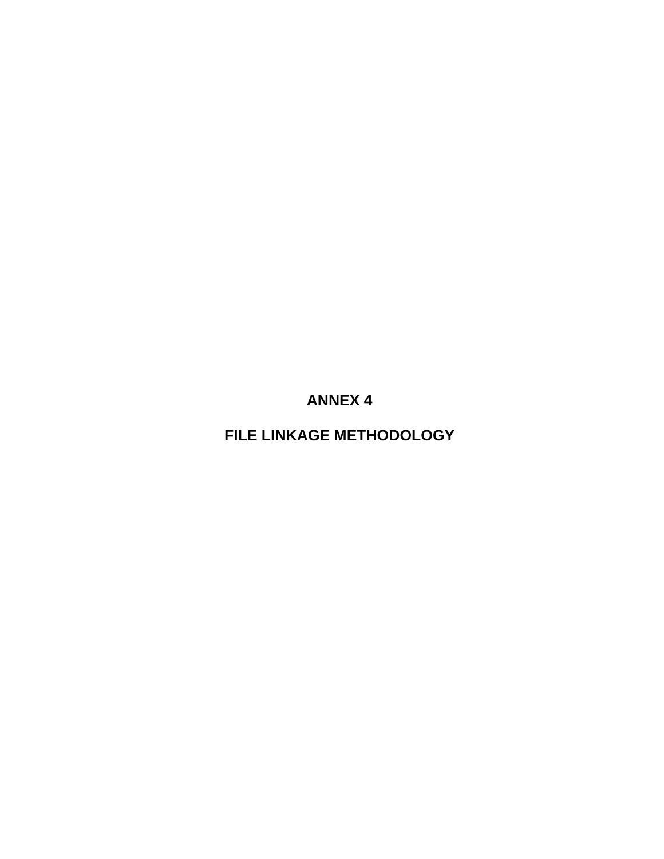**FILE LINKAGE METHODOLOGY**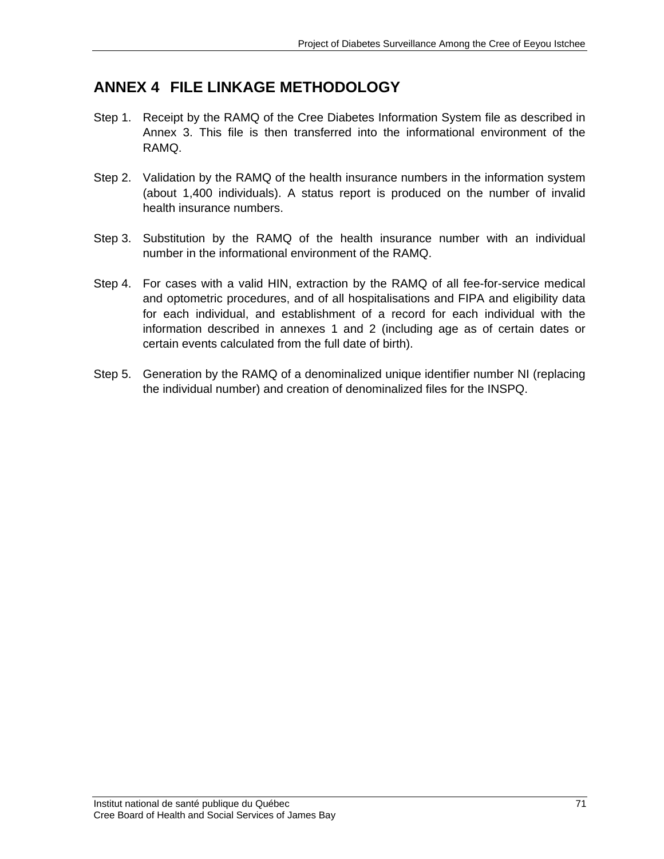## **ANNEX 4 FILE LINKAGE METHODOLOGY**

- Step 1. Receipt by the RAMQ of the Cree Diabetes Information System file as described in Annex 3. This file is then transferred into the informational environment of the RAMQ.
- Step 2. Validation by the RAMQ of the health insurance numbers in the information system (about 1,400 individuals). A status report is produced on the number of invalid health insurance numbers.
- Step 3. Substitution by the RAMQ of the health insurance number with an individual number in the informational environment of the RAMQ.
- Step 4. For cases with a valid HIN, extraction by the RAMQ of all fee-for-service medical and optometric procedures, and of all hospitalisations and FIPA and eligibility data for each individual, and establishment of a record for each individual with the information described in annexes 1 and 2 (including age as of certain dates or certain events calculated from the full date of birth).
- Step 5. Generation by the RAMQ of a denominalized unique identifier number NI (replacing the individual number) and creation of denominalized files for the INSPQ.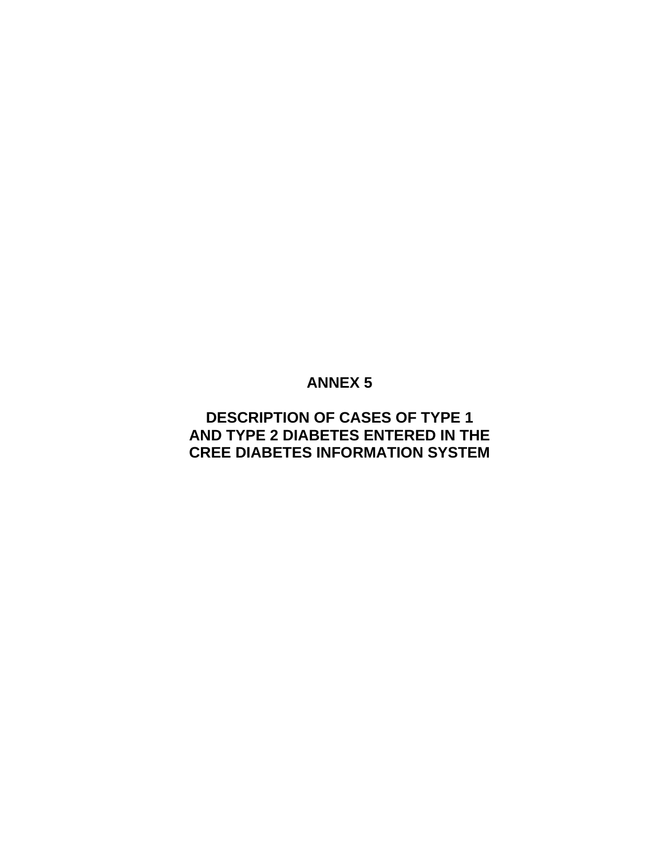### **DESCRIPTION OF CASES OF TYPE 1 AND TYPE 2 DIABETES ENTERED IN THE CREE DIABETES INFORMATION SYSTEM**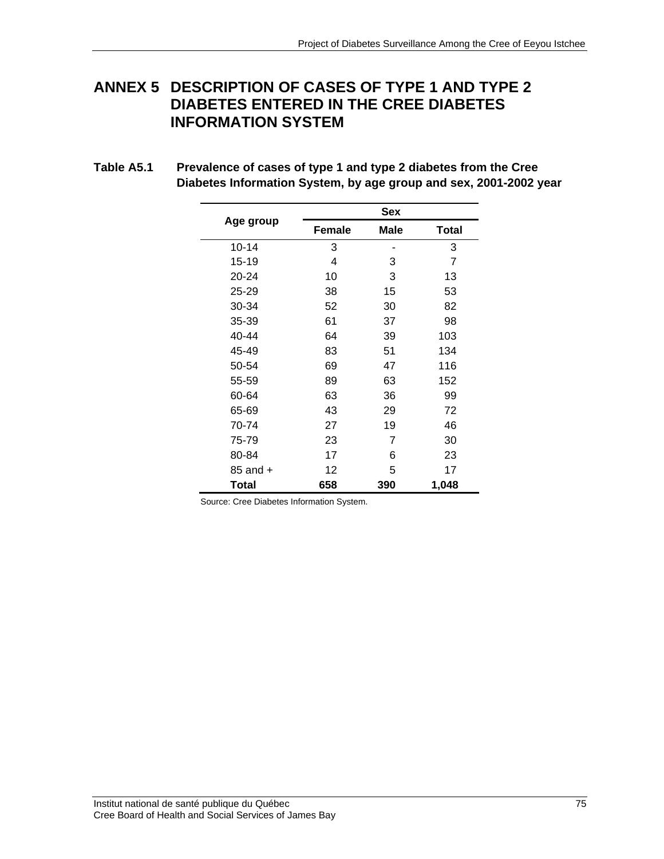#### **ANNEX 5 DESCRIPTION OF CASES OF TYPE 1 AND TYPE 2 DIABETES ENTERED IN THE CREE DIABETES INFORMATION SYSTEM**

| Age group    |               | Sex  |              |  |  |  |
|--------------|---------------|------|--------------|--|--|--|
|              | <b>Female</b> | Male | <b>Total</b> |  |  |  |
| $10 - 14$    | 3             |      | 3            |  |  |  |
| 15-19        | 4             | 3    | 7            |  |  |  |
| 20-24        | 10            | 3    | 13           |  |  |  |
| 25-29        | 38            | 15   | 53           |  |  |  |
| 30-34        | 52            | 30   | 82           |  |  |  |
| 35-39        | 61            | 37   | 98           |  |  |  |
| 40-44        | 64            | 39   | 103          |  |  |  |
| 45-49        | 83            | 51   | 134          |  |  |  |
| 50-54        | 69            | 47   | 116          |  |  |  |
| 55-59        | 89            | 63   | 152          |  |  |  |
| 60-64        | 63            | 36   | 99           |  |  |  |
| 65-69        | 43            | 29   | 72           |  |  |  |
| 70-74        | 27            | 19   | 46           |  |  |  |
| 75-79        | 23            | 7    | 30           |  |  |  |
| 80-84        | 17            | 6    | 23           |  |  |  |
| $85$ and $+$ | 12            | 5    | 17           |  |  |  |
| Total        | 658           | 390  | 1,048        |  |  |  |

**Table A5.1 Prevalence of cases of type 1 and type 2 diabetes from the Cree Diabetes Information System, by age group and sex, 2001-2002 year** 

Source: Cree Diabetes Information System.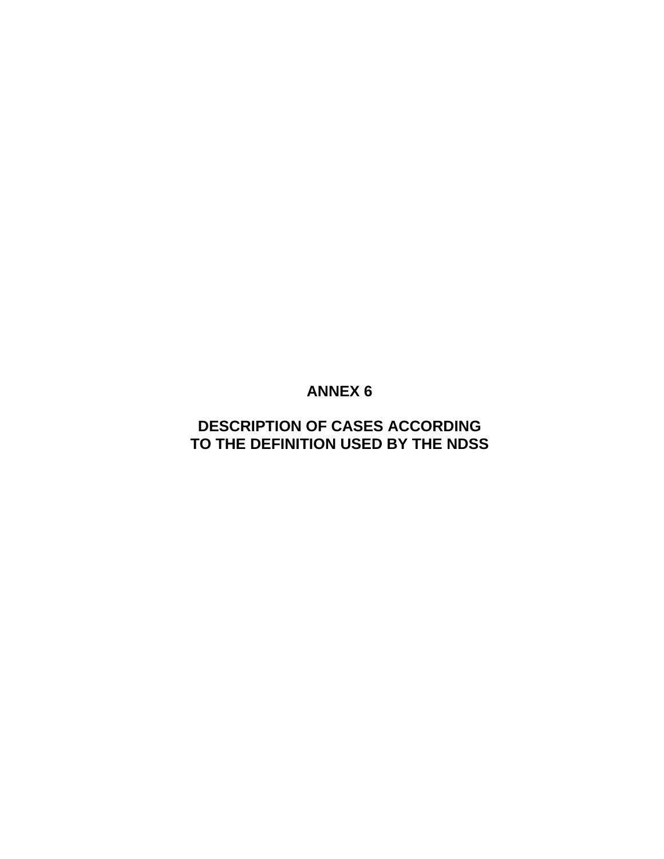### **DESCRIPTION OF CASES ACCORDING TO THE DEFINITION USED BY THE NDSS**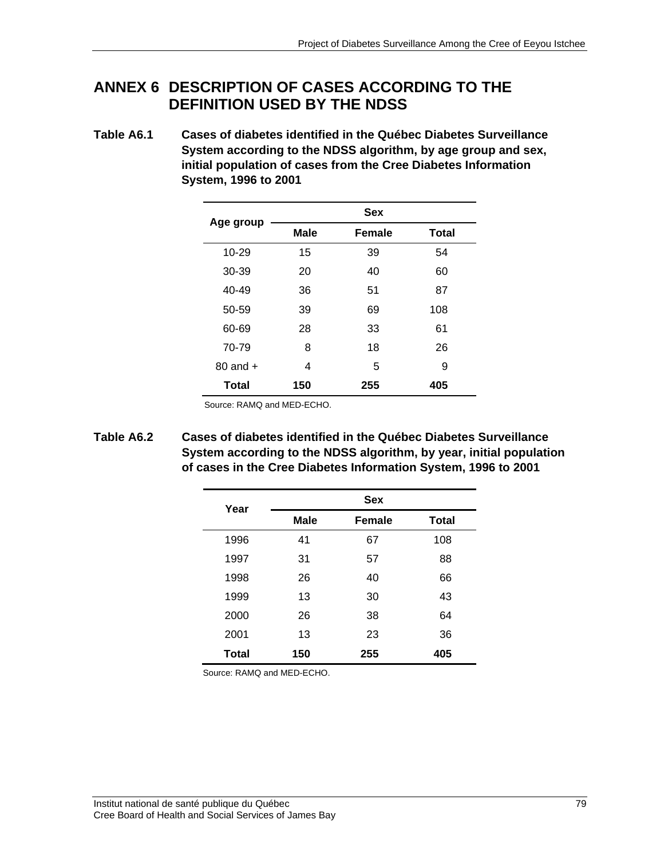### **ANNEX 6 DESCRIPTION OF CASES ACCORDING TO THE DEFINITION USED BY THE NDSS**

**Table A6.1 Cases of diabetes identified in the Québec Diabetes Surveillance System according to the NDSS algorithm, by age group and sex, initial population of cases from the Cree Diabetes Information System, 1996 to 2001** 

| Age group    | <b>Sex</b>  |               |              |  |  |
|--------------|-------------|---------------|--------------|--|--|
|              | <b>Male</b> | <b>Female</b> | <b>Total</b> |  |  |
| 10-29        | 15          | 39            | 54           |  |  |
| 30-39        | 20          | 40            | 60           |  |  |
| 40-49        | 36          | 51            | 87           |  |  |
| 50-59        | 39          | 69            | 108          |  |  |
| 60-69        | 28          | 33            | 61           |  |  |
| 70-79        | 8           | 18            | 26           |  |  |
| $80$ and $+$ | 4           | 5             | 9            |  |  |
| <b>Total</b> | 150         | 255           | 405          |  |  |

Source: RAMQ and MED-ECHO.

**Table A6.2 Cases of diabetes identified in the Québec Diabetes Surveillance System according to the NDSS algorithm, by year, initial population of cases in the Cree Diabetes Information System, 1996 to 2001** 

| Year  |             | <b>Sex</b>    |              |  |  |  |
|-------|-------------|---------------|--------------|--|--|--|
|       | <b>Male</b> | <b>Female</b> | <b>Total</b> |  |  |  |
| 1996  | 41          | 67            | 108          |  |  |  |
| 1997  | 31          | 57            | 88           |  |  |  |
| 1998  | 26          | 40            | 66           |  |  |  |
| 1999  | 13          | 30            | 43           |  |  |  |
| 2000  | 26          | 38            | 64           |  |  |  |
| 2001  | 13          | 23            | 36           |  |  |  |
| Total | 150         | 255           | 405          |  |  |  |

Source: RAMQ and MED-ECHO.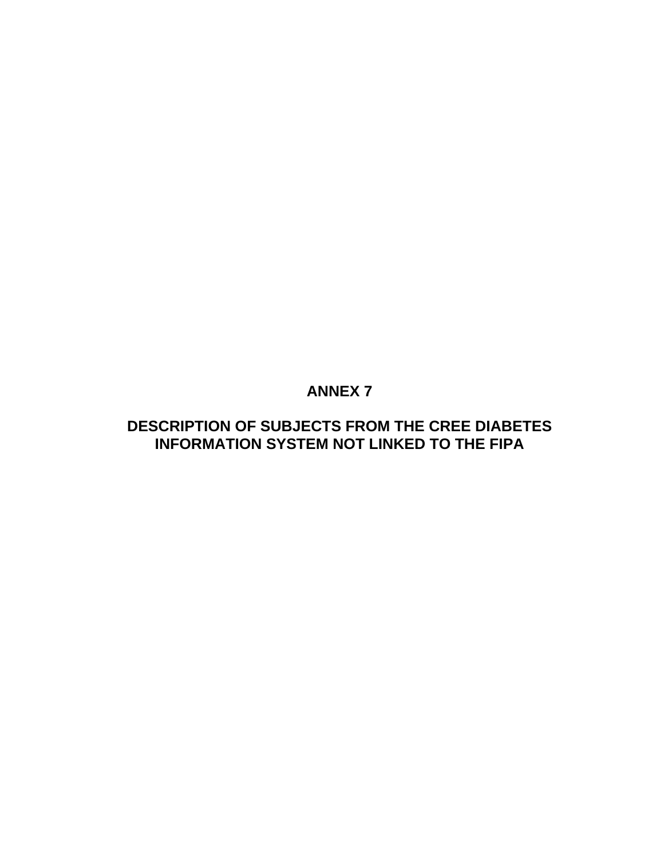### **DESCRIPTION OF SUBJECTS FROM THE CREE DIABETES INFORMATION SYSTEM NOT LINKED TO THE FIPA**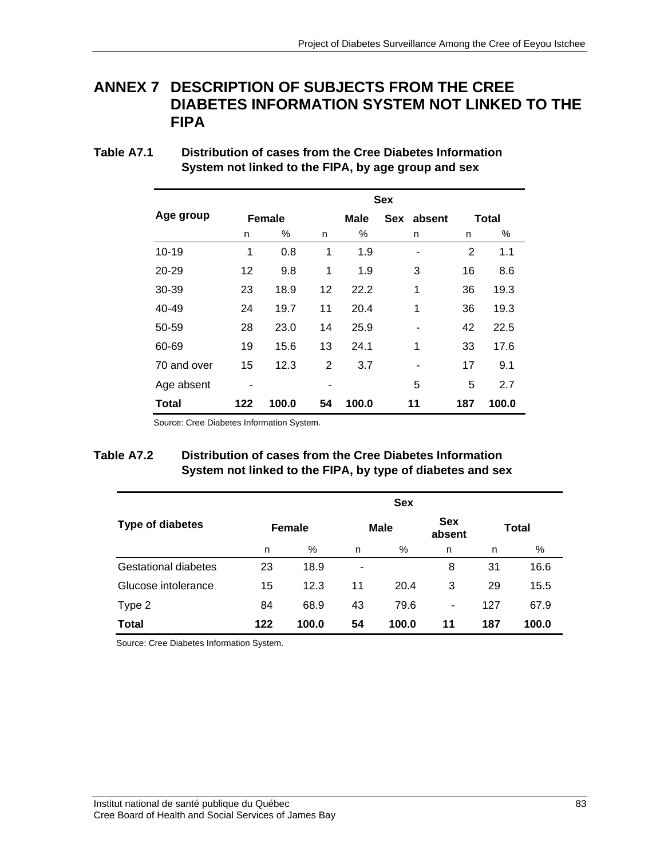#### **ANNEX 7 DESCRIPTION OF SUBJECTS FROM THE CREE DIABETES INFORMATION SYSTEM NOT LINKED TO THE FIPA**

| Table A7.1 | Distribution of cases from the Cree Diabetes Information |
|------------|----------------------------------------------------------|
|            | System not linked to the FIPA, by age group and sex      |

|              | <b>Sex</b> |               |    |       |            |                |       |  |
|--------------|------------|---------------|----|-------|------------|----------------|-------|--|
| Age group    |            | <b>Female</b> |    | Male  | Sex absent |                | Total |  |
|              | n          | %             | n  | %     | n          | n              | %     |  |
| $10 - 19$    | 1          | 0.8           | 1  | 1.9   |            | $\overline{2}$ | 1.1   |  |
| 20-29        | 12         | 9.8           | 1  | 1.9   | 3          | 16             | 8.6   |  |
| 30-39        | 23         | 18.9          | 12 | 22.2  | 1          | 36             | 19.3  |  |
| 40-49        | 24         | 19.7          | 11 | 20.4  | 1          | 36             | 19.3  |  |
| 50-59        | 28         | 23.0          | 14 | 25.9  |            | 42             | 22.5  |  |
| 60-69        | 19         | 15.6          | 13 | 24.1  | 1          | 33             | 17.6  |  |
| 70 and over  | 15         | 12.3          | 2  | 3.7   |            | 17             | 9.1   |  |
| Age absent   |            |               |    |       | 5          | 5              | 2.7   |  |
| <b>Total</b> | 122        | 100.0         | 54 | 100.0 | 11         | 187            | 100.0 |  |

Source: Cree Diabetes Information System.

#### **Table A7.2 Distribution of cases from the Cree Diabetes Information System not linked to the FIPA, by type of diabetes and sex**

|                             | <b>Sex</b>    |       |             |       |                      |              |       |
|-----------------------------|---------------|-------|-------------|-------|----------------------|--------------|-------|
| Type of diabetes            | <b>Female</b> |       | <b>Male</b> |       | <b>Sex</b><br>absent | <b>Total</b> |       |
|                             | n             | %     | n           | %     | n                    | n            | %     |
| <b>Gestational diabetes</b> | 23            | 18.9  | ۰           |       | 8                    | 31           | 16.6  |
| Glucose intolerance         | 15            | 12.3  | 11          | 20.4  | 3                    | 29           | 15.5  |
| Type 2                      | 84            | 68.9  | 43          | 79.6  | $\blacksquare$       | 127          | 67.9  |
| <b>Total</b>                | 122           | 100.0 | 54          | 100.0 | 11                   | 187          | 100.0 |

Source: Cree Diabetes Information System.